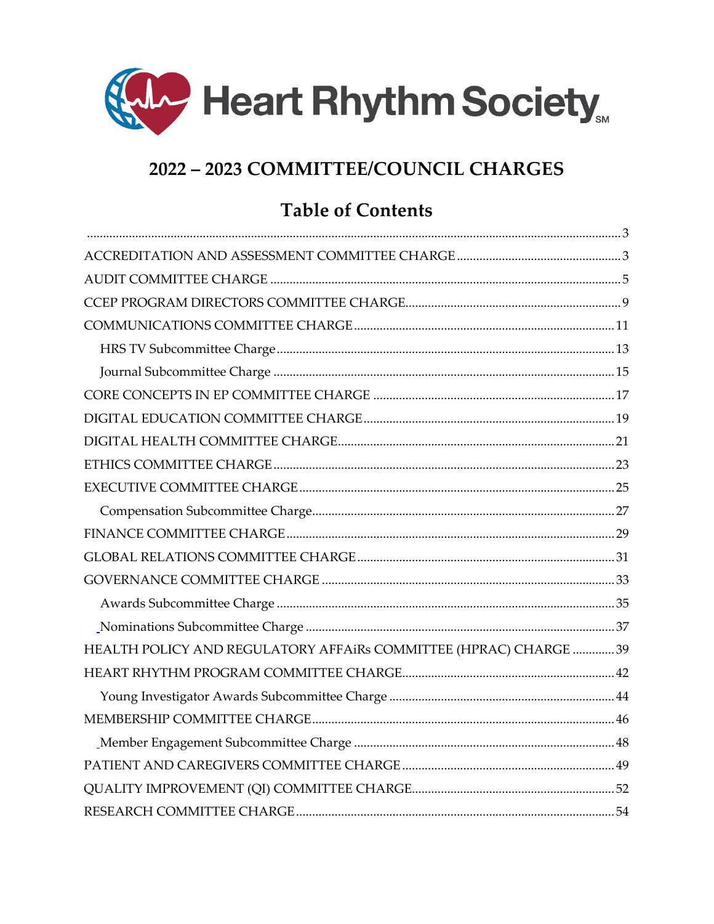

# 2022 - 2023 COMMITTEE/COUNCIL CHARGES

# **Table of Contents**

| HEALTH POLICY AND REGULATORY AFFAIRs COMMITTEE (HPRAC) CHARGE 39 |  |
|------------------------------------------------------------------|--|
|                                                                  |  |
|                                                                  |  |
|                                                                  |  |
|                                                                  |  |
|                                                                  |  |
|                                                                  |  |
|                                                                  |  |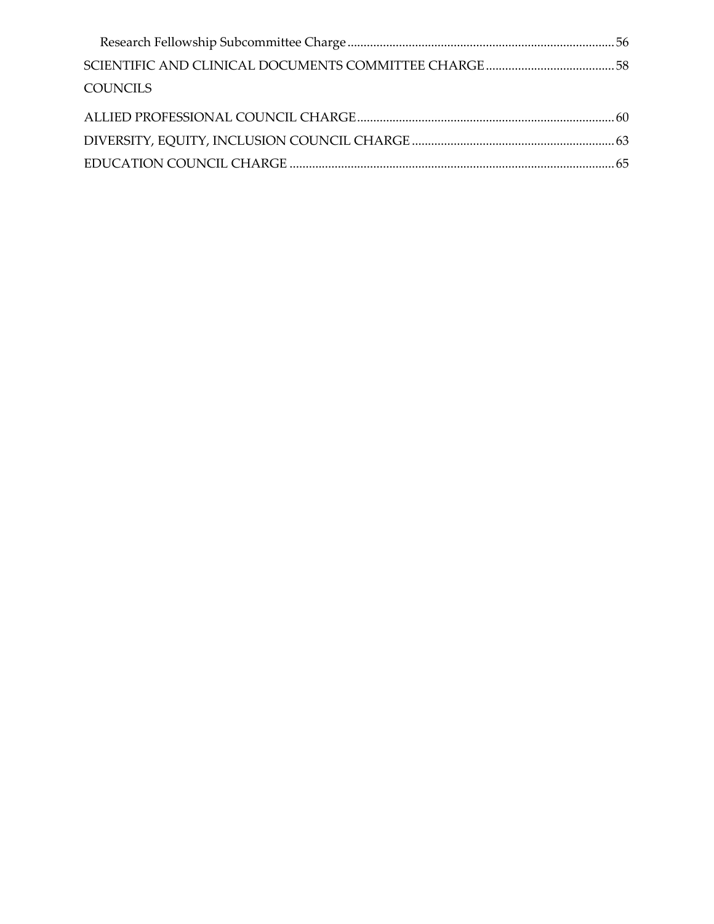| <b>COUNCILS</b> |  |
|-----------------|--|
|                 |  |
|                 |  |
|                 |  |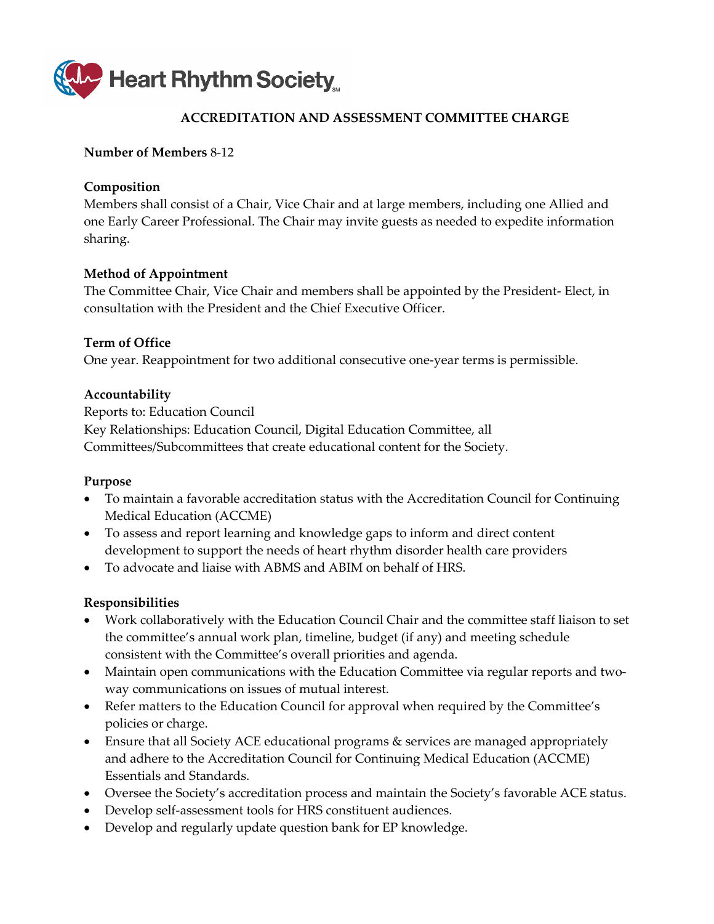<span id="page-2-0"></span>

# **ACCREDITATION AND ASSESSMENT COMMITTEE CHARGE**

### <span id="page-2-1"></span>**Number of Members** 8-12

### **Composition**

Members shall consist of a Chair, Vice Chair and at large members, including one Allied and one Early Career Professional. The Chair may invite guests as needed to expedite information sharing.

# **Method of Appointment**

The Committee Chair, Vice Chair and members shall be appointed by the President- Elect, in consultation with the President and the Chief Executive Officer.

# **Term of Office**

One year. Reappointment for two additional consecutive one-year terms is permissible.

# **Accountability**

Reports to: Education Council Key Relationships: Education Council, Digital Education Committee, all Committees/Subcommittees that create educational content for the Society.

#### **Purpose**

- To maintain a favorable accreditation status with the Accreditation Council for Continuing Medical Education (ACCME)
- To assess and report learning and knowledge gaps to inform and direct content development to support the needs of heart rhythm disorder health care providers
- To advocate and liaise with ABMS and ABIM on behalf of HRS.

- Work collaboratively with the Education Council Chair and the committee staff liaison to set the committee's annual work plan, timeline, budget (if any) and meeting schedule consistent with the Committee's overall priorities and agenda.
- Maintain open communications with the Education Committee via regular reports and twoway communications on issues of mutual interest.
- Refer matters to the Education Council for approval when required by the Committee's policies or charge.
- Ensure that all Society ACE educational programs & services are managed appropriately and adhere to the Accreditation Council for Continuing Medical Education (ACCME) Essentials and Standards.
- Oversee the Society's accreditation process and maintain the Society's favorable ACE status.
- Develop self-assessment tools for HRS constituent audiences.
- Develop and regularly update question bank for EP knowledge.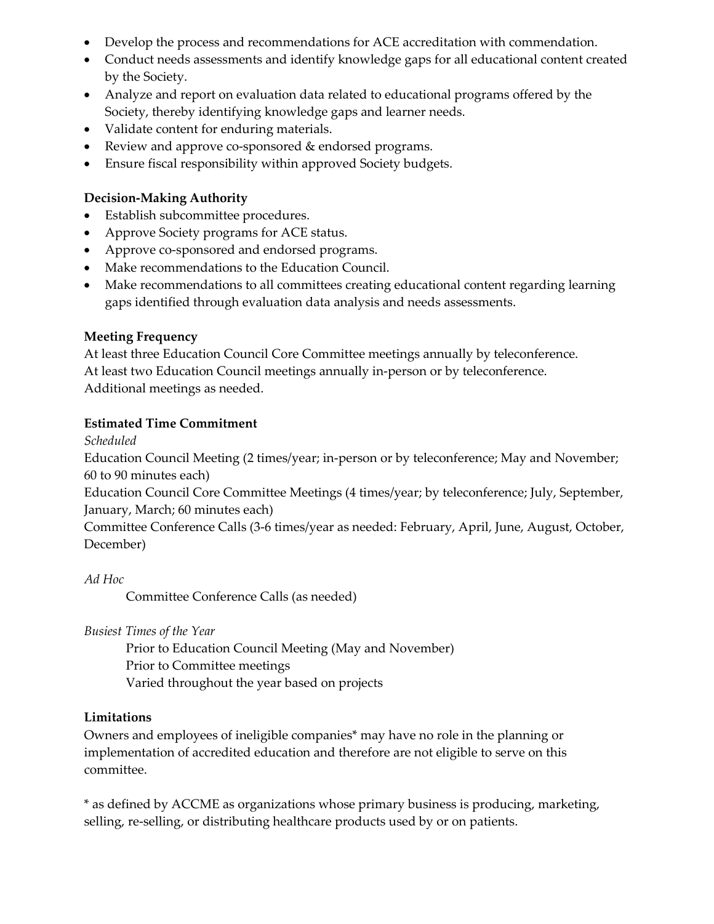- Develop the process and recommendations for ACE accreditation with commendation.
- Conduct needs assessments and identify knowledge gaps for all educational content created by the Society.
- Analyze and report on evaluation data related to educational programs offered by the Society, thereby identifying knowledge gaps and learner needs.
- Validate content for enduring materials.
- Review and approve co-sponsored & endorsed programs.
- Ensure fiscal responsibility within approved Society budgets.

- Establish subcommittee procedures.
- Approve Society programs for ACE status.
- Approve co-sponsored and endorsed programs.
- Make recommendations to the Education Council.
- Make recommendations to all committees creating educational content regarding learning gaps identified through evaluation data analysis and needs assessments.

# **Meeting Frequency**

At least three Education Council Core Committee meetings annually by teleconference. At least two Education Council meetings annually in-person or by teleconference. Additional meetings as needed.

# **Estimated Time Commitment**

*Scheduled*

Education Council Meeting (2 times/year; in-person or by teleconference; May and November; 60 to 90 minutes each)

Education Council Core Committee Meetings (4 times/year; by teleconference; July, September, January, March; 60 minutes each)

Committee Conference Calls (3-6 times/year as needed: February, April, June, August, October, December)

*Ad Hoc* Committee Conference Calls (as needed)

*Busiest Times of the Year* 

Prior to Education Council Meeting (May and November) Prior to Committee meetings Varied throughout the year based on projects

# **Limitations**

Owners and employees of ineligible companies\* may have no role in the planning or implementation of accredited education and therefore are not eligible to serve on this committee.

\* as defined by ACCME as organizations whose primary business is producing, marketing, selling, re-selling, or distributing healthcare products used by or on patients.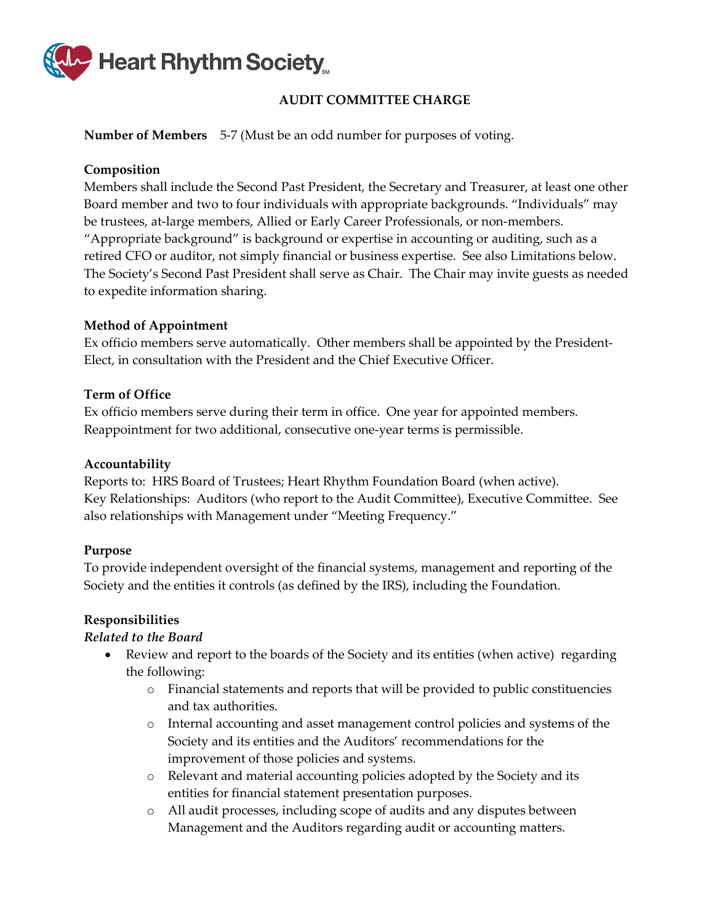

# **AUDIT COMMITTEE CHARGE**

<span id="page-4-0"></span>**Number of Members** 5-7 (Must be an odd number for purposes of voting.

### **Composition**

Members shall include the Second Past President, the Secretary and Treasurer, at least one other Board member and two to four individuals with appropriate backgrounds. "Individuals" may be trustees, at-large members, Allied or Early Career Professionals, or non-members. "Appropriate background" is background or expertise in accounting or auditing, such as a retired CFO or auditor, not simply financial or business expertise. See also Limitations below. The Society's Second Past President shall serve as Chair. The Chair may invite guests as needed to expedite information sharing.

#### **Method of Appointment**

Ex officio members serve automatically. Other members shall be appointed by the President-Elect, in consultation with the President and the Chief Executive Officer.

#### **Term of Office**

Ex officio members serve during their term in office. One year for appointed members. Reappointment for two additional, consecutive one-year terms is permissible.

#### **Accountability**

Reports to: HRS Board of Trustees; Heart Rhythm Foundation Board (when active). Key Relationships: Auditors (who report to the Audit Committee), Executive Committee. See also relationships with Management under "Meeting Frequency."

#### **Purpose**

To provide independent oversight of the financial systems, management and reporting of the Society and the entities it controls (as defined by the IRS), including the Foundation.

#### **Responsibilities**

#### *Related to the Board*

- Review and report to the boards of the Society and its entities (when active) regarding the following:
	- o Financial statements and reports that will be provided to public constituencies and tax authorities.
	- o Internal accounting and asset management control policies and systems of the Society and its entities and the Auditors' recommendations for the improvement of those policies and systems.
	- o Relevant and material accounting policies adopted by the Society and its entities for financial statement presentation purposes.
	- o All audit processes, including scope of audits and any disputes between Management and the Auditors regarding audit or accounting matters.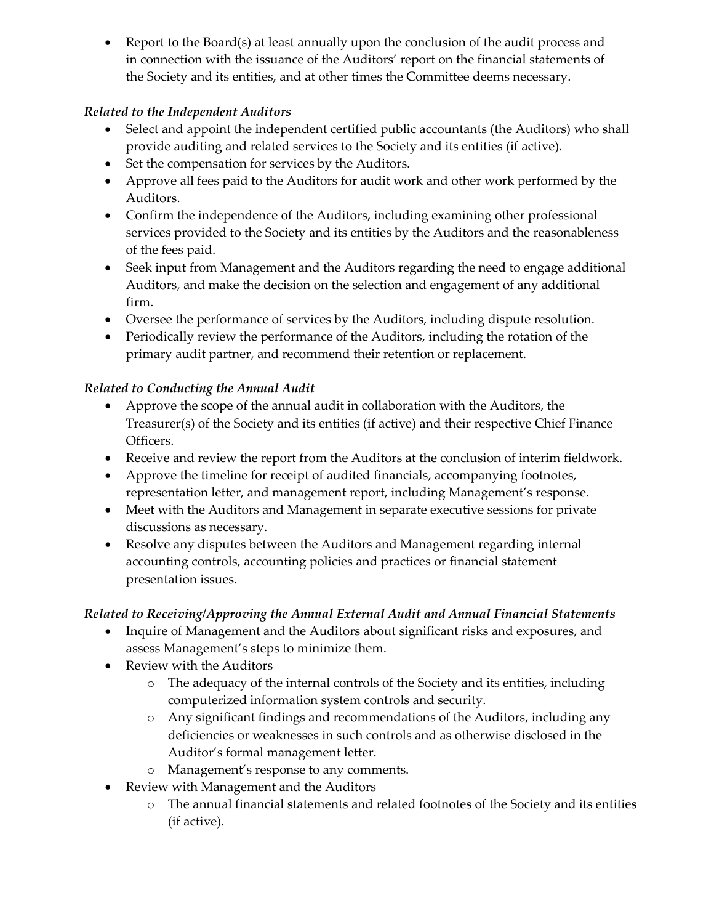• Report to the Board(s) at least annually upon the conclusion of the audit process and in connection with the issuance of the Auditors' report on the financial statements of the Society and its entities, and at other times the Committee deems necessary.

# *Related to the Independent Auditors*

- Select and appoint the independent certified public accountants (the Auditors) who shall provide auditing and related services to the Society and its entities (if active).
- Set the compensation for services by the Auditors.
- Approve all fees paid to the Auditors for audit work and other work performed by the Auditors.
- Confirm the independence of the Auditors, including examining other professional services provided to the Society and its entities by the Auditors and the reasonableness of the fees paid.
- Seek input from Management and the Auditors regarding the need to engage additional Auditors, and make the decision on the selection and engagement of any additional firm.
- Oversee the performance of services by the Auditors, including dispute resolution.
- Periodically review the performance of the Auditors, including the rotation of the primary audit partner, and recommend their retention or replacement.

# *Related to Conducting the Annual Audit*

- Approve the scope of the annual audit in collaboration with the Auditors, the Treasurer(s) of the Society and its entities (if active) and their respective Chief Finance Officers.
- Receive and review the report from the Auditors at the conclusion of interim fieldwork.
- Approve the timeline for receipt of audited financials, accompanying footnotes, representation letter, and management report, including Management's response.
- Meet with the Auditors and Management in separate executive sessions for private discussions as necessary.
- Resolve any disputes between the Auditors and Management regarding internal accounting controls, accounting policies and practices or financial statement presentation issues.

# *Related to Receiving/Approving the Annual External Audit and Annual Financial Statements*

- Inquire of Management and the Auditors about significant risks and exposures, and assess Management's steps to minimize them.
- Review with the Auditors
	- o The adequacy of the internal controls of the Society and its entities, including computerized information system controls and security.
	- o Any significant findings and recommendations of the Auditors, including any deficiencies or weaknesses in such controls and as otherwise disclosed in the Auditor's formal management letter.
	- o Management's response to any comments.
- Review with Management and the Auditors
	- o The annual financial statements and related footnotes of the Society and its entities (if active).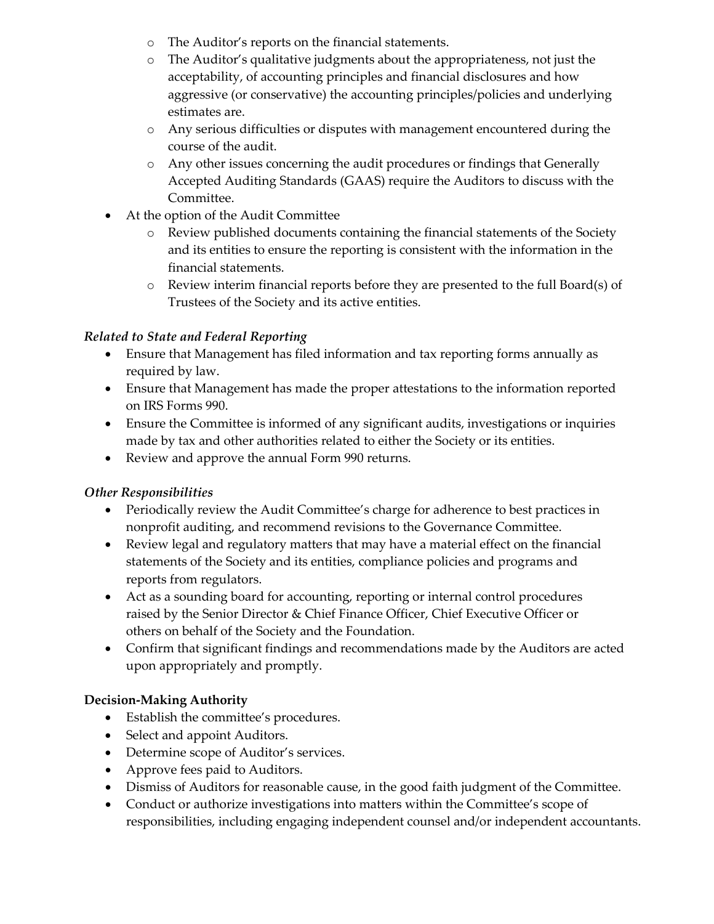- o The Auditor's reports on the financial statements.
- o The Auditor's qualitative judgments about the appropriateness, not just the acceptability, of accounting principles and financial disclosures and how aggressive (or conservative) the accounting principles/policies and underlying estimates are.
- o Any serious difficulties or disputes with management encountered during the course of the audit.
- o Any other issues concerning the audit procedures or findings that Generally Accepted Auditing Standards (GAAS) require the Auditors to discuss with the Committee.
- At the option of the Audit Committee
	- o Review published documents containing the financial statements of the Society and its entities to ensure the reporting is consistent with the information in the financial statements.
	- o Review interim financial reports before they are presented to the full Board(s) of Trustees of the Society and its active entities.

# *Related to State and Federal Reporting*

- Ensure that Management has filed information and tax reporting forms annually as required by law.
- Ensure that Management has made the proper attestations to the information reported on IRS Forms 990.
- Ensure the Committee is informed of any significant audits, investigations or inquiries made by tax and other authorities related to either the Society or its entities.
- Review and approve the annual Form 990 returns.

# *Other Responsibilities*

- Periodically review the Audit Committee's charge for adherence to best practices in nonprofit auditing, and recommend revisions to the Governance Committee.
- Review legal and regulatory matters that may have a material effect on the financial statements of the Society and its entities, compliance policies and programs and reports from regulators.
- Act as a sounding board for accounting, reporting or internal control procedures raised by the Senior Director & Chief Finance Officer, Chief Executive Officer or others on behalf of the Society and the Foundation.
- Confirm that significant findings and recommendations made by the Auditors are acted upon appropriately and promptly.

# **Decision-Making Authority**

- Establish the committee's procedures.
- Select and appoint Auditors.
- Determine scope of Auditor's services.
- Approve fees paid to Auditors.
- Dismiss of Auditors for reasonable cause, in the good faith judgment of the Committee.
- Conduct or authorize investigations into matters within the Committee's scope of responsibilities, including engaging independent counsel and/or independent accountants.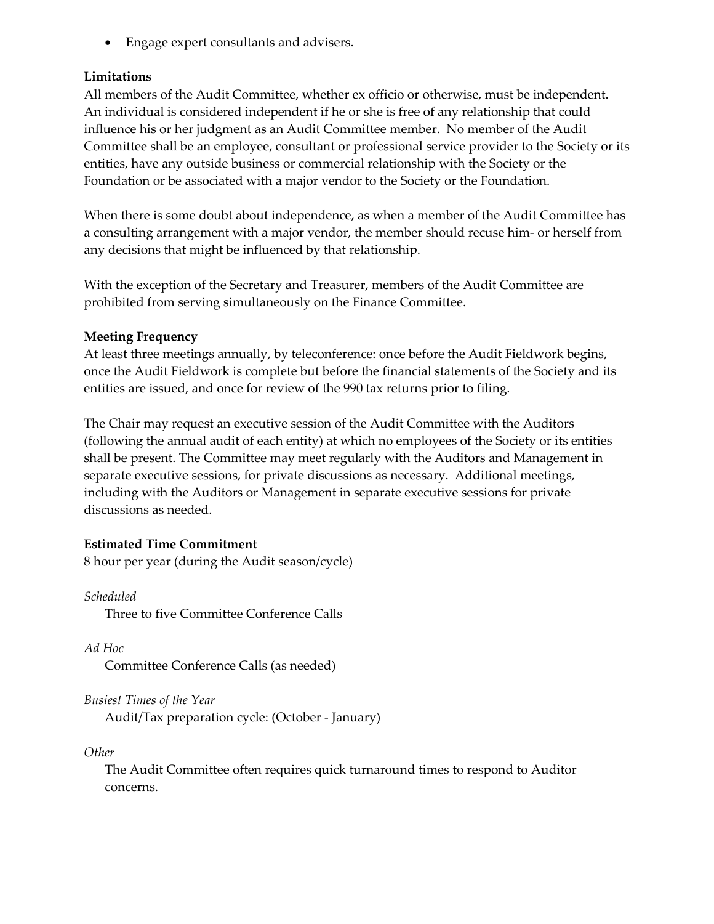• Engage expert consultants and advisers.

# **Limitations**

All members of the Audit Committee, whether ex officio or otherwise, must be independent. An individual is considered independent if he or she is free of any relationship that could influence his or her judgment as an Audit Committee member. No member of the Audit Committee shall be an employee, consultant or professional service provider to the Society or its entities, have any outside business or commercial relationship with the Society or the Foundation or be associated with a major vendor to the Society or the Foundation.

When there is some doubt about independence, as when a member of the Audit Committee has a consulting arrangement with a major vendor, the member should recuse him- or herself from any decisions that might be influenced by that relationship.

With the exception of the Secretary and Treasurer, members of the Audit Committee are prohibited from serving simultaneously on the Finance Committee.

#### **Meeting Frequency**

At least three meetings annually, by teleconference: once before the Audit Fieldwork begins, once the Audit Fieldwork is complete but before the financial statements of the Society and its entities are issued, and once for review of the 990 tax returns prior to filing.

The Chair may request an executive session of the Audit Committee with the Auditors (following the annual audit of each entity) at which no employees of the Society or its entities shall be present. The Committee may meet regularly with the Auditors and Management in separate executive sessions, for private discussions as necessary. Additional meetings, including with the Auditors or Management in separate executive sessions for private discussions as needed.

# **Estimated Time Commitment**

8 hour per year (during the Audit season/cycle)

#### *Scheduled*

Three to five Committee Conference Calls

*Ad Hoc* Committee Conference Calls (as needed)

*Busiest Times of the Year*

Audit/Tax preparation cycle: (October - January)

*Other* 

The Audit Committee often requires quick turnaround times to respond to Auditor concerns.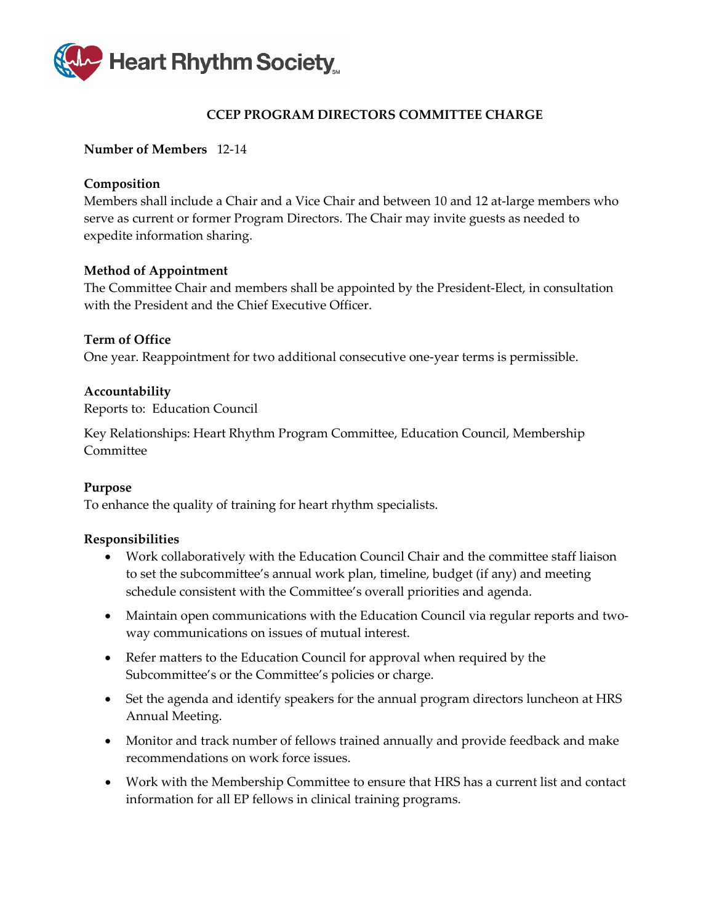

# **CCEP PROGRAM DIRECTORS COMMITTEE CHARGE**

#### <span id="page-8-0"></span>**Number of Members** 12-14

#### **Composition**

Members shall include a Chair and a Vice Chair and between 10 and 12 at-large members who serve as current or former Program Directors. The Chair may invite guests as needed to expedite information sharing.

#### **Method of Appointment**

The Committee Chair and members shall be appointed by the President-Elect, in consultation with the President and the Chief Executive Officer.

# **Term of Office** One year. Reappointment for two additional consecutive one-year terms is permissible.

#### **Accountability**

Reports to: Education Council

Key Relationships: Heart Rhythm Program Committee, Education Council, Membership Committee

#### **Purpose**

To enhance the quality of training for heart rhythm specialists.

- Work collaboratively with the Education Council Chair and the committee staff liaison to set the subcommittee's annual work plan, timeline, budget (if any) and meeting schedule consistent with the Committee's overall priorities and agenda.
- Maintain open communications with the Education Council via regular reports and twoway communications on issues of mutual interest.
- Refer matters to the Education Council for approval when required by the Subcommittee's or the Committee's policies or charge.
- Set the agenda and identify speakers for the annual program directors luncheon at HRS Annual Meeting.
- Monitor and track number of fellows trained annually and provide feedback and make recommendations on work force issues.
- Work with the Membership Committee to ensure that HRS has a current list and contact information for all EP fellows in clinical training programs.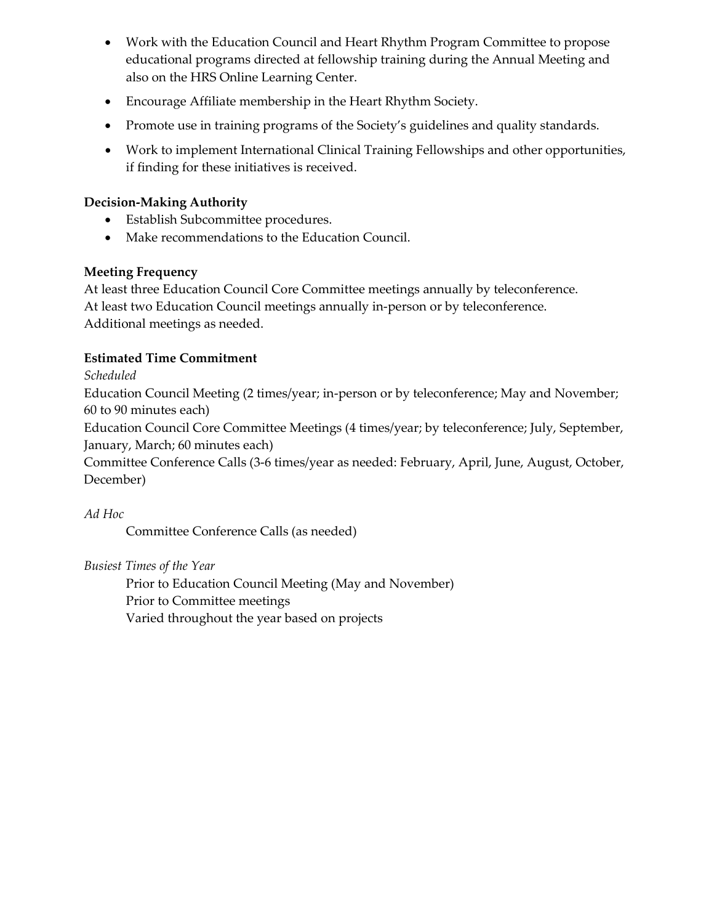- Work with the Education Council and Heart Rhythm Program Committee to propose educational programs directed at fellowship training during the Annual Meeting and also on the HRS Online Learning Center.
- Encourage Affiliate membership in the Heart Rhythm Society.
- Promote use in training programs of the Society's guidelines and quality standards.
- Work to implement International Clinical Training Fellowships and other opportunities, if finding for these initiatives is received.

- Establish Subcommittee procedures.
- Make recommendations to the Education Council.

# **Meeting Frequency**

At least three Education Council Core Committee meetings annually by teleconference. At least two Education Council meetings annually in-person or by teleconference. Additional meetings as needed.

# **Estimated Time Commitment**

*Scheduled*

Education Council Meeting (2 times/year; in-person or by teleconference; May and November; 60 to 90 minutes each)

Education Council Core Committee Meetings (4 times/year; by teleconference; July, September, January, March; 60 minutes each)

Committee Conference Calls (3-6 times/year as needed: February, April, June, August, October, December)

*Ad Hoc*

Committee Conference Calls (as needed)

*Busiest Times of the Year* 

Prior to Education Council Meeting (May and November) Prior to Committee meetings Varied throughout the year based on projects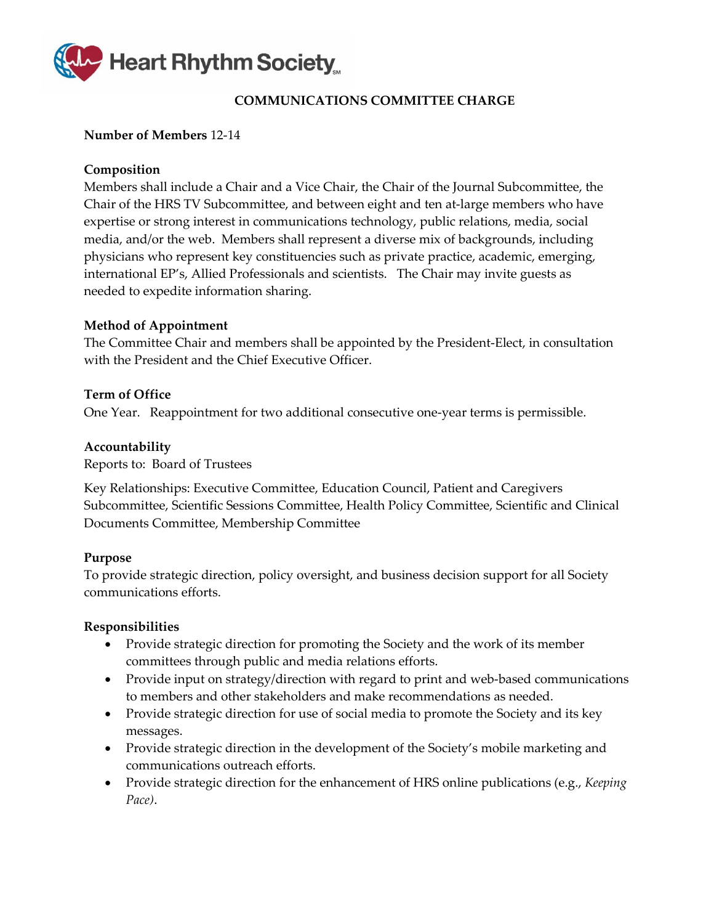

# **COMMUNICATIONS COMMITTEE CHARGE**

# <span id="page-10-0"></span>**Number of Members** 12-14

# **Composition**

Members shall include a Chair and a Vice Chair, the Chair of the Journal Subcommittee, the Chair of the HRS TV Subcommittee, and between eight and ten at-large members who have expertise or strong interest in communications technology, public relations, media, social media, and/or the web. Members shall represent a diverse mix of backgrounds, including physicians who represent key constituencies such as private practice, academic, emerging, international EP's, Allied Professionals and scientists. The Chair may invite guests as needed to expedite information sharing.

# **Method of Appointment**

The Committee Chair and members shall be appointed by the President-Elect, in consultation with the President and the Chief Executive Officer.

#### **Term of Office**

One Year. Reappointment for two additional consecutive one-year terms is permissible.

#### **Accountability**

Reports to: Board of Trustees

Key Relationships: Executive Committee, Education Council, Patient and Caregivers Subcommittee, Scientific Sessions Committee, Health Policy Committee, Scientific and Clinical Documents Committee, Membership Committee

#### **Purpose**

To provide strategic direction, policy oversight, and business decision support for all Society communications efforts.

- Provide strategic direction for promoting the Society and the work of its member committees through public and media relations efforts.
- Provide input on strategy/direction with regard to print and web-based communications to members and other stakeholders and make recommendations as needed.
- Provide strategic direction for use of social media to promote the Society and its key messages.
- Provide strategic direction in the development of the Society's mobile marketing and communications outreach efforts.
- Provide strategic direction for the enhancement of HRS online publications (e.g., *Keeping Pace)*.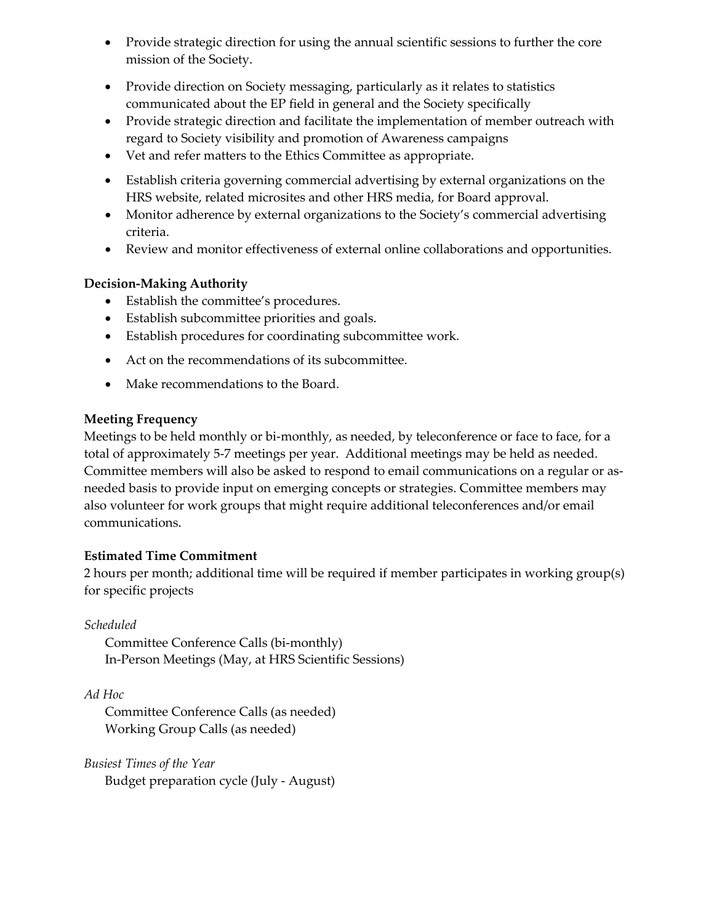- Provide strategic direction for using the annual scientific sessions to further the core mission of the Society.
- Provide direction on Society messaging, particularly as it relates to statistics communicated about the EP field in general and the Society specifically
- Provide strategic direction and facilitate the implementation of member outreach with regard to Society visibility and promotion of Awareness campaigns
- Vet and refer matters to the Ethics Committee as appropriate.
- Establish criteria governing commercial advertising by external organizations on the HRS website, related microsites and other HRS media, for Board approval.
- Monitor adherence by external organizations to the Society's commercial advertising criteria.
- Review and monitor effectiveness of external online collaborations and opportunities.

- Establish the committee's procedures.
- Establish subcommittee priorities and goals.
- Establish procedures for coordinating subcommittee work.
- Act on the recommendations of its subcommittee.
- Make recommendations to the Board.

# **Meeting Frequency**

Meetings to be held monthly or bi-monthly, as needed, by teleconference or face to face, for a total of approximately 5-7 meetings per year. Additional meetings may be held as needed. Committee members will also be asked to respond to email communications on a regular or asneeded basis to provide input on emerging concepts or strategies. Committee members may also volunteer for work groups that might require additional teleconferences and/or email communications.

# **Estimated Time Commitment**

2 hours per month; additional time will be required if member participates in working group(s) for specific projects

# *Scheduled*

Committee Conference Calls (bi-monthly) In-Person Meetings (May, at HRS Scientific Sessions)

*Ad Hoc*

Committee Conference Calls (as needed) Working Group Calls (as needed)

*Busiest Times of the Year* Budget preparation cycle (July - August)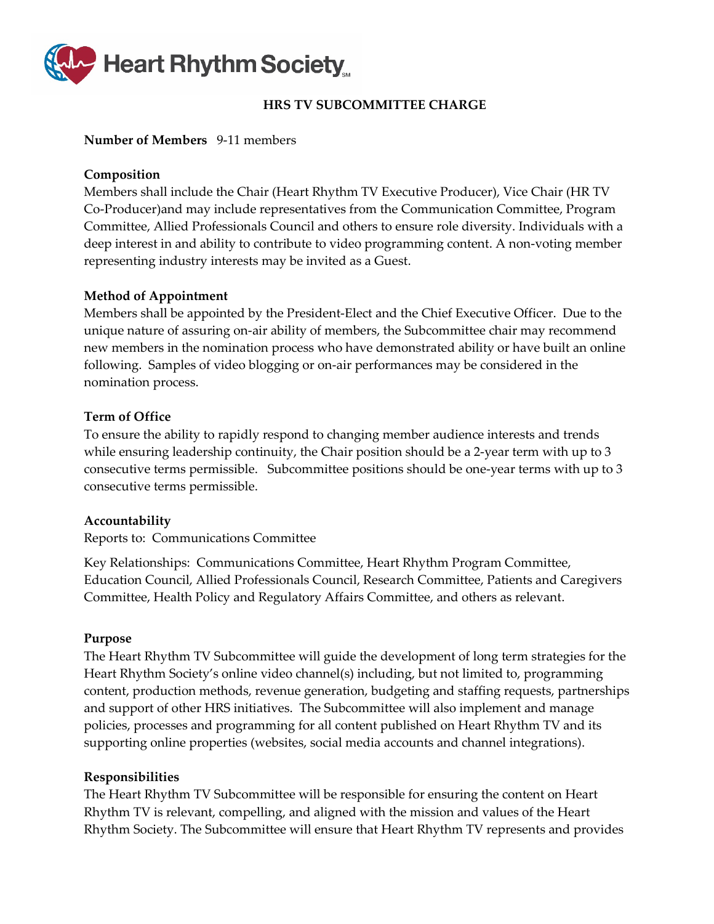

# **HRS TV SUBCOMMITTEE CHARGE**

#### <span id="page-12-0"></span>**Number of Members** 9-11 members

#### **Composition**

Members shall include the Chair (Heart Rhythm TV Executive Producer), Vice Chair (HR TV Co-Producer)and may include representatives from the Communication Committee, Program Committee, Allied Professionals Council and others to ensure role diversity. Individuals with a deep interest in and ability to contribute to video programming content. A non-voting member representing industry interests may be invited as a Guest.

#### **Method of Appointment**

Members shall be appointed by the President-Elect and the Chief Executive Officer. Due to the unique nature of assuring on-air ability of members, the Subcommittee chair may recommend new members in the nomination process who have demonstrated ability or have built an online following. Samples of video blogging or on-air performances may be considered in the nomination process.

#### **Term of Office**

To ensure the ability to rapidly respond to changing member audience interests and trends while ensuring leadership continuity, the Chair position should be a 2-year term with up to 3 consecutive terms permissible. Subcommittee positions should be one-year terms with up to 3 consecutive terms permissible.

#### **Accountability**

Reports to: Communications Committee

Key Relationships: Communications Committee, Heart Rhythm Program Committee, Education Council, Allied Professionals Council, Research Committee, Patients and Caregivers Committee, Health Policy and Regulatory Affairs Committee, and others as relevant.

#### **Purpose**

The Heart Rhythm TV Subcommittee will guide the development of long term strategies for the Heart Rhythm Society's online video channel(s) including, but not limited to, programming content, production methods, revenue generation, budgeting and staffing requests, partnerships and support of other HRS initiatives. The Subcommittee will also implement and manage policies, processes and programming for all content published on Heart Rhythm TV and its supporting online properties (websites, social media accounts and channel integrations).

#### **Responsibilities**

The Heart Rhythm TV Subcommittee will be responsible for ensuring the content on Heart Rhythm TV is relevant, compelling, and aligned with the mission and values of the Heart Rhythm Society. The Subcommittee will ensure that Heart Rhythm TV represents and provides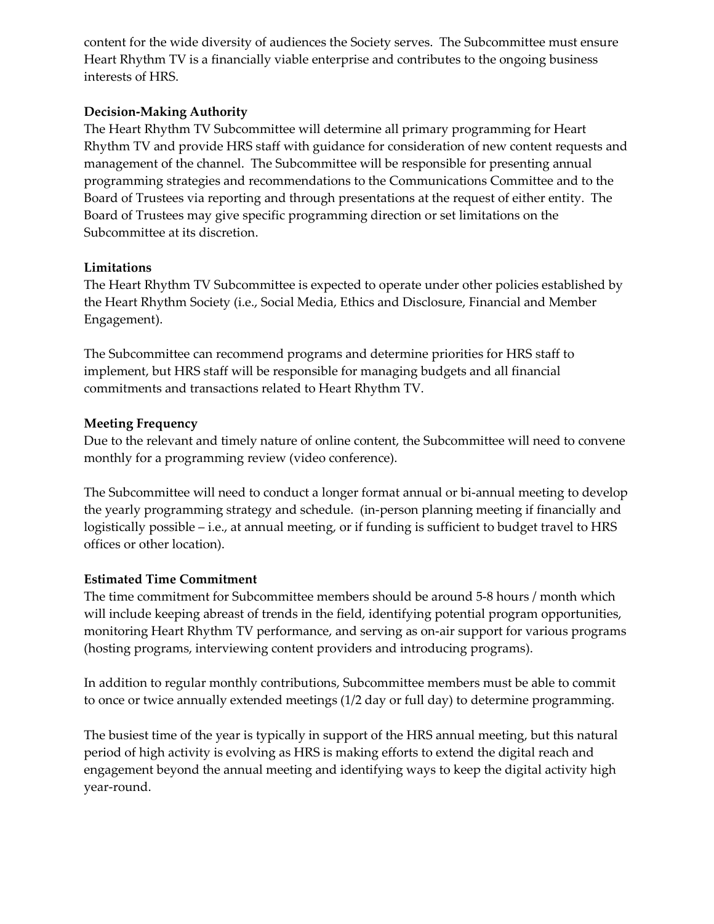content for the wide diversity of audiences the Society serves. The Subcommittee must ensure Heart Rhythm TV is a financially viable enterprise and contributes to the ongoing business interests of HRS.

# **Decision-Making Authority**

The Heart Rhythm TV Subcommittee will determine all primary programming for Heart Rhythm TV and provide HRS staff with guidance for consideration of new content requests and management of the channel. The Subcommittee will be responsible for presenting annual programming strategies and recommendations to the Communications Committee and to the Board of Trustees via reporting and through presentations at the request of either entity. The Board of Trustees may give specific programming direction or set limitations on the Subcommittee at its discretion.

# **Limitations**

The Heart Rhythm TV Subcommittee is expected to operate under other policies established by the Heart Rhythm Society (i.e., Social Media, Ethics and Disclosure, Financial and Member Engagement).

The Subcommittee can recommend programs and determine priorities for HRS staff to implement, but HRS staff will be responsible for managing budgets and all financial commitments and transactions related to Heart Rhythm TV.

# **Meeting Frequency**

Due to the relevant and timely nature of online content, the Subcommittee will need to convene monthly for a programming review (video conference).

The Subcommittee will need to conduct a longer format annual or bi-annual meeting to develop the yearly programming strategy and schedule. (in-person planning meeting if financially and logistically possible – i.e., at annual meeting, or if funding is sufficient to budget travel to HRS offices or other location).

#### **Estimated Time Commitment**

The time commitment for Subcommittee members should be around 5-8 hours / month which will include keeping abreast of trends in the field, identifying potential program opportunities, monitoring Heart Rhythm TV performance, and serving as on-air support for various programs (hosting programs, interviewing content providers and introducing programs).

In addition to regular monthly contributions, Subcommittee members must be able to commit to once or twice annually extended meetings (1/2 day or full day) to determine programming.

The busiest time of the year is typically in support of the HRS annual meeting, but this natural period of high activity is evolving as HRS is making efforts to extend the digital reach and engagement beyond the annual meeting and identifying ways to keep the digital activity high year-round.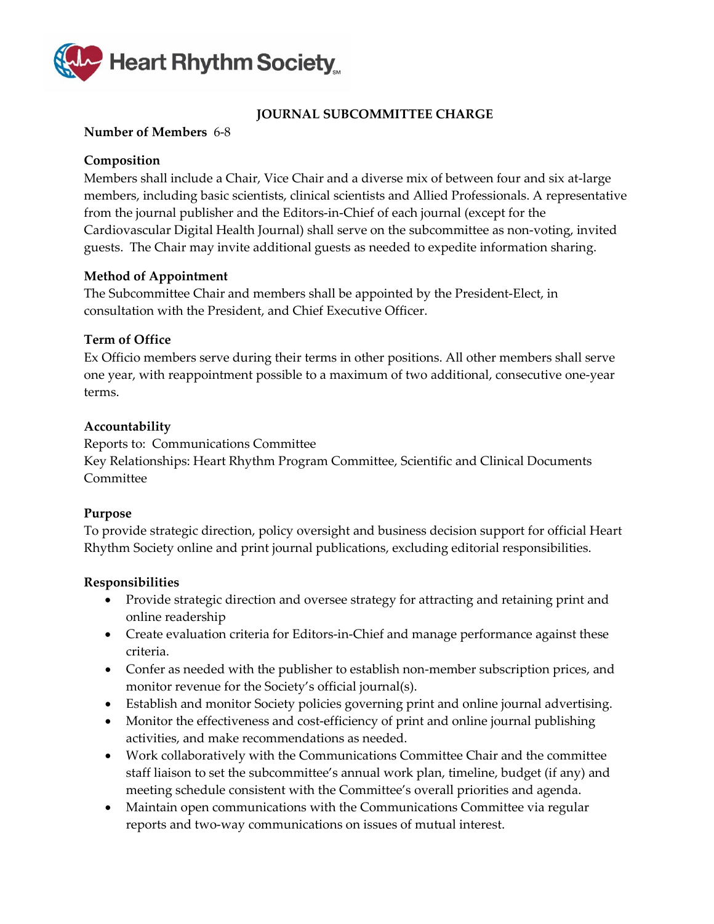

# **JOURNAL SUBCOMMITTEE CHARGE**

### <span id="page-14-0"></span>**Number of Members** 6-8

# **Composition**

Members shall include a Chair, Vice Chair and a diverse mix of between four and six at-large members, including basic scientists, clinical scientists and Allied Professionals. A representative from the journal publisher and the Editors-in-Chief of each journal (except for the Cardiovascular Digital Health Journal) shall serve on the subcommittee as non-voting, invited guests. The Chair may invite additional guests as needed to expedite information sharing.

# **Method of Appointment**

The Subcommittee Chair and members shall be appointed by the President-Elect, in consultation with the President, and Chief Executive Officer.

# **Term of Office**

Ex Officio members serve during their terms in other positions. All other members shall serve one year, with reappointment possible to a maximum of two additional, consecutive one-year terms.

# **Accountability**

Reports to: Communications Committee Key Relationships: Heart Rhythm Program Committee, Scientific and Clinical Documents Committee

#### **Purpose**

To provide strategic direction, policy oversight and business decision support for official Heart Rhythm Society online and print journal publications, excluding editorial responsibilities.

- Provide strategic direction and oversee strategy for attracting and retaining print and online readership
- Create evaluation criteria for Editors-in-Chief and manage performance against these criteria.
- Confer as needed with the publisher to establish non-member subscription prices, and monitor revenue for the Society's official journal(s).
- Establish and monitor Society policies governing print and online journal advertising.
- Monitor the effectiveness and cost-efficiency of print and online journal publishing activities, and make recommendations as needed.
- Work collaboratively with the Communications Committee Chair and the committee staff liaison to set the subcommittee's annual work plan, timeline, budget (if any) and meeting schedule consistent with the Committee's overall priorities and agenda.
- Maintain open communications with the Communications Committee via regular reports and two-way communications on issues of mutual interest.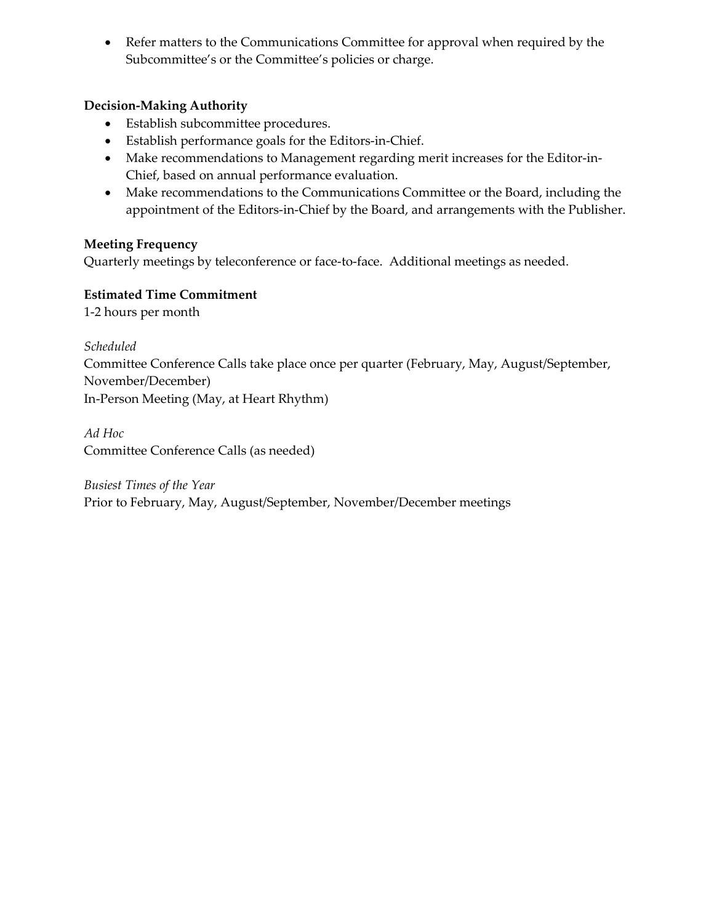• Refer matters to the Communications Committee for approval when required by the Subcommittee's or the Committee's policies or charge.

# **Decision-Making Authority**

- Establish subcommittee procedures.
- Establish performance goals for the Editors-in-Chief.
- Make recommendations to Management regarding merit increases for the Editor-in-Chief, based on annual performance evaluation.
- Make recommendations to the Communications Committee or the Board, including the appointment of the Editors-in-Chief by the Board, and arrangements with the Publisher.

# **Meeting Frequency**

Quarterly meetings by teleconference or face-to-face. Additional meetings as needed.

# **Estimated Time Commitment**

1-2 hours per month

*Scheduled* Committee Conference Calls take place once per quarter (February, May, August/September, November/December) In-Person Meeting (May, at Heart Rhythm)

*Ad Hoc* Committee Conference Calls (as needed)

*Busiest Times of the Year* Prior to February, May, August/September, November/December meetings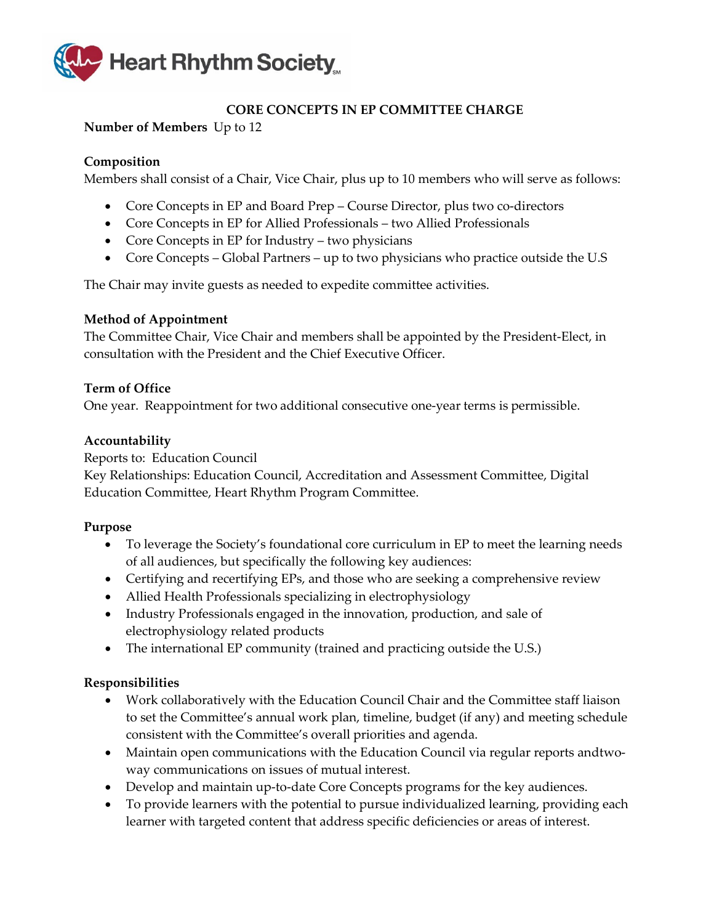

# **CORE CONCEPTS IN EP COMMITTEE CHARGE**

# <span id="page-16-0"></span>**Number of Members** Up to 12

### **Composition**

Members shall consist of a Chair, Vice Chair, plus up to 10 members who will serve as follows:

- Core Concepts in EP and Board Prep Course Director, plus two co-directors
- Core Concepts in EP for Allied Professionals two Allied Professionals
- Core Concepts in EP for Industry two physicians
- Core Concepts Global Partners up to two physicians who practice outside the U.S

The Chair may invite guests as needed to expedite committee activities.

#### **Method of Appointment**

The Committee Chair, Vice Chair and members shall be appointed by the President-Elect, in consultation with the President and the Chief Executive Officer.

# **Term of Office**

One year. Reappointment for two additional consecutive one-year terms is permissible.

# **Accountability**

Reports to: Education Council

Key Relationships: Education Council, Accreditation and Assessment Committee, Digital Education Committee, Heart Rhythm Program Committee.

#### **Purpose**

- To leverage the Society's foundational core curriculum in EP to meet the learning needs of all audiences, but specifically the following key audiences:
- Certifying and recertifying EPs, and those who are seeking a comprehensive review
- Allied Health Professionals specializing in electrophysiology
- Industry Professionals engaged in the innovation, production, and sale of electrophysiology related products
- The international EP community (trained and practicing outside the U.S.)

- Work collaboratively with the Education Council Chair and the Committee staff liaison to set the Committee's annual work plan, timeline, budget (if any) and meeting schedule consistent with the Committee's overall priorities and agenda.
- Maintain open communications with the Education Council via regular reports andtwoway communications on issues of mutual interest.
- Develop and maintain up-to-date Core Concepts programs for the key audiences.
- To provide learners with the potential to pursue individualized learning, providing each learner with targeted content that address specific deficiencies or areas of interest.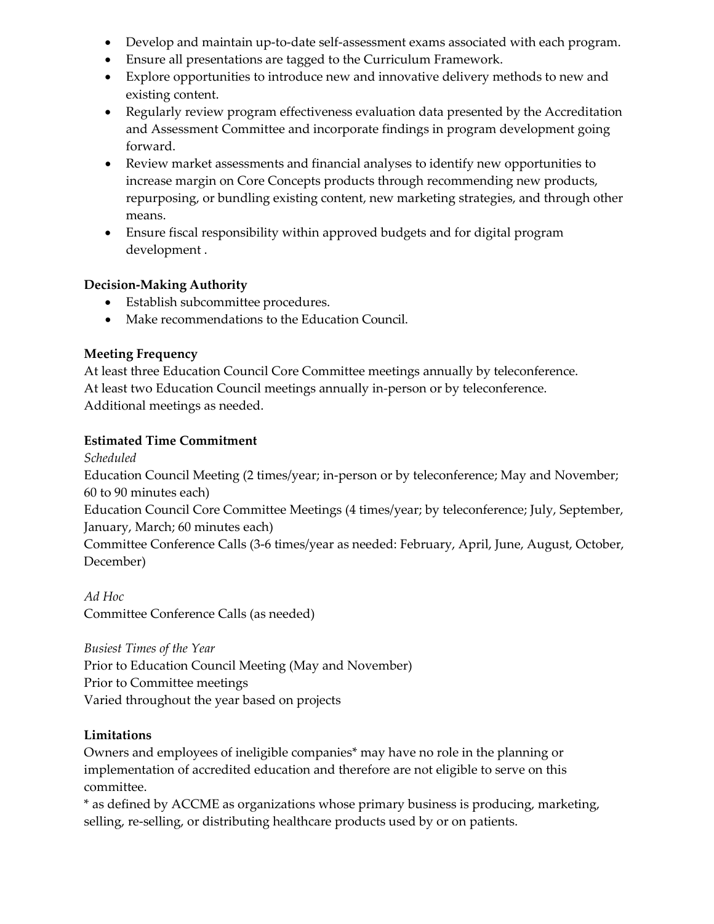- Develop and maintain up-to-date self-assessment exams associated with each program.
- Ensure all presentations are tagged to the Curriculum Framework.
- Explore opportunities to introduce new and innovative delivery methods to new and existing content.
- Regularly review program effectiveness evaluation data presented by the Accreditation and Assessment Committee and incorporate findings in program development going forward.
- Review market assessments and financial analyses to identify new opportunities to increase margin on Core Concepts products through recommending new products, repurposing, or bundling existing content, new marketing strategies, and through other means.
- Ensure fiscal responsibility within approved budgets and for digital program development .

- Establish subcommittee procedures.
- Make recommendations to the Education Council.

# **Meeting Frequency**

At least three Education Council Core Committee meetings annually by teleconference. At least two Education Council meetings annually in-person or by teleconference. Additional meetings as needed.

# **Estimated Time Commitment**

*Scheduled*

Education Council Meeting (2 times/year; in-person or by teleconference; May and November; 60 to 90 minutes each)

Education Council Core Committee Meetings (4 times/year; by teleconference; July, September, January, March; 60 minutes each)

Committee Conference Calls (3-6 times/year as needed: February, April, June, August, October, December)

*Ad Hoc* Committee Conference Calls (as needed)

*Busiest Times of the Year* 

Prior to Education Council Meeting (May and November) Prior to Committee meetings Varied throughout the year based on projects

# **Limitations**

Owners and employees of ineligible companies\* may have no role in the planning or implementation of accredited education and therefore are not eligible to serve on this committee.

\* as defined by ACCME as organizations whose primary business is producing, marketing, selling, re-selling, or distributing healthcare products used by or on patients.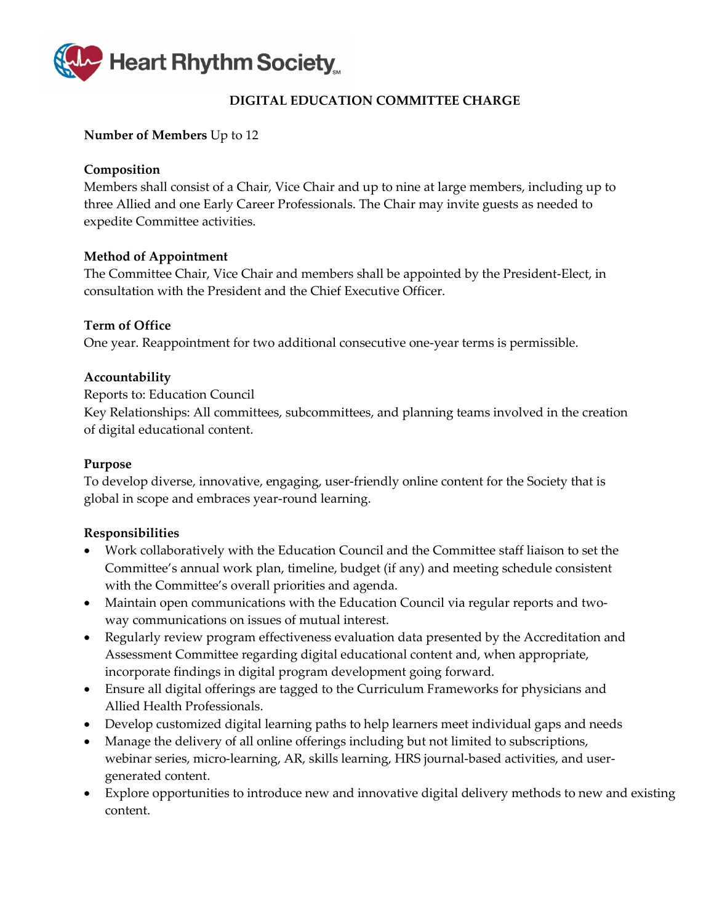

# **DIGITAL EDUCATION COMMITTEE CHARGE**

#### <span id="page-18-0"></span>**Number of Members** Up to 12

# **Composition**

Members shall consist of a Chair, Vice Chair and up to nine at large members, including up to three Allied and one Early Career Professionals. The Chair may invite guests as needed to expedite Committee activities.

# **Method of Appointment**

The Committee Chair, Vice Chair and members shall be appointed by the President-Elect, in consultation with the President and the Chief Executive Officer.

# **Term of Office**

One year. Reappointment for two additional consecutive one-year terms is permissible.

# **Accountability**

Reports to: Education Council

Key Relationships: All committees, subcommittees, and planning teams involved in the creation of digital educational content.

### **Purpose**

To develop diverse, innovative, engaging, user-friendly online content for the Society that is global in scope and embraces year-round learning.

- Work collaboratively with the Education Council and the Committee staff liaison to set the Committee's annual work plan, timeline, budget (if any) and meeting schedule consistent with the Committee's overall priorities and agenda.
- Maintain open communications with the Education Council via regular reports and twoway communications on issues of mutual interest.
- Regularly review program effectiveness evaluation data presented by the Accreditation and Assessment Committee regarding digital educational content and, when appropriate, incorporate findings in digital program development going forward.
- Ensure all digital offerings are tagged to the Curriculum Frameworks for physicians and Allied Health Professionals.
- Develop customized digital learning paths to help learners meet individual gaps and needs
- Manage the delivery of all online offerings including but not limited to subscriptions, webinar series, micro-learning, AR, skills learning, HRS journal-based activities, and usergenerated content.
- Explore opportunities to introduce new and innovative digital delivery methods to new and existing content.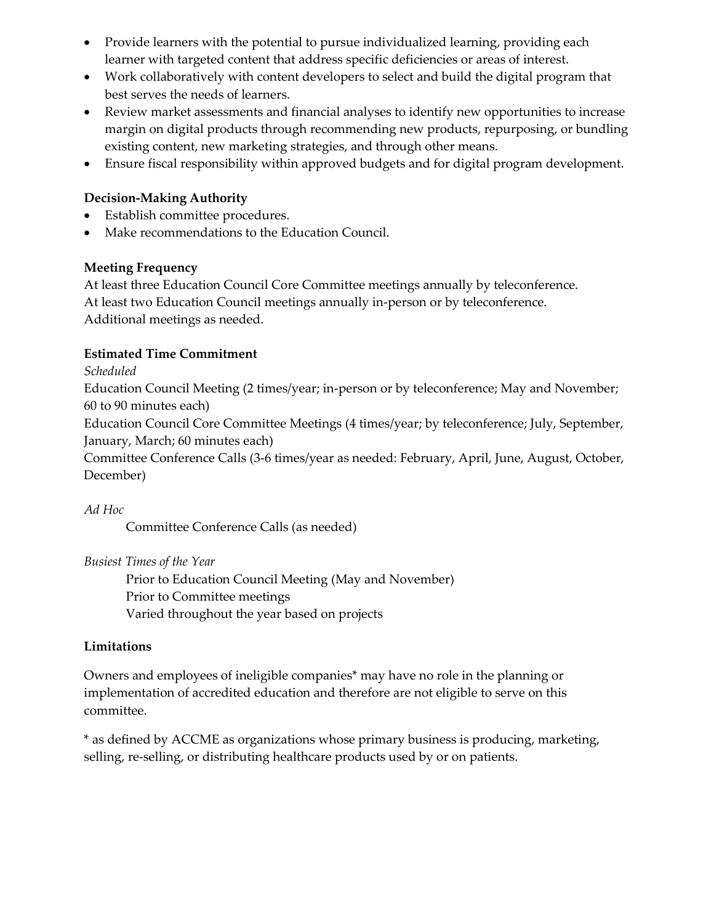- Provide learners with the potential to pursue individualized learning, providing each learner with targeted content that address specific deficiencies or areas of interest.
- Work collaboratively with content developers to select and build the digital program that best serves the needs of learners.
- Review market assessments and financial analyses to identify new opportunities to increase margin on digital products through recommending new products, repurposing, or bundling existing content, new marketing strategies, and through other means.
- Ensure fiscal responsibility within approved budgets and for digital program development.

- Establish committee procedures.
- Make recommendations to the Education Council.

# **Meeting Frequency**

At least three Education Council Core Committee meetings annually by teleconference. At least two Education Council meetings annually in-person or by teleconference. Additional meetings as needed.

# **Estimated Time Commitment**

*Scheduled*

Education Council Meeting (2 times/year; in-person or by teleconference; May and November; 60 to 90 minutes each)

Education Council Core Committee Meetings (4 times/year; by teleconference; July, September, January, March; 60 minutes each)

Committee Conference Calls (3-6 times/year as needed: February, April, June, August, October, December)

#### *Ad Hoc*

Committee Conference Calls (as needed)

*Busiest Times of the Year* 

Prior to Education Council Meeting (May and November) Prior to Committee meetings Varied throughout the year based on projects

# **Limitations**

Owners and employees of ineligible companies\* may have no role in the planning or implementation of accredited education and therefore are not eligible to serve on this committee.

\* as defined by ACCME as organizations whose primary business is producing, marketing, selling, re-selling, or distributing healthcare products used by or on patients.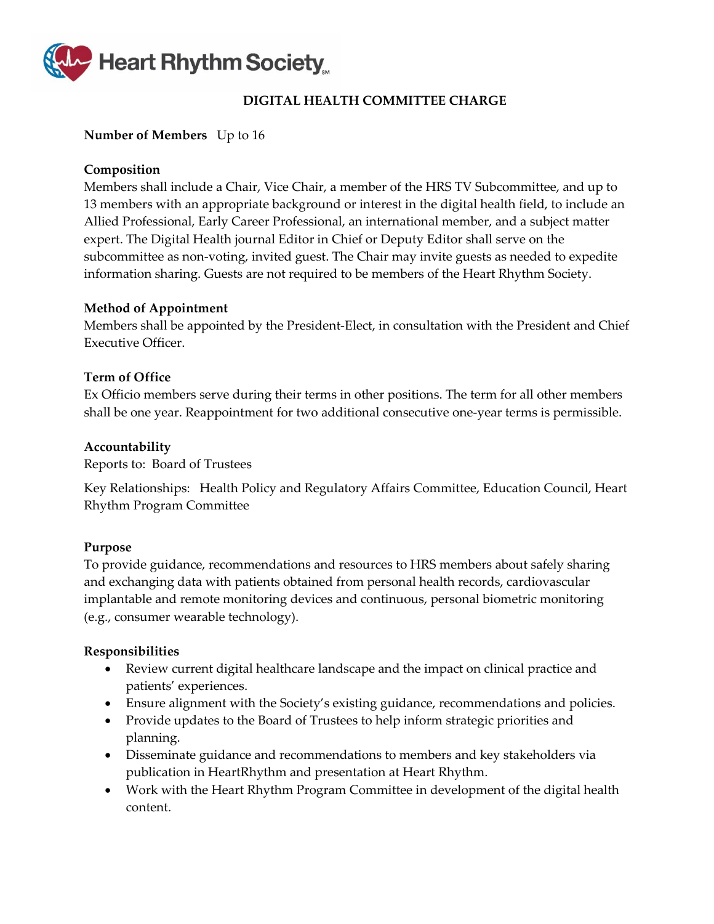

# **DIGITAL HEALTH COMMITTEE CHARGE**

#### <span id="page-20-0"></span>**Number of Members** Up to 16

### **Composition**

Members shall include a Chair, Vice Chair, a member of the HRS TV Subcommittee, and up to 13 members with an appropriate background or interest in the digital health field, to include an Allied Professional, Early Career Professional, an international member, and a subject matter expert. The Digital Health journal Editor in Chief or Deputy Editor shall serve on the subcommittee as non-voting, invited guest. The Chair may invite guests as needed to expedite information sharing. Guests are not required to be members of the Heart Rhythm Society.

#### **Method of Appointment**

Members shall be appointed by the President-Elect, in consultation with the President and Chief Executive Officer.

#### **Term of Office**

Ex Officio members serve during their terms in other positions. The term for all other members shall be one year. Reappointment for two additional consecutive one-year terms is permissible.

#### **Accountability**

Reports to: Board of Trustees

Key Relationships: Health Policy and Regulatory Affairs Committee, Education Council, Heart Rhythm Program Committee

#### **Purpose**

To provide guidance, recommendations and resources to HRS members about safely sharing and exchanging data with patients obtained from personal health records, cardiovascular implantable and remote monitoring devices and continuous, personal biometric monitoring (e.g., consumer wearable technology).

- Review current digital healthcare landscape and the impact on clinical practice and patients' experiences.
- Ensure alignment with the Society's existing guidance, recommendations and policies.
- Provide updates to the Board of Trustees to help inform strategic priorities and planning.
- Disseminate guidance and recommendations to members and key stakeholders via publication in HeartRhythm and presentation at Heart Rhythm.
- Work with the Heart Rhythm Program Committee in development of the digital health content.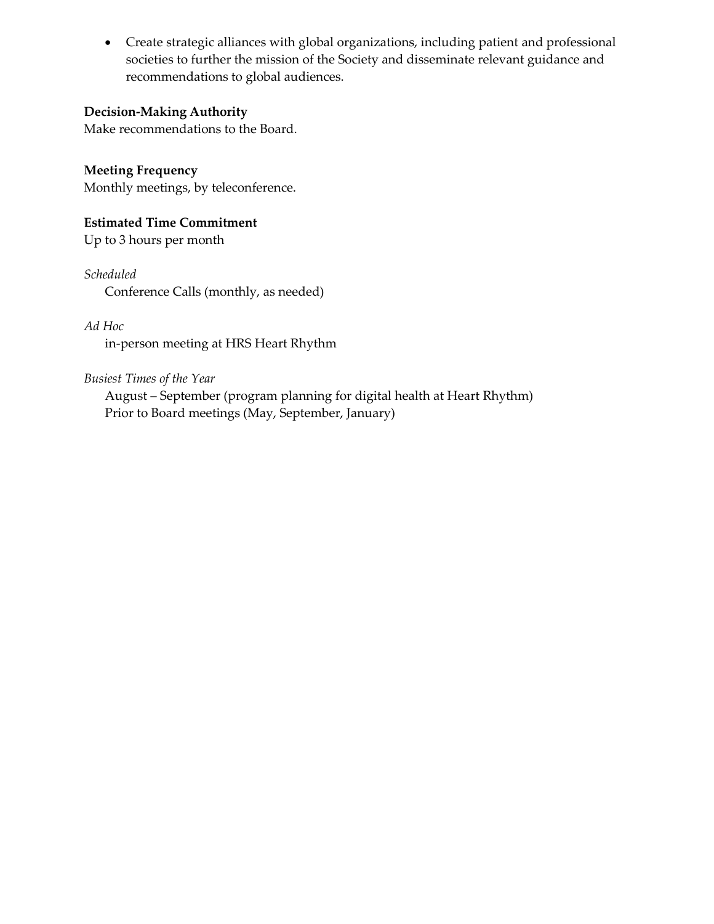• Create strategic alliances with global organizations, including patient and professional societies to further the mission of the Society and disseminate relevant guidance and recommendations to global audiences.

# **Decision-Making Authority**

Make recommendations to the Board.

**Meeting Frequency** Monthly meetings, by teleconference.

**Estimated Time Commitment** Up to 3 hours per month

*Scheduled* Conference Calls (monthly, as needed)

# *Ad Hoc*

in-person meeting at HRS Heart Rhythm

*Busiest Times of the Year*

August – September (program planning for digital health at Heart Rhythm) Prior to Board meetings (May, September, January)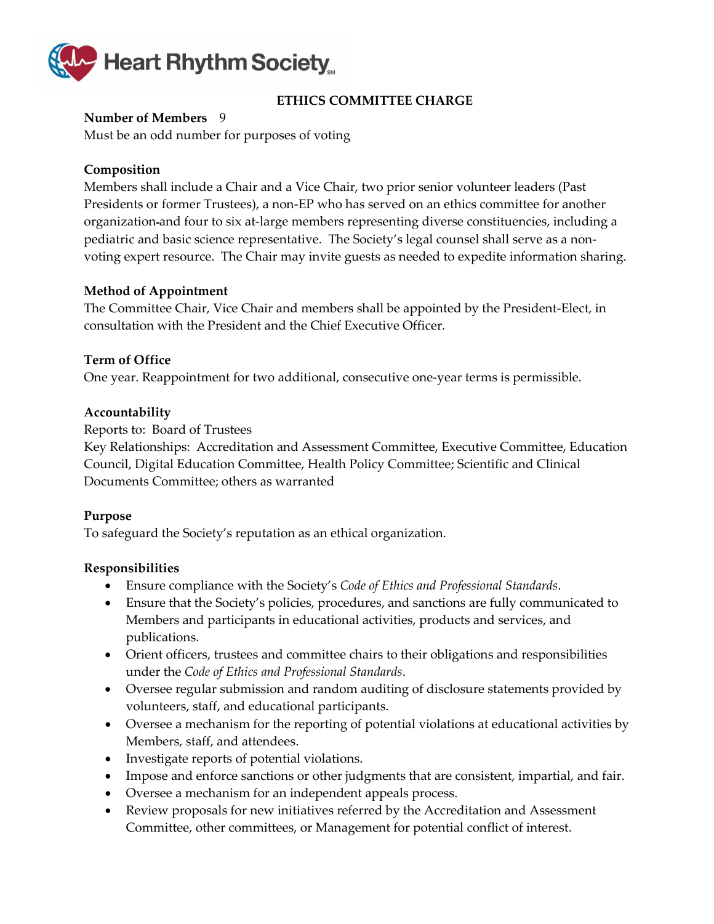

# **ETHICS COMMITTEE CHARGE**

#### <span id="page-22-0"></span>**Number of Members** 9

Must be an odd number for purposes of voting

### **Composition**

Members shall include a Chair and a Vice Chair, two prior senior volunteer leaders (Past Presidents or former Trustees), a non-EP who has served on an ethics committee for another organization and four to six at-large members representing diverse constituencies, including a pediatric and basic science representative. The Society's legal counsel shall serve as a nonvoting expert resource. The Chair may invite guests as needed to expedite information sharing.

#### **Method of Appointment**

The Committee Chair, Vice Chair and members shall be appointed by the President-Elect, in consultation with the President and the Chief Executive Officer.

#### **Term of Office**

One year. Reappointment for two additional, consecutive one-year terms is permissible.

#### **Accountability**

Reports to: Board of Trustees

Key Relationships: Accreditation and Assessment Committee, Executive Committee, Education Council, Digital Education Committee, Health Policy Committee; Scientific and Clinical Documents Committee; others as warranted

#### **Purpose**

To safeguard the Society's reputation as an ethical organization.

- Ensure compliance with the Society's *Code of Ethics and Professional Standards*.
- Ensure that the Society's policies, procedures, and sanctions are fully communicated to Members and participants in educational activities, products and services, and publications.
- Orient officers, trustees and committee chairs to their obligations and responsibilities under the *Code of Ethics and Professional Standards*.
- Oversee regular submission and random auditing of disclosure statements provided by volunteers, staff, and educational participants.
- Oversee a mechanism for the reporting of potential violations at educational activities by Members, staff, and attendees.
- Investigate reports of potential violations.
- Impose and enforce sanctions or other judgments that are consistent, impartial, and fair.
- Oversee a mechanism for an independent appeals process.
- Review proposals for new initiatives referred by the Accreditation and Assessment Committee, other committees, or Management for potential conflict of interest.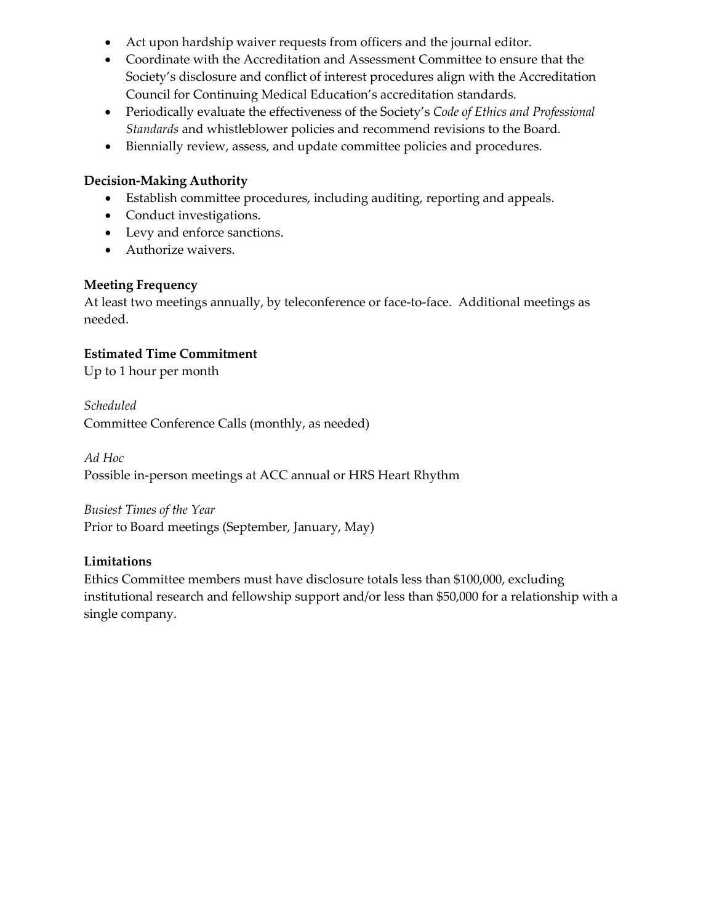- Act upon hardship waiver requests from officers and the journal editor.
- Coordinate with the Accreditation and Assessment Committee to ensure that the Society's disclosure and conflict of interest procedures align with the Accreditation Council for Continuing Medical Education's accreditation standards.
- Periodically evaluate the effectiveness of the Society's *Code of Ethics and Professional Standards* and whistleblower policies and recommend revisions to the Board.
- Biennially review, assess, and update committee policies and procedures.

- Establish committee procedures, including auditing, reporting and appeals.
- Conduct investigations.
- Levy and enforce sanctions.
- Authorize waivers.

# **Meeting Frequency**

At least two meetings annually, by teleconference or face-to-face. Additional meetings as needed.

# **Estimated Time Commitment**

Up to 1 hour per month

*Scheduled* Committee Conference Calls (monthly, as needed)

*Ad Hoc* Possible in-person meetings at ACC annual or HRS Heart Rhythm

*Busiest Times of the Year*

Prior to Board meetings (September, January, May)

# **Limitations**

Ethics Committee members must have disclosure totals less than \$100,000, excluding institutional research and fellowship support and/or less than \$50,000 for a relationship with a single company.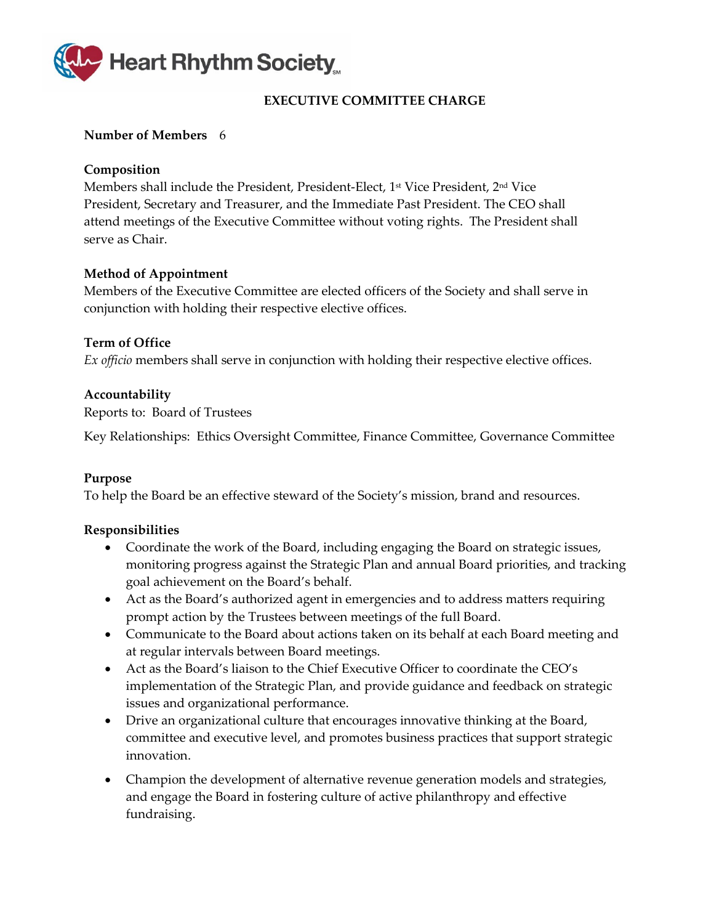

# **EXECUTIVE COMMITTEE CHARGE**

#### <span id="page-24-0"></span>**Number of Members** 6

#### **Composition**

Members shall include the President, President-Elect, 1<sup>st</sup> Vice President, 2<sup>nd</sup> Vice President, Secretary and Treasurer, and the Immediate Past President. The CEO shall attend meetings of the Executive Committee without voting rights. The President shall serve as Chair.

#### **Method of Appointment**

Members of the Executive Committee are elected officers of the Society and shall serve in conjunction with holding their respective elective offices.

#### **Term of Office**

*Ex officio* members shall serve in conjunction with holding their respective elective offices.

#### **Accountability**

Reports to: Board of Trustees

Key Relationships: Ethics Oversight Committee, Finance Committee, Governance Committee

#### **Purpose**

To help the Board be an effective steward of the Society's mission, brand and resources.

- Coordinate the work of the Board, including engaging the Board on strategic issues, monitoring progress against the Strategic Plan and annual Board priorities, and tracking goal achievement on the Board's behalf.
- Act as the Board's authorized agent in emergencies and to address matters requiring prompt action by the Trustees between meetings of the full Board.
- Communicate to the Board about actions taken on its behalf at each Board meeting and at regular intervals between Board meetings.
- Act as the Board's liaison to the Chief Executive Officer to coordinate the CEO's implementation of the Strategic Plan, and provide guidance and feedback on strategic issues and organizational performance.
- Drive an organizational culture that encourages innovative thinking at the Board, committee and executive level, and promotes business practices that support strategic innovation.
- Champion the development of alternative revenue generation models and strategies, and engage the Board in fostering culture of active philanthropy and effective fundraising.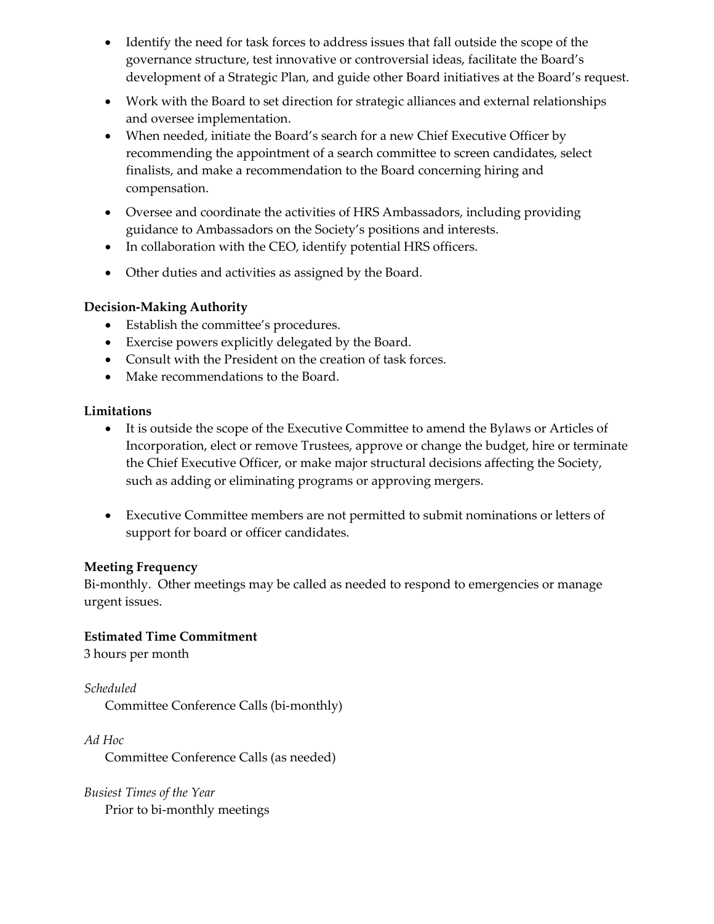- Identify the need for task forces to address issues that fall outside the scope of the governance structure, test innovative or controversial ideas, facilitate the Board's development of a Strategic Plan, and guide other Board initiatives at the Board's request.
- Work with the Board to set direction for strategic alliances and external relationships and oversee implementation.
- When needed, initiate the Board's search for a new Chief Executive Officer by recommending the appointment of a search committee to screen candidates, select finalists, and make a recommendation to the Board concerning hiring and compensation.
- Oversee and coordinate the activities of HRS Ambassadors, including providing guidance to Ambassadors on the Society's positions and interests.
- In collaboration with the CEO, identify potential HRS officers.
- Other duties and activities as assigned by the Board.

- Establish the committee's procedures.
- Exercise powers explicitly delegated by the Board.
- Consult with the President on the creation of task forces.
- Make recommendations to the Board.

# **Limitations**

- It is outside the scope of the Executive Committee to amend the Bylaws or Articles of Incorporation, elect or remove Trustees, approve or change the budget, hire or terminate the Chief Executive Officer, or make major structural decisions affecting the Society, such as adding or eliminating programs or approving mergers.
- Executive Committee members are not permitted to submit nominations or letters of support for board or officer candidates.

# **Meeting Frequency**

Bi-monthly. Other meetings may be called as needed to respond to emergencies or manage urgent issues.

# **Estimated Time Commitment**

3 hours per month

*Scheduled* Committee Conference Calls (bi-monthly)

*Ad Hoc*

Committee Conference Calls (as needed)

*Busiest Times of the Year* Prior to bi-monthly meetings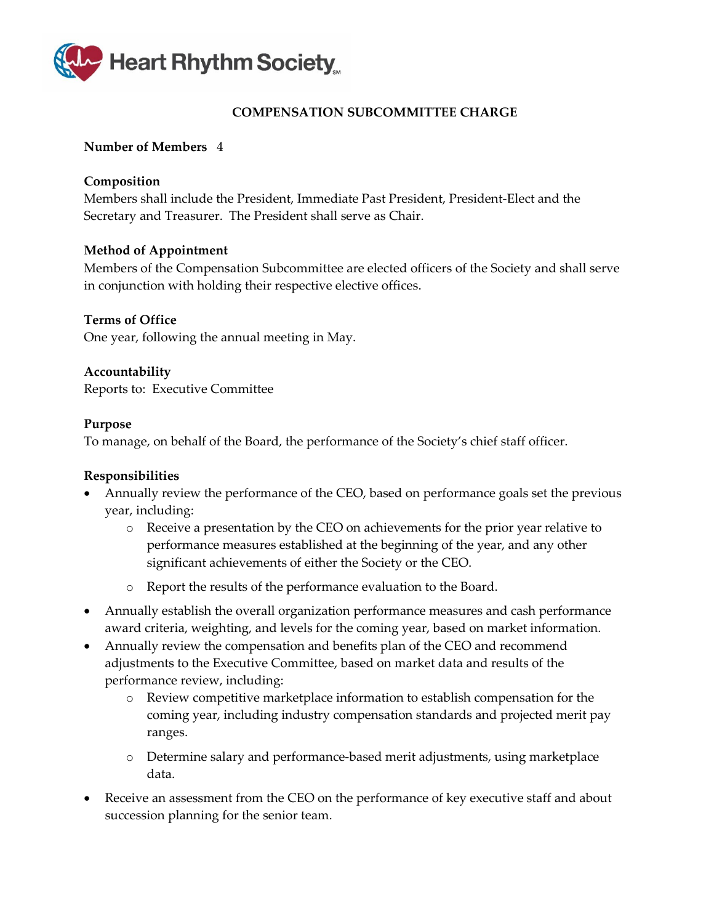

# **COMPENSATION SUBCOMMITTEE CHARGE**

### <span id="page-26-0"></span>**Number of Members** 4

### **Composition**

Members shall include the President, Immediate Past President, President-Elect and the Secretary and Treasurer. The President shall serve as Chair.

# **Method of Appointment**

Members of the Compensation Subcommittee are elected officers of the Society and shall serve in conjunction with holding their respective elective offices.

# **Terms of Office**

One year, following the annual meeting in May.

**Accountability** Reports to: Executive Committee

#### **Purpose**

To manage, on behalf of the Board, the performance of the Society's chief staff officer.

- Annually review the performance of the CEO, based on performance goals set the previous year, including:
	- o Receive a presentation by the CEO on achievements for the prior year relative to performance measures established at the beginning of the year, and any other significant achievements of either the Society or the CEO.
	- o Report the results of the performance evaluation to the Board.
- Annually establish the overall organization performance measures and cash performance award criteria, weighting, and levels for the coming year, based on market information.
- Annually review the compensation and benefits plan of the CEO and recommend adjustments to the Executive Committee, based on market data and results of the performance review, including:
	- o Review competitive marketplace information to establish compensation for the coming year, including industry compensation standards and projected merit pay ranges.
	- o Determine salary and performance-based merit adjustments, using marketplace data.
- Receive an assessment from the CEO on the performance of key executive staff and about succession planning for the senior team.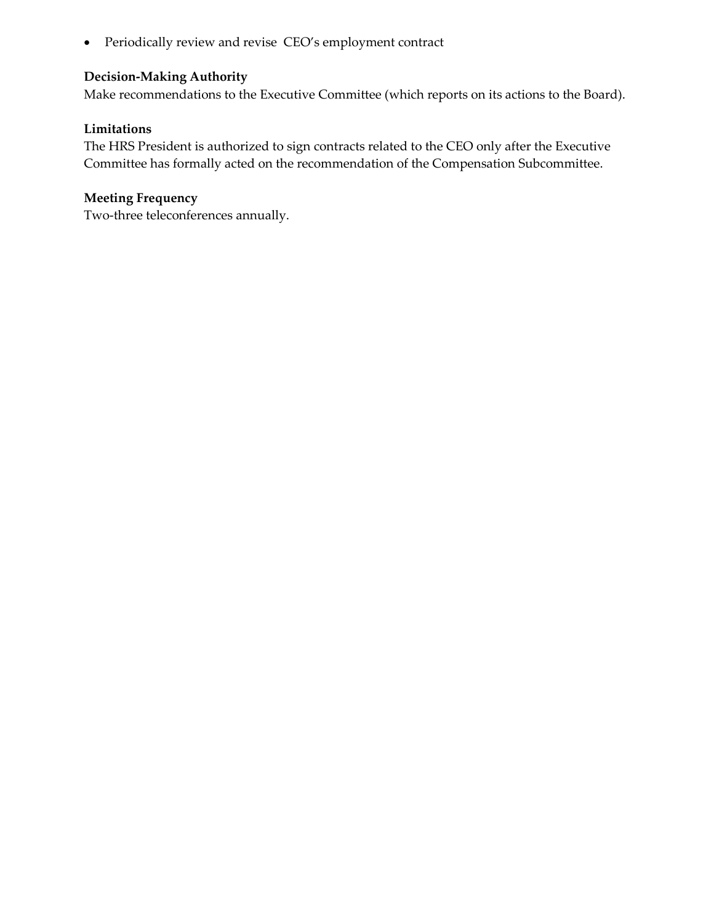• Periodically review and revise CEO's employment contract

# **Decision-Making Authority**

Make recommendations to the Executive Committee (which reports on its actions to the Board).

#### **Limitations**

The HRS President is authorized to sign contracts related to the CEO only after the Executive Committee has formally acted on the recommendation of the Compensation Subcommittee.

# **Meeting Frequency**

Two-three teleconferences annually.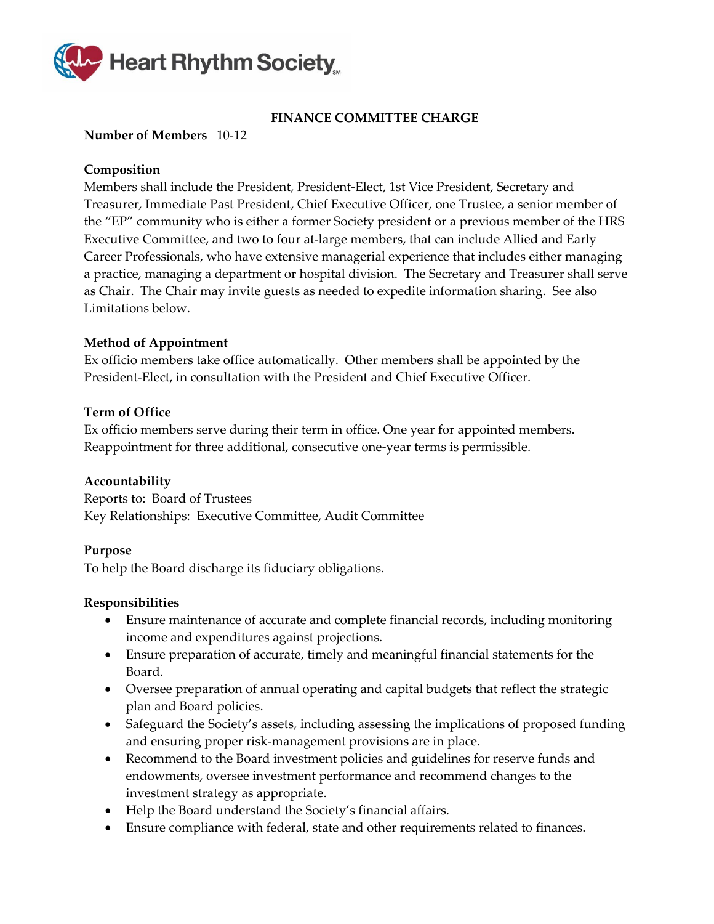

# **FINANCE COMMITTEE CHARGE**

# <span id="page-28-0"></span>**Number of Members** 10-12

# **Composition**

Members shall include the President, President-Elect, 1st Vice President, Secretary and Treasurer, Immediate Past President, Chief Executive Officer, one Trustee, a senior member of the "EP" community who is either a former Society president or a previous member of the HRS Executive Committee, and two to four at-large members, that can include Allied and Early Career Professionals, who have extensive managerial experience that includes either managing a practice, managing a department or hospital division. The Secretary and Treasurer shall serve as Chair. The Chair may invite guests as needed to expedite information sharing. See also Limitations below.

#### **Method of Appointment**

Ex officio members take office automatically. Other members shall be appointed by the President-Elect, in consultation with the President and Chief Executive Officer.

#### **Term of Office**

Ex officio members serve during their term in office. One year for appointed members. Reappointment for three additional, consecutive one-year terms is permissible.

#### **Accountability**

Reports to: Board of Trustees Key Relationships: Executive Committee, Audit Committee

#### **Purpose**

To help the Board discharge its fiduciary obligations.

- Ensure maintenance of accurate and complete financial records, including monitoring income and expenditures against projections.
- Ensure preparation of accurate, timely and meaningful financial statements for the Board.
- Oversee preparation of annual operating and capital budgets that reflect the strategic plan and Board policies.
- Safeguard the Society's assets, including assessing the implications of proposed funding and ensuring proper risk-management provisions are in place.
- Recommend to the Board investment policies and guidelines for reserve funds and endowments, oversee investment performance and recommend changes to the investment strategy as appropriate.
- Help the Board understand the Society's financial affairs.
- Ensure compliance with federal, state and other requirements related to finances.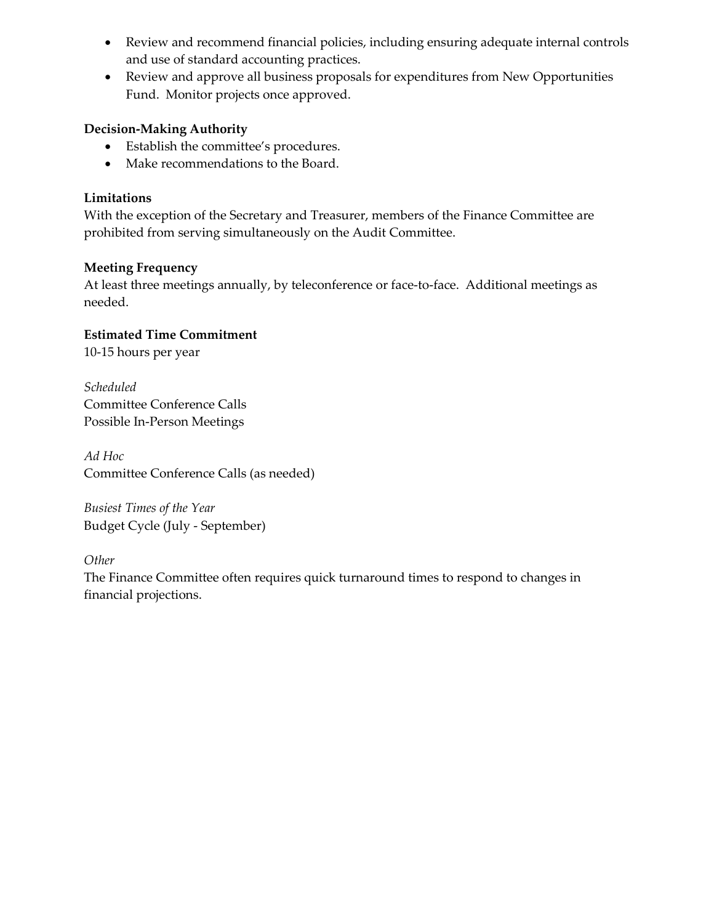- Review and recommend financial policies, including ensuring adequate internal controls and use of standard accounting practices.
- Review and approve all business proposals for expenditures from New Opportunities Fund. Monitor projects once approved.

- Establish the committee's procedures.
- Make recommendations to the Board.

# **Limitations**

With the exception of the Secretary and Treasurer, members of the Finance Committee are prohibited from serving simultaneously on the Audit Committee.

# **Meeting Frequency**

At least three meetings annually, by teleconference or face-to-face. Additional meetings as needed.

# **Estimated Time Commitment**

10-15 hours per year

*Scheduled* Committee Conference Calls Possible In-Person Meetings

*Ad Hoc* Committee Conference Calls (as needed)

*Busiest Times of the Year* Budget Cycle (July - September)

*Other* 

The Finance Committee often requires quick turnaround times to respond to changes in financial projections.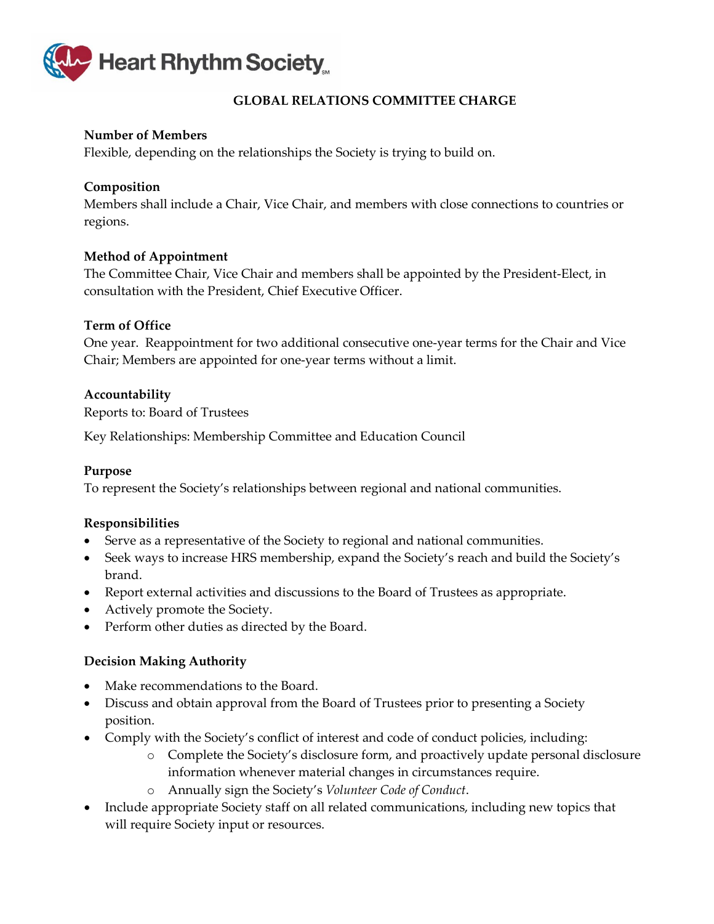

# **GLOBAL RELATIONS COMMITTEE CHARGE**

# <span id="page-30-0"></span>**Number of Members**

Flexible, depending on the relationships the Society is trying to build on.

### **Composition**

Members shall include a Chair, Vice Chair, and members with close connections to countries or regions.

# **Method of Appointment**

The Committee Chair, Vice Chair and members shall be appointed by the President-Elect, in consultation with the President, Chief Executive Officer.

# **Term of Office**

One year. Reappointment for two additional consecutive one-year terms for the Chair and Vice Chair; Members are appointed for one-year terms without a limit.

# **Accountability**

Reports to: Board of Trustees

Key Relationships: Membership Committee and Education Council

#### **Purpose**

To represent the Society's relationships between regional and national communities.

#### **Responsibilities**

- Serve as a representative of the Society to regional and national communities.
- Seek ways to increase HRS membership, expand the Society's reach and build the Society's brand.
- Report external activities and discussions to the Board of Trustees as appropriate.
- Actively promote the Society.
- Perform other duties as directed by the Board.

#### **Decision Making Authority**

- Make recommendations to the Board.
- Discuss and obtain approval from the Board of Trustees prior to presenting a Society position.
- Comply with the Society's conflict of interest and code of conduct policies, including:
	- o Complete the Society's disclosure form, and proactively update personal disclosure information whenever material changes in circumstances require.
	- o Annually sign the Society's *Volunteer Code of Conduct*.
- Include appropriate Society staff on all related communications, including new topics that will require Society input or resources.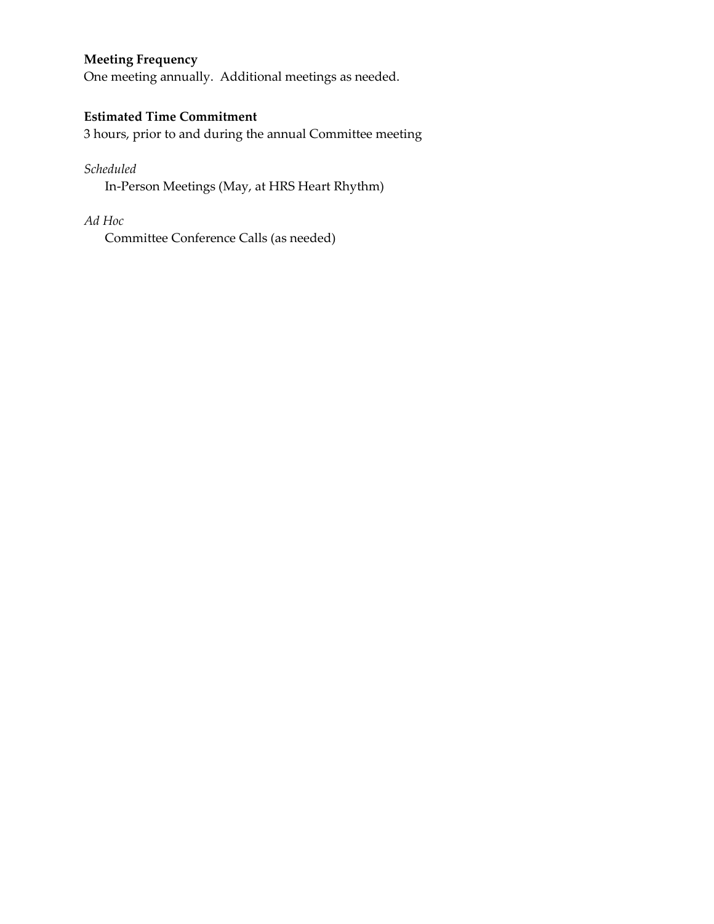# **Meeting Frequency**

One meeting annually. Additional meetings as needed.

# **Estimated Time Commitment**

3 hours, prior to and during the annual Committee meeting

# *Scheduled*

In-Person Meetings (May, at HRS Heart Rhythm)

# *Ad Hoc*

Committee Conference Calls (as needed)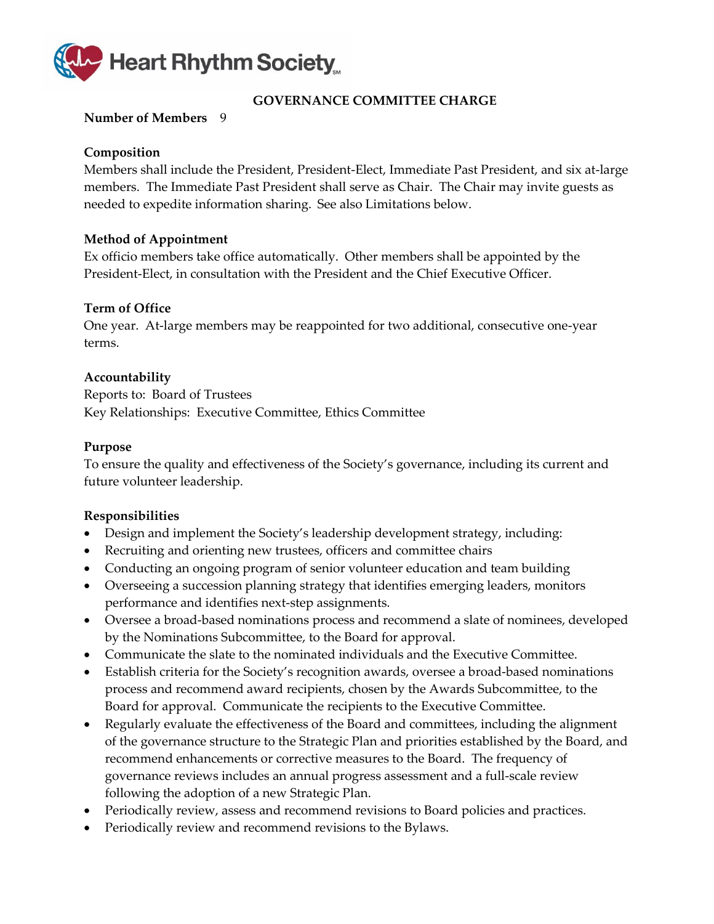

# **GOVERNANCE COMMITTEE CHARGE**

### <span id="page-32-0"></span>**Number of Members** 9

### **Composition**

Members shall include the President, President-Elect, Immediate Past President, and six at-large members. The Immediate Past President shall serve as Chair. The Chair may invite guests as needed to expedite information sharing. See also Limitations below.

# **Method of Appointment**

Ex officio members take office automatically. Other members shall be appointed by the President-Elect, in consultation with the President and the Chief Executive Officer.

# **Term of Office**

One year. At-large members may be reappointed for two additional, consecutive one-year terms.

# **Accountability**

Reports to: Board of Trustees Key Relationships: Executive Committee, Ethics Committee

#### **Purpose**

To ensure the quality and effectiveness of the Society's governance, including its current and future volunteer leadership.

- Design and implement the Society's leadership development strategy, including:
- Recruiting and orienting new trustees, officers and committee chairs
- Conducting an ongoing program of senior volunteer education and team building
- Overseeing a succession planning strategy that identifies emerging leaders, monitors performance and identifies next-step assignments.
- Oversee a broad-based nominations process and recommend a slate of nominees, developed by the Nominations Subcommittee, to the Board for approval.
- Communicate the slate to the nominated individuals and the Executive Committee.
- Establish criteria for the Society's recognition awards, oversee a broad-based nominations process and recommend award recipients, chosen by the Awards Subcommittee, to the Board for approval. Communicate the recipients to the Executive Committee.
- Regularly evaluate the effectiveness of the Board and committees, including the alignment of the governance structure to the Strategic Plan and priorities established by the Board, and recommend enhancements or corrective measures to the Board. The frequency of governance reviews includes an annual progress assessment and a full-scale review following the adoption of a new Strategic Plan.
- Periodically review, assess and recommend revisions to Board policies and practices.
- Periodically review and recommend revisions to the Bylaws.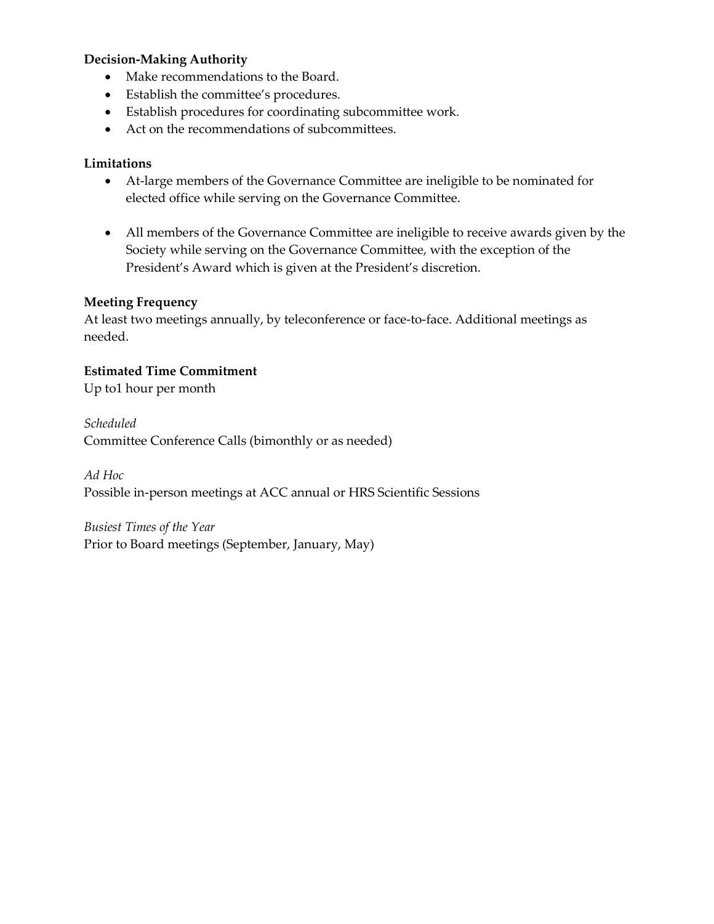- Make recommendations to the Board.
- Establish the committee's procedures.
- Establish procedures for coordinating subcommittee work.
- Act on the recommendations of subcommittees.

# **Limitations**

- At-large members of the Governance Committee are ineligible to be nominated for elected office while serving on the Governance Committee.
- All members of the Governance Committee are ineligible to receive awards given by the Society while serving on the Governance Committee, with the exception of the President's Award which is given at the President's discretion.

# **Meeting Frequency**

At least two meetings annually, by teleconference or face-to-face. Additional meetings as needed.

# **Estimated Time Commitment**

Up to1 hour per month

*Scheduled*

Committee Conference Calls (bimonthly or as needed)

*Ad Hoc*

Possible in-person meetings at ACC annual or HRS Scientific Sessions

*Busiest Times of the Year*

Prior to Board meetings (September, January, May)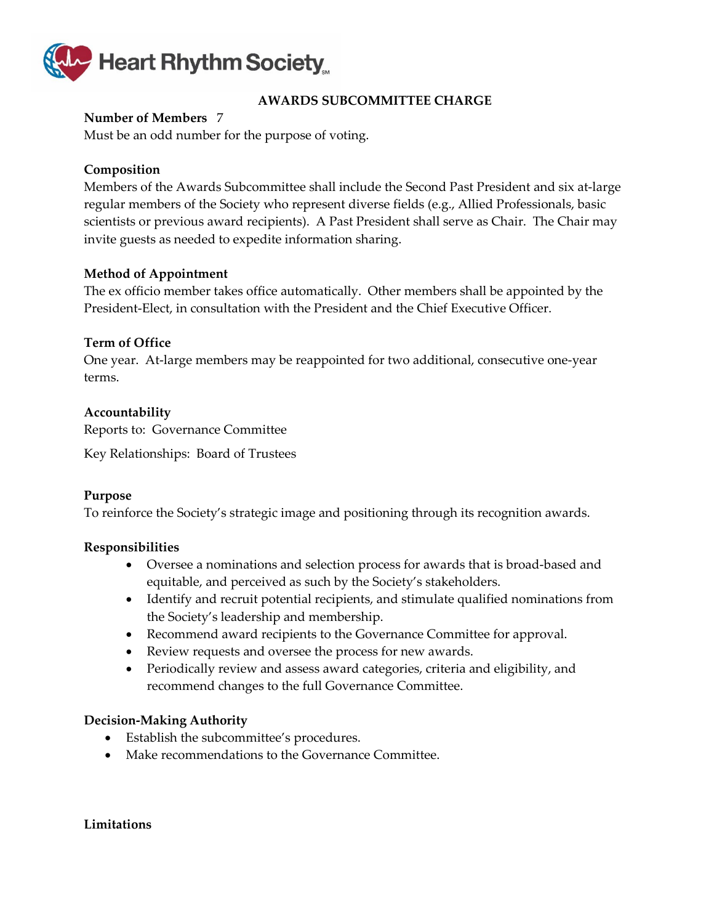

# **AWARDS SUBCOMMITTEE CHARGE**

# <span id="page-34-0"></span>**Number of Members** 7

Must be an odd number for the purpose of voting.

# **Composition**

Members of the Awards Subcommittee shall include the Second Past President and six at-large regular members of the Society who represent diverse fields (e.g., Allied Professionals, basic scientists or previous award recipients). A Past President shall serve as Chair. The Chair may invite guests as needed to expedite information sharing.

#### **Method of Appointment**

The ex officio member takes office automatically. Other members shall be appointed by the President-Elect, in consultation with the President and the Chief Executive Officer.

#### **Term of Office**

One year. At-large members may be reappointed for two additional, consecutive one-year terms.

#### **Accountability**

Reports to: Governance Committee

Key Relationships: Board of Trustees

#### **Purpose**

To reinforce the Society's strategic image and positioning through its recognition awards.

#### **Responsibilities**

- Oversee a nominations and selection process for awards that is broad-based and equitable, and perceived as such by the Society's stakeholders.
- Identify and recruit potential recipients, and stimulate qualified nominations from the Society's leadership and membership.
- Recommend award recipients to the Governance Committee for approval.
- Review requests and oversee the process for new awards.
- Periodically review and assess award categories, criteria and eligibility, and recommend changes to the full Governance Committee.

#### **Decision-Making Authority**

- Establish the subcommittee's procedures.
- Make recommendations to the Governance Committee.

#### **Limitations**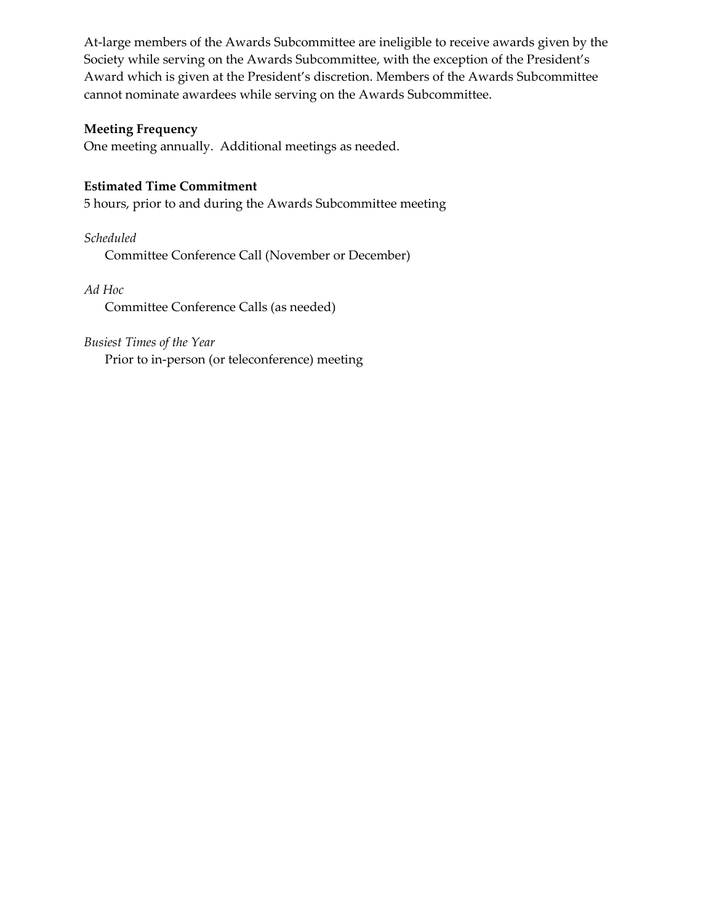At-large members of the Awards Subcommittee are ineligible to receive awards given by the Society while serving on the Awards Subcommittee, with the exception of the President's Award which is given at the President's discretion. Members of the Awards Subcommittee cannot nominate awardees while serving on the Awards Subcommittee.

### **Meeting Frequency**

One meeting annually. Additional meetings as needed.

# **Estimated Time Commitment**

5 hours, prior to and during the Awards Subcommittee meeting

*Scheduled*

Committee Conference Call (November or December)

# *Ad Hoc*

Committee Conference Calls (as needed)

# *Busiest Times of the Year*

Prior to in-person (or teleconference) meeting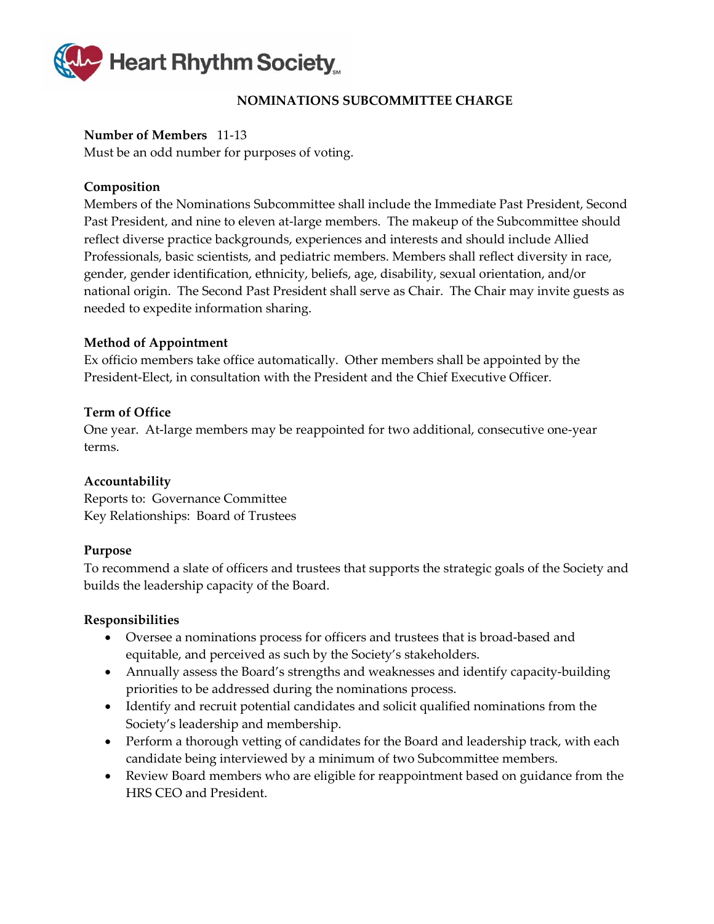

# **NOMINATIONS SUBCOMMITTEE CHARGE**

# <span id="page-36-0"></span>**Number of Members** 11-13

Must be an odd number for purposes of voting.

# **Composition**

Members of the Nominations Subcommittee shall include the Immediate Past President, Second Past President, and nine to eleven at-large members. The makeup of the Subcommittee should reflect diverse practice backgrounds, experiences and interests and should include Allied Professionals, basic scientists, and pediatric members. Members shall reflect diversity in race, gender, gender identification, ethnicity, beliefs, age, disability, sexual orientation, and/or national origin. The Second Past President shall serve as Chair. The Chair may invite guests as needed to expedite information sharing.

# **Method of Appointment**

Ex officio members take office automatically. Other members shall be appointed by the President-Elect, in consultation with the President and the Chief Executive Officer.

# **Term of Office**

One year. At-large members may be reappointed for two additional, consecutive one-year terms.

# **Accountability**

Reports to: Governance Committee Key Relationships: Board of Trustees

#### **Purpose**

To recommend a slate of officers and trustees that supports the strategic goals of the Society and builds the leadership capacity of the Board.

- Oversee a nominations process for officers and trustees that is broad-based and equitable, and perceived as such by the Society's stakeholders.
- Annually assess the Board's strengths and weaknesses and identify capacity-building priorities to be addressed during the nominations process.
- Identify and recruit potential candidates and solicit qualified nominations from the Society's leadership and membership.
- Perform a thorough vetting of candidates for the Board and leadership track, with each candidate being interviewed by a minimum of two Subcommittee members.
- Review Board members who are eligible for reappointment based on guidance from the HRS CEO and President.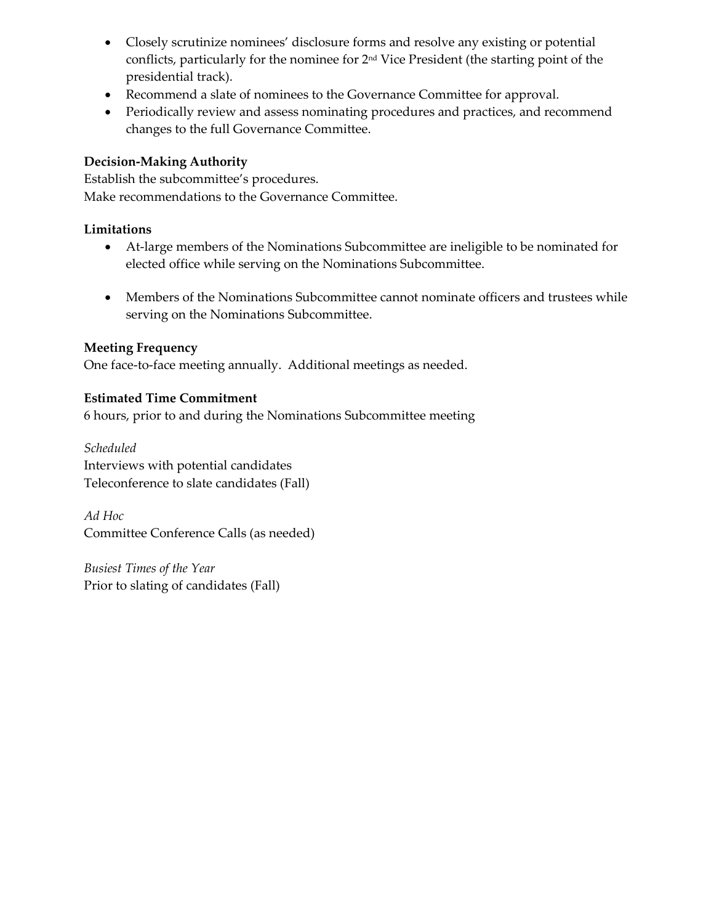- Closely scrutinize nominees' disclosure forms and resolve any existing or potential conflicts, particularly for the nominee for 2nd Vice President (the starting point of the presidential track).
- Recommend a slate of nominees to the Governance Committee for approval.
- Periodically review and assess nominating procedures and practices, and recommend changes to the full Governance Committee.

Establish the subcommittee's procedures. Make recommendations to the Governance Committee.

#### **Limitations**

- At-large members of the Nominations Subcommittee are ineligible to be nominated for elected office while serving on the Nominations Subcommittee.
- Members of the Nominations Subcommittee cannot nominate officers and trustees while serving on the Nominations Subcommittee.

# **Meeting Frequency**

One face-to-face meeting annually. Additional meetings as needed.

# **Estimated Time Commitment**

6 hours, prior to and during the Nominations Subcommittee meeting

*Scheduled* Interviews with potential candidates Teleconference to slate candidates (Fall)

*Ad Hoc* Committee Conference Calls (as needed)

*Busiest Times of the Year* Prior to slating of candidates (Fall)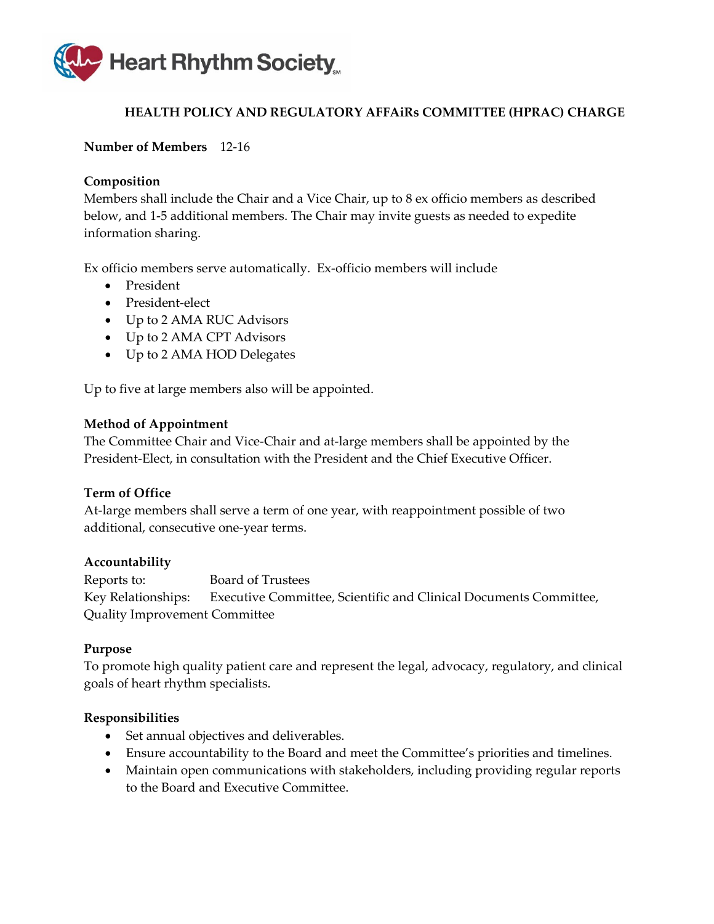

# **HEALTH POLICY AND REGULATORY AFFAiRs COMMITTEE (HPRAC) CHARGE**

# <span id="page-38-0"></span>**Number of Members** 12-16

#### **Composition**

Members shall include the Chair and a Vice Chair, up to 8 ex officio members as described below, and 1-5 additional members. The Chair may invite guests as needed to expedite information sharing.

Ex officio members serve automatically. Ex-officio members will include

- President
- President-elect
- Up to 2 AMA RUC Advisors
- Up to 2 AMA CPT Advisors
- Up to 2 AMA HOD Delegates

Up to five at large members also will be appointed.

#### **Method of Appointment**

The Committee Chair and Vice-Chair and at-large members shall be appointed by the President-Elect, in consultation with the President and the Chief Executive Officer.

# **Term of Office**

At-large members shall serve a term of one year, with reappointment possible of two additional, consecutive one-year terms.

#### **Accountability**

Reports to: Board of Trustees Key Relationships: Executive Committee, Scientific and Clinical Documents Committee, Quality Improvement Committee

#### **Purpose**

To promote high quality patient care and represent the legal, advocacy, regulatory, and clinical goals of heart rhythm specialists.

- Set annual objectives and deliverables.
- Ensure accountability to the Board and meet the Committee's priorities and timelines.
- Maintain open communications with stakeholders, including providing regular reports to the Board and Executive Committee.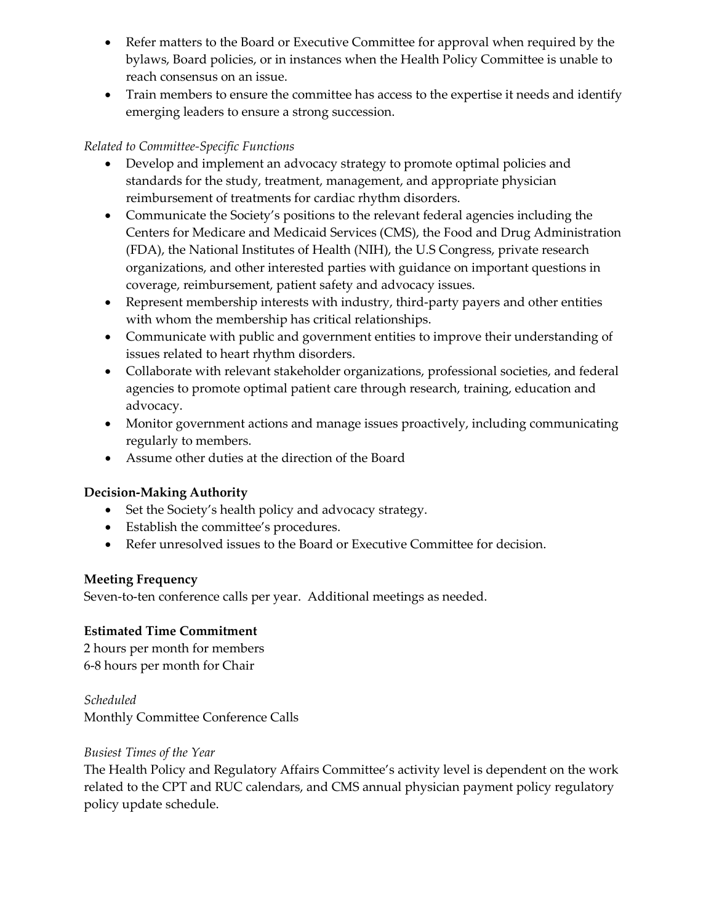- Refer matters to the Board or Executive Committee for approval when required by the bylaws, Board policies, or in instances when the Health Policy Committee is unable to reach consensus on an issue.
- Train members to ensure the committee has access to the expertise it needs and identify emerging leaders to ensure a strong succession.

# *Related to Committee-Specific Functions*

- Develop and implement an advocacy strategy to promote optimal policies and standards for the study, treatment, management, and appropriate physician reimbursement of treatments for cardiac rhythm disorders.
- Communicate the Society's positions to the relevant federal agencies including the Centers for Medicare and Medicaid Services (CMS), the Food and Drug Administration (FDA), the National Institutes of Health (NIH), the U.S Congress, private research organizations, and other interested parties with guidance on important questions in coverage, reimbursement, patient safety and advocacy issues.
- Represent membership interests with industry, third-party payers and other entities with whom the membership has critical relationships.
- Communicate with public and government entities to improve their understanding of issues related to heart rhythm disorders.
- Collaborate with relevant stakeholder organizations, professional societies, and federal agencies to promote optimal patient care through research, training, education and advocacy.
- Monitor government actions and manage issues proactively, including communicating regularly to members.
- Assume other duties at the direction of the Board

# **Decision-Making Authority**

- Set the Society's health policy and advocacy strategy.
- Establish the committee's procedures.
- Refer unresolved issues to the Board or Executive Committee for decision.

#### **Meeting Frequency**

Seven-to-ten conference calls per year. Additional meetings as needed.

# **Estimated Time Commitment**

2 hours per month for members 6-8 hours per month for Chair

*Scheduled* Monthly Committee Conference Calls

#### *Busiest Times of the Year*

The Health Policy and Regulatory Affairs Committee's activity level is dependent on the work related to the CPT and RUC calendars, and CMS annual physician payment policy regulatory policy update schedule.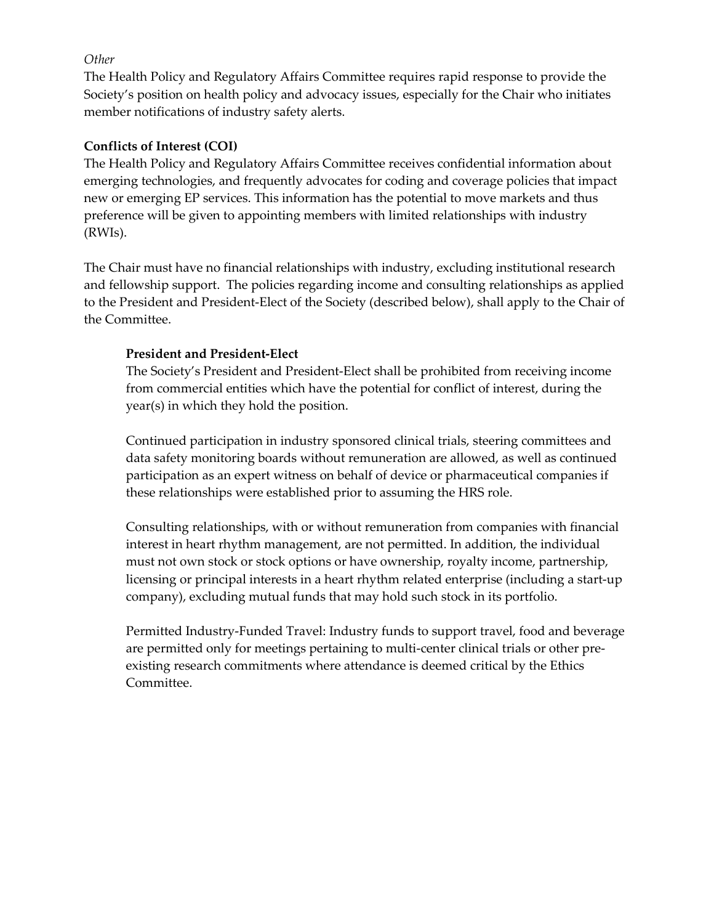### *Other*

The Health Policy and Regulatory Affairs Committee requires rapid response to provide the Society's position on health policy and advocacy issues, especially for the Chair who initiates member notifications of industry safety alerts.

# **Conflicts of Interest (COI)**

The Health Policy and Regulatory Affairs Committee receives confidential information about emerging technologies, and frequently advocates for coding and coverage policies that impact new or emerging EP services. This information has the potential to move markets and thus preference will be given to appointing members with limited relationships with industry (RWIs).

The Chair must have no financial relationships with industry, excluding institutional research and fellowship support. The policies regarding income and consulting relationships as applied to the President and President-Elect of the Society (described below), shall apply to the Chair of the Committee.

# **President and President-Elect**

The Society's President and President-Elect shall be prohibited from receiving income from commercial entities which have the potential for conflict of interest, during the year(s) in which they hold the position.

Continued participation in industry sponsored clinical trials, steering committees and data safety monitoring boards without remuneration are allowed, as well as continued participation as an expert witness on behalf of device or pharmaceutical companies if these relationships were established prior to assuming the HRS role.

Consulting relationships, with or without remuneration from companies with financial interest in heart rhythm management, are not permitted. In addition, the individual must not own stock or stock options or have ownership, royalty income, partnership, licensing or principal interests in a heart rhythm related enterprise (including a start-up company), excluding mutual funds that may hold such stock in its portfolio.

Permitted Industry-Funded Travel: Industry funds to support travel, food and beverage are permitted only for meetings pertaining to multi-center clinical trials or other preexisting research commitments where attendance is deemed critical by the Ethics Committee.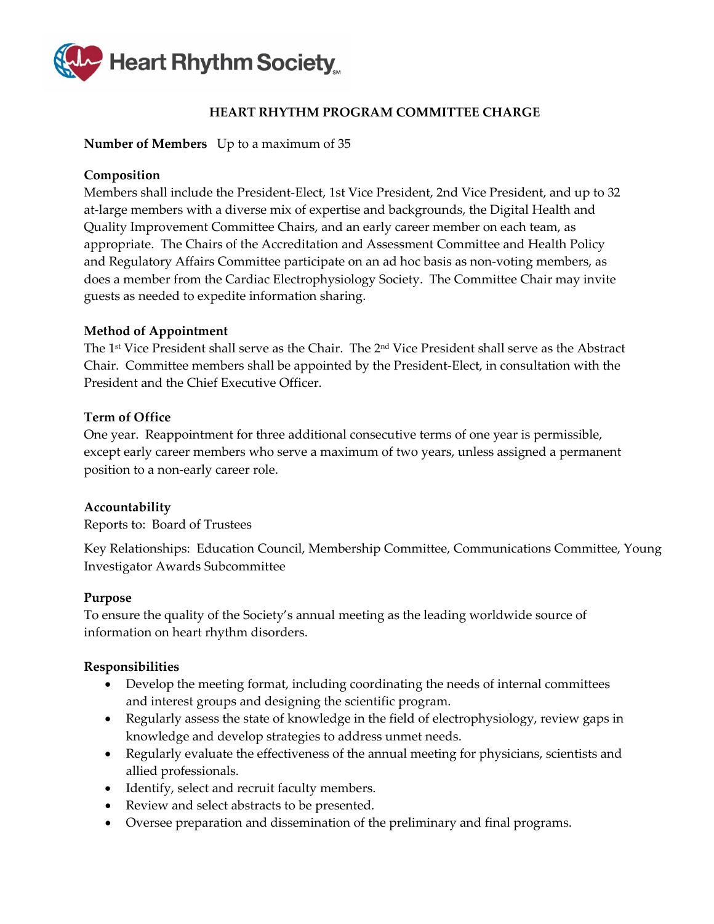

# **HEART RHYTHM PROGRAM COMMITTEE CHARGE**

#### <span id="page-41-0"></span>**Number of Members** Up to a maximum of 35

### **Composition**

Members shall include the President-Elect, 1st Vice President, 2nd Vice President, and up to 32 at-large members with a diverse mix of expertise and backgrounds, the Digital Health and Quality Improvement Committee Chairs, and an early career member on each team, as appropriate. The Chairs of the Accreditation and Assessment Committee and Health Policy and Regulatory Affairs Committee participate on an ad hoc basis as non-voting members, as does a member from the Cardiac Electrophysiology Society. The Committee Chair may invite guests as needed to expedite information sharing.

# **Method of Appointment**

The 1st Vice President shall serve as the Chair. The 2nd Vice President shall serve as the Abstract Chair. Committee members shall be appointed by the President-Elect, in consultation with the President and the Chief Executive Officer.

# **Term of Office**

One year. Reappointment for three additional consecutive terms of one year is permissible, except early career members who serve a maximum of two years, unless assigned a permanent position to a non-early career role.

#### **Accountability**

Reports to: Board of Trustees

Key Relationships: Education Council, Membership Committee, Communications Committee, Young Investigator Awards Subcommittee

#### **Purpose**

To ensure the quality of the Society's annual meeting as the leading worldwide source of information on heart rhythm disorders.

- Develop the meeting format, including coordinating the needs of internal committees and interest groups and designing the scientific program.
- Regularly assess the state of knowledge in the field of electrophysiology, review gaps in knowledge and develop strategies to address unmet needs.
- Regularly evaluate the effectiveness of the annual meeting for physicians, scientists and allied professionals.
- Identify, select and recruit faculty members.
- Review and select abstracts to be presented.
- Oversee preparation and dissemination of the preliminary and final programs.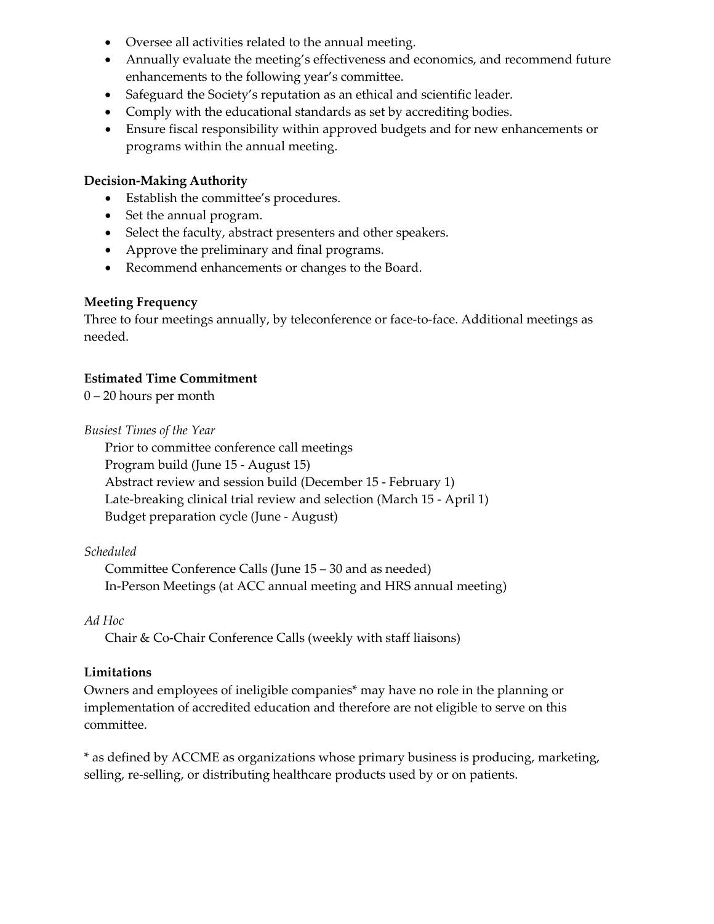- Oversee all activities related to the annual meeting.
- Annually evaluate the meeting's effectiveness and economics, and recommend future enhancements to the following year's committee.
- Safeguard the Society's reputation as an ethical and scientific leader.
- Comply with the educational standards as set by accrediting bodies.
- Ensure fiscal responsibility within approved budgets and for new enhancements or programs within the annual meeting.

- Establish the committee's procedures.
- Set the annual program.
- Select the faculty, abstract presenters and other speakers.
- Approve the preliminary and final programs.
- Recommend enhancements or changes to the Board.

#### **Meeting Frequency**

Three to four meetings annually, by teleconference or face-to-face. Additional meetings as needed.

#### **Estimated Time Commitment**

0 – 20 hours per month

*Busiest Times of the Year*

Prior to committee conference call meetings Program build (June 15 - August 15) Abstract review and session build (December 15 - February 1) Late-breaking clinical trial review and selection (March 15 - April 1) Budget preparation cycle (June - August)

#### *Scheduled*

Committee Conference Calls (June 15 – 30 and as needed) In-Person Meetings (at ACC annual meeting and HRS annual meeting)

#### *Ad Hoc*

Chair & Co-Chair Conference Calls (weekly with staff liaisons)

#### **Limitations**

Owners and employees of ineligible companies\* may have no role in the planning or implementation of accredited education and therefore are not eligible to serve on this committee.

\* as defined by ACCME as organizations whose primary business is producing, marketing, selling, re-selling, or distributing healthcare products used by or on patients.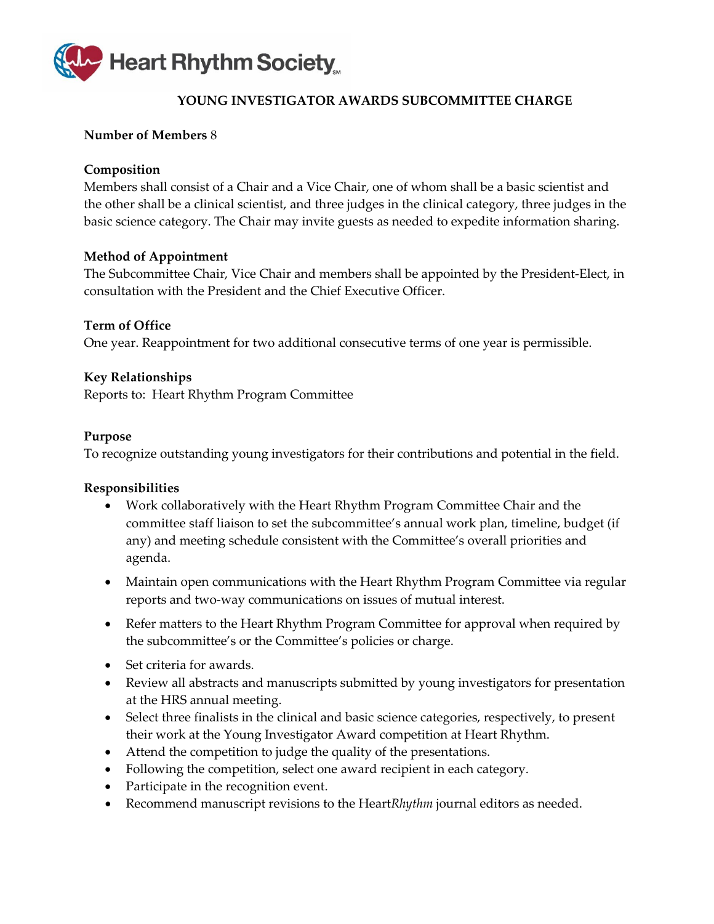

# **YOUNG INVESTIGATOR AWARDS SUBCOMMITTEE CHARGE**

# <span id="page-43-0"></span>**Number of Members** 8

### **Composition**

Members shall consist of a Chair and a Vice Chair, one of whom shall be a basic scientist and the other shall be a clinical scientist, and three judges in the clinical category, three judges in the basic science category. The Chair may invite guests as needed to expedite information sharing.

#### **Method of Appointment**

The Subcommittee Chair, Vice Chair and members shall be appointed by the President-Elect, in consultation with the President and the Chief Executive Officer.

#### **Term of Office**

One year. Reappointment for two additional consecutive terms of one year is permissible.

#### **Key Relationships**

Reports to: Heart Rhythm Program Committee

#### **Purpose**

To recognize outstanding young investigators for their contributions and potential in the field.

- Work collaboratively with the Heart Rhythm Program Committee Chair and the committee staff liaison to set the subcommittee's annual work plan, timeline, budget (if any) and meeting schedule consistent with the Committee's overall priorities and agenda.
- Maintain open communications with the Heart Rhythm Program Committee via regular reports and two-way communications on issues of mutual interest.
- Refer matters to the Heart Rhythm Program Committee for approval when required by the subcommittee's or the Committee's policies or charge.
- Set criteria for awards.
- Review all abstracts and manuscripts submitted by young investigators for presentation at the HRS annual meeting.
- Select three finalists in the clinical and basic science categories, respectively, to present their work at the Young Investigator Award competition at Heart Rhythm.
- Attend the competition to judge the quality of the presentations.
- Following the competition, select one award recipient in each category.
- Participate in the recognition event.
- Recommend manuscript revisions to the Heart*Rhythm* journal editors as needed.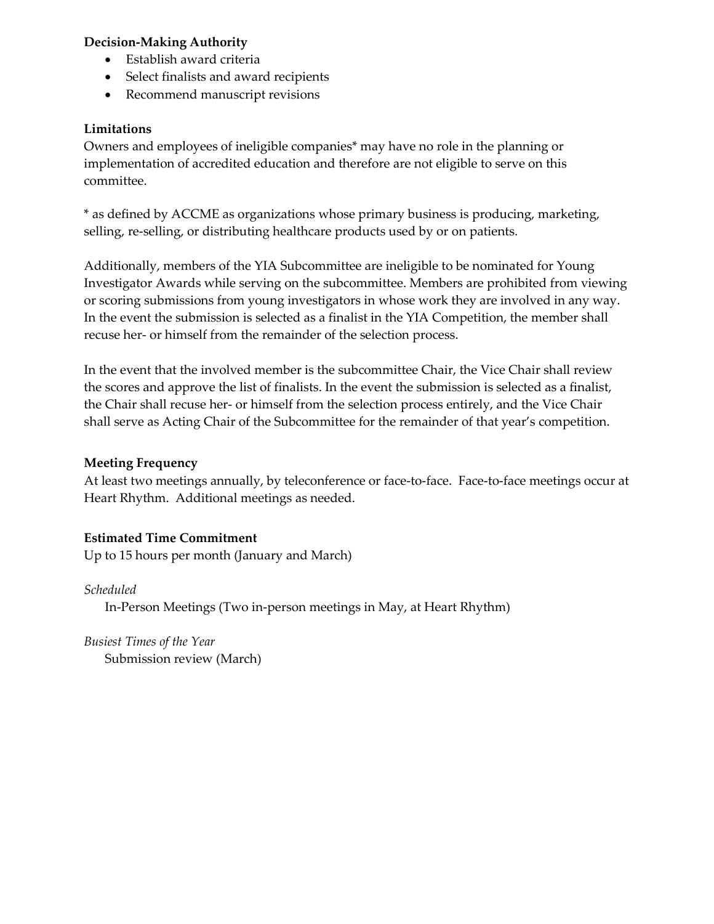- Establish award criteria
- Select finalists and award recipients
- Recommend manuscript revisions

# **Limitations**

Owners and employees of ineligible companies\* may have no role in the planning or implementation of accredited education and therefore are not eligible to serve on this committee.

\* as defined by ACCME as organizations whose primary business is producing, marketing, selling, re-selling, or distributing healthcare products used by or on patients.

Additionally, members of the YIA Subcommittee are ineligible to be nominated for Young Investigator Awards while serving on the subcommittee. Members are prohibited from viewing or scoring submissions from young investigators in whose work they are involved in any way. In the event the submission is selected as a finalist in the YIA Competition, the member shall recuse her- or himself from the remainder of the selection process.

In the event that the involved member is the subcommittee Chair, the Vice Chair shall review the scores and approve the list of finalists. In the event the submission is selected as a finalist, the Chair shall recuse her- or himself from the selection process entirely, and the Vice Chair shall serve as Acting Chair of the Subcommittee for the remainder of that year's competition.

#### **Meeting Frequency**

At least two meetings annually, by teleconference or face-to-face. Face-to-face meetings occur at Heart Rhythm. Additional meetings as needed.

#### **Estimated Time Commitment**

Up to 15 hours per month (January and March)

#### *Scheduled*

In-Person Meetings (Two in-person meetings in May, at Heart Rhythm)

*Busiest Times of the Year* Submission review (March)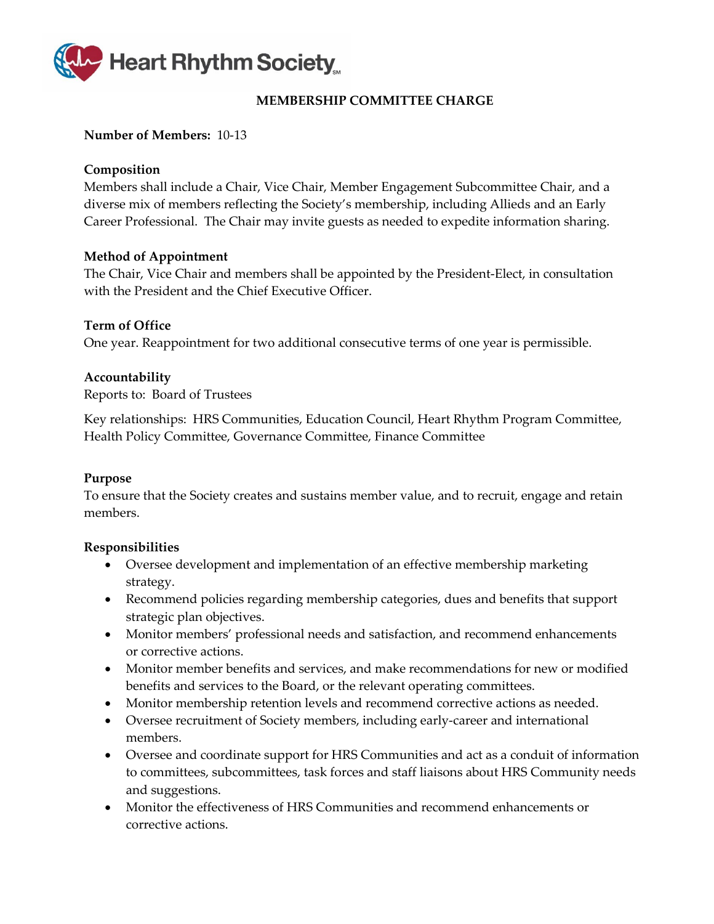

# **MEMBERSHIP COMMITTEE CHARGE**

#### <span id="page-45-0"></span>**Number of Members:** 10-13

#### **Composition**

Members shall include a Chair, Vice Chair, Member Engagement Subcommittee Chair, and a diverse mix of members reflecting the Society's membership, including Allieds and an Early Career Professional. The Chair may invite guests as needed to expedite information sharing.

#### **Method of Appointment**

The Chair, Vice Chair and members shall be appointed by the President-Elect, in consultation with the President and the Chief Executive Officer.

#### **Term of Office**

One year. Reappointment for two additional consecutive terms of one year is permissible.

#### **Accountability**

Reports to: Board of Trustees

Key relationships:HRS Communities, Education Council, Heart Rhythm Program Committee, Health Policy Committee, Governance Committee, Finance Committee

#### **Purpose**

To ensure that the Society creates and sustains member value, and to recruit, engage and retain members.

- Oversee development and implementation of an effective membership marketing strategy.
- Recommend policies regarding membership categories, dues and benefits that support strategic plan objectives.
- Monitor members' professional needs and satisfaction, and recommend enhancements or corrective actions.
- Monitor member benefits and services, and make recommendations for new or modified benefits and services to the Board, or the relevant operating committees.
- Monitor membership retention levels and recommend corrective actions as needed.
- Oversee recruitment of Society members, including early-career and international members.
- Oversee and coordinate support for HRS Communities and act as a conduit of information to committees, subcommittees, task forces and staff liaisons about HRS Community needs and suggestions.
- Monitor the effectiveness of HRS Communities and recommend enhancements or corrective actions.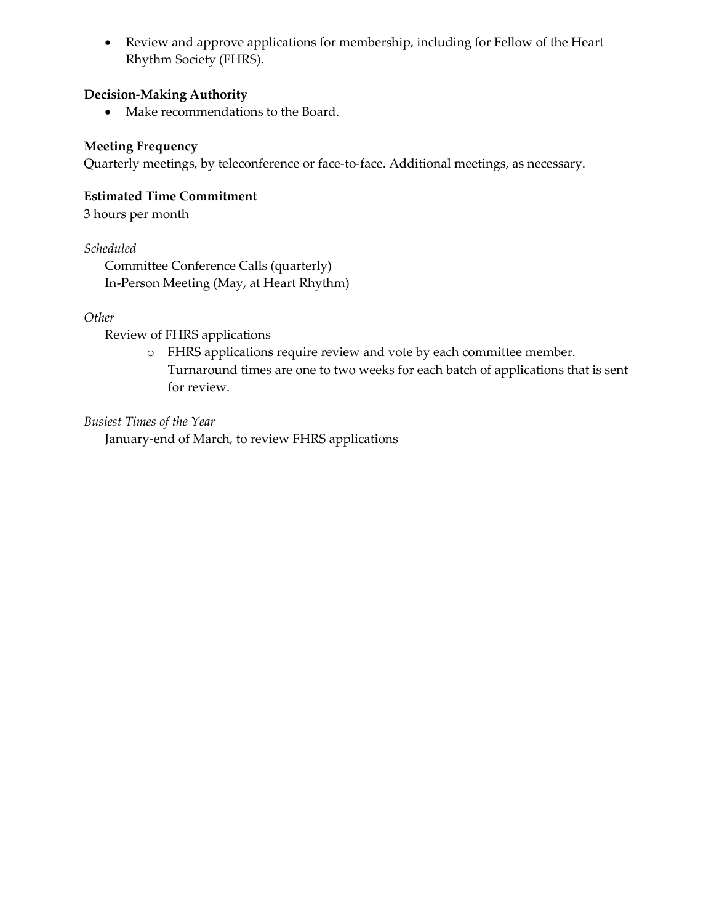• Review and approve applications for membership, including for Fellow of the Heart Rhythm Society (FHRS).

# **Decision-Making Authority**

• Make recommendations to the Board.

# **Meeting Frequency**

Quarterly meetings, by teleconference or face-to-face. Additional meetings, as necessary.

### **Estimated Time Commitment**

3 hours per month

# *Scheduled*

Committee Conference Calls (quarterly) In-Person Meeting (May, at Heart Rhythm)

# *Other*

Review of FHRS applications

o FHRS applications require review and vote by each committee member. Turnaround times are one to two weeks for each batch of applications that is sent for review.

*Busiest Times of the Year*

January-end of March, to review FHRS applications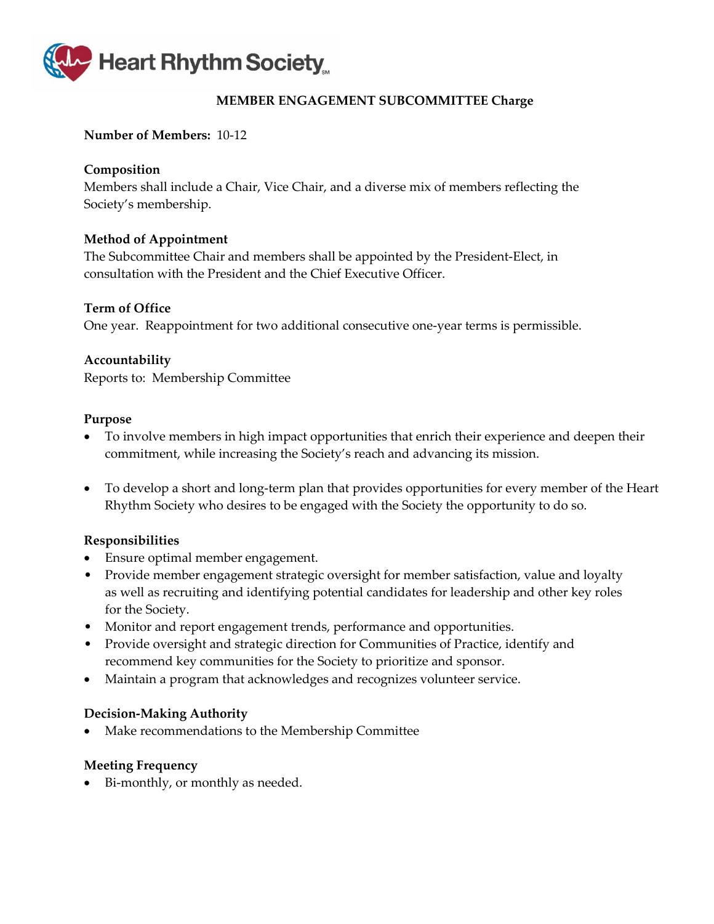

# **MEMBER ENGAGEMENT SUBCOMMITTEE Charge**

#### <span id="page-47-0"></span>**Number of Members:** 10-12

#### **Composition**

Members shall include a Chair, Vice Chair, and a diverse mix of members reflecting the Society's membership.

#### **Method of Appointment**

The Subcommittee Chair and members shall be appointed by the President-Elect, in consultation with the President and the Chief Executive Officer.

#### **Term of Office**

One year. Reappointment for two additional consecutive one-year terms is permissible.

#### **Accountability**

Reports to: Membership Committee

#### **Purpose**

- To involve members in high impact opportunities that enrich their experience and deepen their commitment, while increasing the Society's reach and advancing its mission.
- To develop a short and long-term plan that provides opportunities for every member of the Heart Rhythm Society who desires to be engaged with the Society the opportunity to do so.

#### **Responsibilities**

- Ensure optimal member engagement.
- Provide member engagement strategic oversight for member satisfaction, value and loyalty as well as recruiting and identifying potential candidates for leadership and other key roles for the Society.
- Monitor and report engagement trends, performance and opportunities.
- Provide oversight and strategic direction for Communities of Practice, identify and recommend key communities for the Society to prioritize and sponsor.
- Maintain a program that acknowledges and recognizes volunteer service.

#### **Decision-Making Authority**

• Make recommendations to the Membership Committee

#### **Meeting Frequency**

• Bi-monthly, or monthly as needed.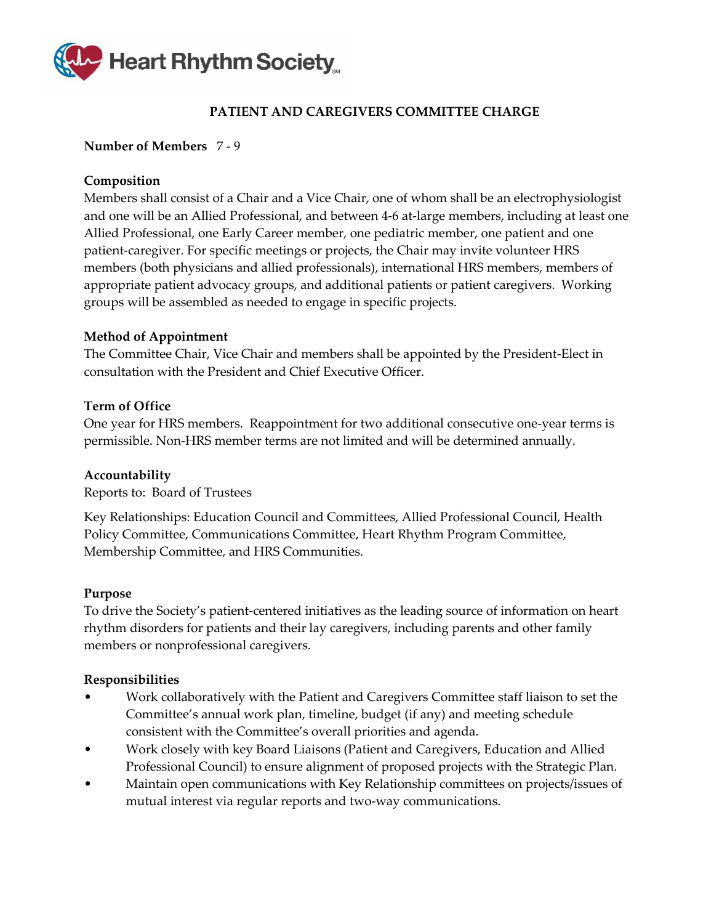

# **PATIENT AND CAREGIVERS COMMITTEE CHARGE**

### <span id="page-48-0"></span>**Number of Members** 7 - 9

# **Composition**

Members shall consist of a Chair and a Vice Chair, one of whom shall be an electrophysiologist and one will be an Allied Professional, and between 4-6 at-large members, including at least one Allied Professional, one Early Career member, one pediatric member, one patient and one patient-caregiver. For specific meetings or projects, the Chair may invite volunteer HRS members (both physicians and allied professionals), international HRS members, members of appropriate patient advocacy groups, and additional patients or patient caregivers. Working groups will be assembled as needed to engage in specific projects.

# **Method of Appointment**

The Committee Chair, Vice Chair and members shall be appointed by the President-Elect in consultation with the President and Chief Executive Officer.

# **Term of Office**

One year for HRS members. Reappointment for two additional consecutive one-year terms is permissible. Non-HRS member terms are not limited and will be determined annually.

#### **Accountability**

Reports to: Board of Trustees

Key Relationships: Education Council and Committees, Allied Professional Council, Health Policy Committee, Communications Committee, Heart Rhythm Program Committee, Membership Committee, and HRS Communities.

#### **Purpose**

To drive the Society's patient-centered initiatives as the leading source of information on heart rhythm disorders for patients and their lay caregivers, including parents and other family members or nonprofessional caregivers.

- Work collaboratively with the Patient and Caregivers Committee staff liaison to set the Committee's annual work plan, timeline, budget (if any) and meeting schedule consistent with the Committee's overall priorities and agenda.
- Work closely with key Board Liaisons (Patient and Caregivers, Education and Allied Professional Council) to ensure alignment of proposed projects with the Strategic Plan.
- Maintain open communications with Key Relationship committees on projects/issues of mutual interest via regular reports and two-way communications.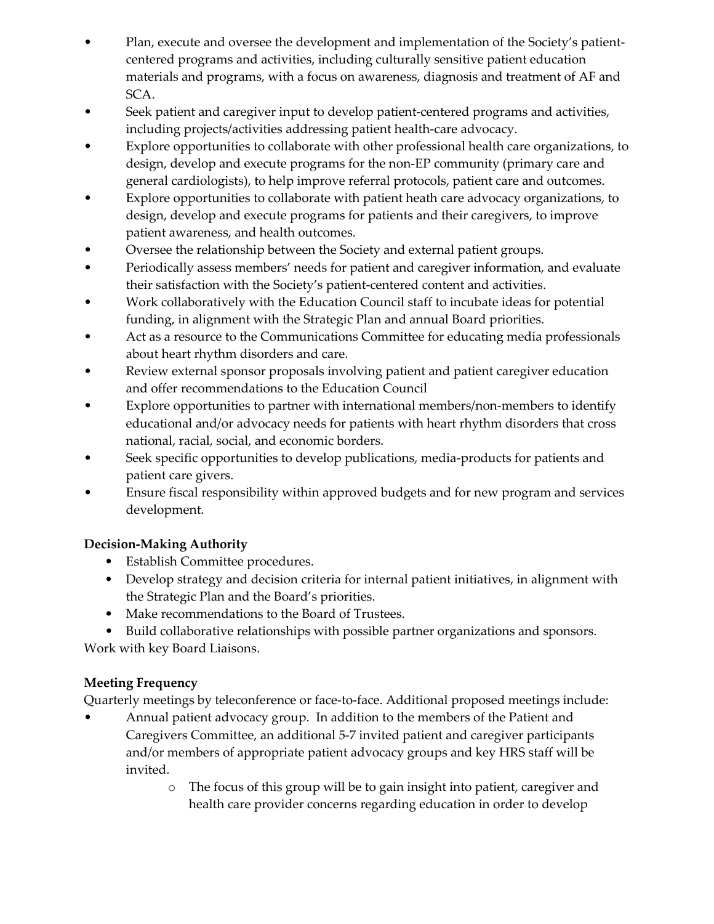- Plan, execute and oversee the development and implementation of the Society's patientcentered programs and activities, including culturally sensitive patient education materials and programs, with a focus on awareness, diagnosis and treatment of AF and SCA.
- Seek patient and caregiver input to develop patient-centered programs and activities, including projects/activities addressing patient health-care advocacy.
- Explore opportunities to collaborate with other professional health care organizations, to design, develop and execute programs for the non-EP community (primary care and general cardiologists), to help improve referral protocols, patient care and outcomes.
- Explore opportunities to collaborate with patient heath care advocacy organizations, to design, develop and execute programs for patients and their caregivers, to improve patient awareness, and health outcomes.
- Oversee the relationship between the Society and external patient groups.
- Periodically assess members' needs for patient and caregiver information, and evaluate their satisfaction with the Society's patient-centered content and activities.
- Work collaboratively with the Education Council staff to incubate ideas for potential funding, in alignment with the Strategic Plan and annual Board priorities.
- Act as a resource to the Communications Committee for educating media professionals about heart rhythm disorders and care.
- Review external sponsor proposals involving patient and patient caregiver education and offer recommendations to the Education Council
- Explore opportunities to partner with international members/non-members to identify educational and/or advocacy needs for patients with heart rhythm disorders that cross national, racial, social, and economic borders.
- Seek specific opportunities to develop publications, media-products for patients and patient care givers.
- Ensure fiscal responsibility within approved budgets and for new program and services development.

- Establish Committee procedures.
- Develop strategy and decision criteria for internal patient initiatives, in alignment with the Strategic Plan and the Board's priorities.
- Make recommendations to the Board of Trustees.
- Build collaborative relationships with possible partner organizations and sponsors.

Work with key Board Liaisons.

# **Meeting Frequency**

Quarterly meetings by teleconference or face-to-face. Additional proposed meetings include:

- Annual patient advocacy group. In addition to the members of the Patient and Caregivers Committee, an additional 5-7 invited patient and caregiver participants and/or members of appropriate patient advocacy groups and key HRS staff will be invited.
	- o The focus of this group will be to gain insight into patient, caregiver and health care provider concerns regarding education in order to develop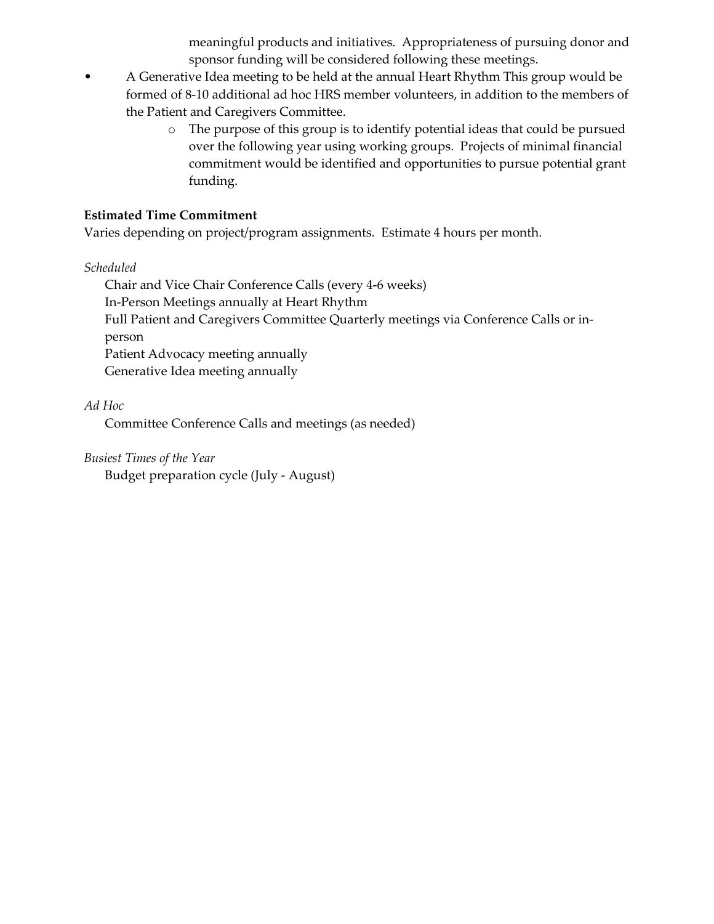meaningful products and initiatives. Appropriateness of pursuing donor and sponsor funding will be considered following these meetings.

- A Generative Idea meeting to be held at the annual Heart Rhythm This group would be formed of 8-10 additional ad hoc HRS member volunteers, in addition to the members of the Patient and Caregivers Committee.
	- o The purpose of this group is to identify potential ideas that could be pursued over the following year using working groups. Projects of minimal financial commitment would be identified and opportunities to pursue potential grant funding.

### **Estimated Time Commitment**

Varies depending on project/program assignments. Estimate 4 hours per month.

#### *Scheduled*

Chair and Vice Chair Conference Calls (every 4-6 weeks) In-Person Meetings annually at Heart Rhythm Full Patient and Caregivers Committee Quarterly meetings via Conference Calls or inperson Patient Advocacy meeting annually Generative Idea meeting annually

# *Ad Hoc*

Committee Conference Calls and meetings (as needed)

# *Busiest Times of the Year*

Budget preparation cycle (July - August)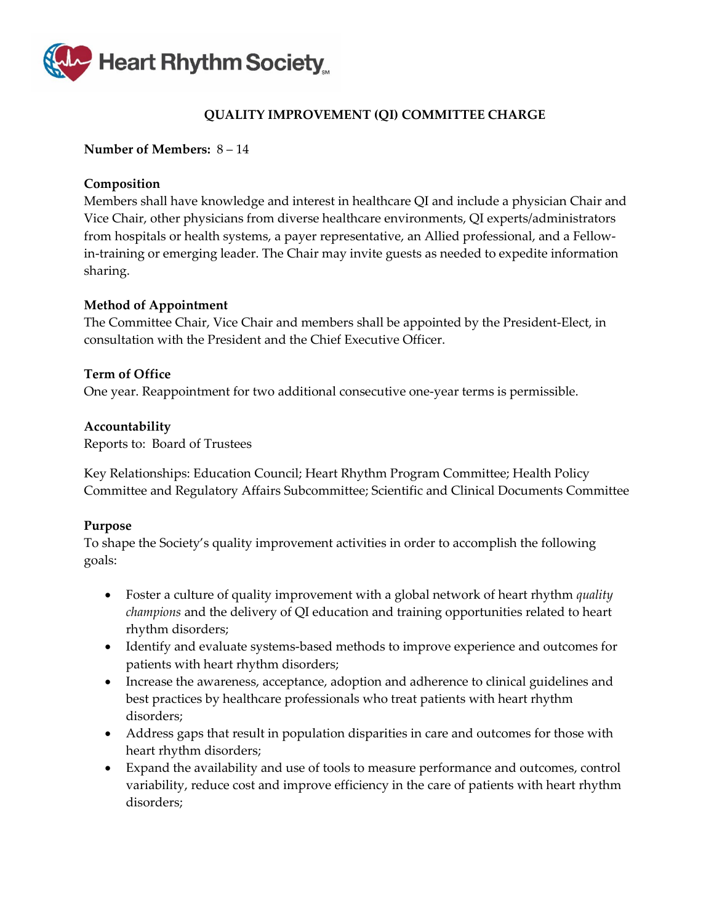

# **QUALITY IMPROVEMENT (QI) COMMITTEE CHARGE**

#### <span id="page-51-0"></span>**Number of Members:** 8 – 14

#### **Composition**

Members shall have knowledge and interest in healthcare QI and include a physician Chair and Vice Chair, other physicians from diverse healthcare environments, QI experts/administrators from hospitals or health systems, a payer representative, an Allied professional, and a Fellowin-training or emerging leader. The Chair may invite guests as needed to expedite information sharing.

#### **Method of Appointment**

The Committee Chair, Vice Chair and members shall be appointed by the President-Elect, in consultation with the President and the Chief Executive Officer.

#### **Term of Office**

One year. Reappointment for two additional consecutive one-year terms is permissible.

#### **Accountability**

Reports to: Board of Trustees

Key Relationships: Education Council; Heart Rhythm Program Committee; Health Policy Committee and Regulatory Affairs Subcommittee; Scientific and Clinical Documents Committee

#### **Purpose**

To shape the Society's quality improvement activities in order to accomplish the following goals:

- Foster a culture of quality improvement with a global network of heart rhythm *quality champions* and the delivery of QI education and training opportunities related to heart rhythm disorders;
- Identify and evaluate systems-based methods to improve experience and outcomes for patients with heart rhythm disorders;
- Increase the awareness, acceptance, adoption and adherence to clinical guidelines and best practices by healthcare professionals who treat patients with heart rhythm disorders;
- Address gaps that result in population disparities in care and outcomes for those with heart rhythm disorders;
- Expand the availability and use of tools to measure performance and outcomes, control variability, reduce cost and improve efficiency in the care of patients with heart rhythm disorders;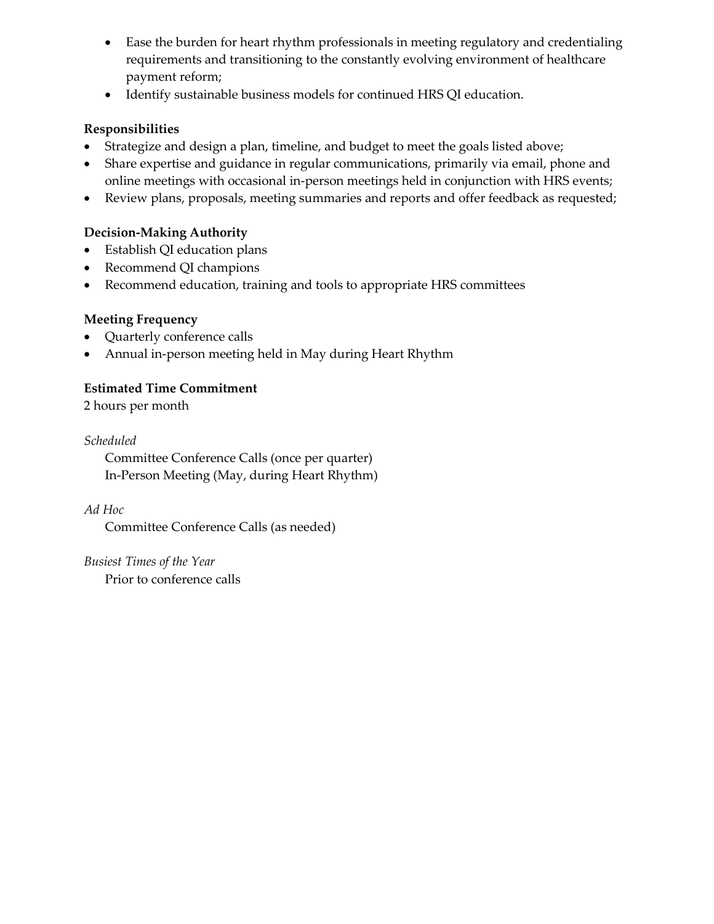- Ease the burden for heart rhythm professionals in meeting regulatory and credentialing requirements and transitioning to the constantly evolving environment of healthcare payment reform;
- Identify sustainable business models for continued HRS QI education.

# **Responsibilities**

- Strategize and design a plan, timeline, and budget to meet the goals listed above;
- Share expertise and guidance in regular communications, primarily via email, phone and online meetings with occasional in-person meetings held in conjunction with HRS events;
- Review plans, proposals, meeting summaries and reports and offer feedback as requested;

# **Decision-Making Authority**

- Establish QI education plans
- Recommend QI champions
- Recommend education, training and tools to appropriate HRS committees

# **Meeting Frequency**

- Quarterly conference calls
- Annual in-person meeting held in May during Heart Rhythm

# **Estimated Time Commitment**

2 hours per month

# *Scheduled*

Committee Conference Calls (once per quarter) In-Person Meeting (May, during Heart Rhythm)

*Ad Hoc* 

Committee Conference Calls (as needed)

*Busiest Times of the Year* Prior to conference calls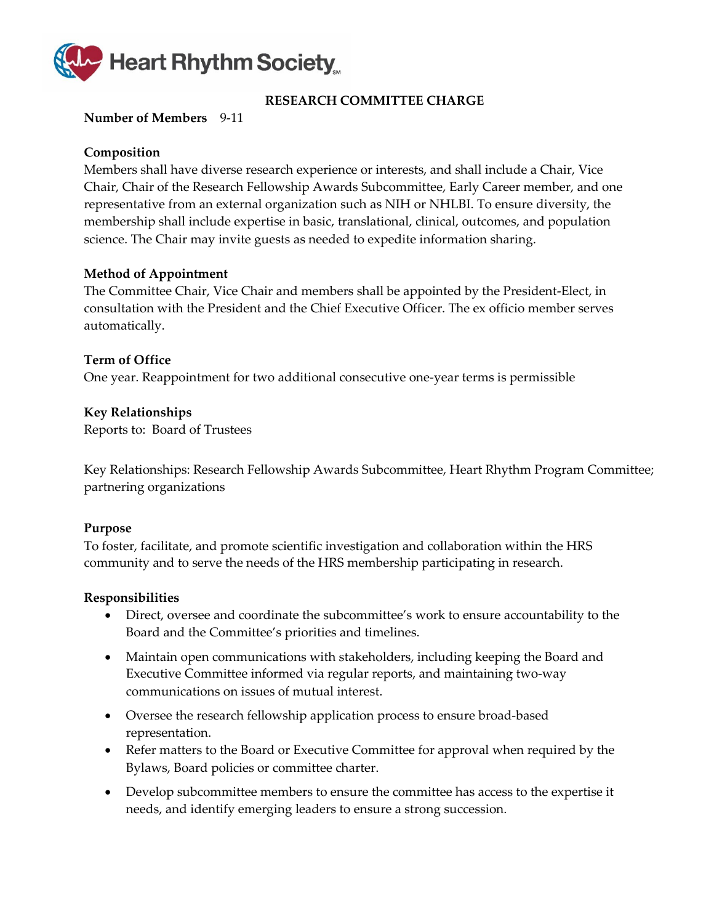

# **RESEARCH COMMITTEE CHARGE**

#### <span id="page-53-0"></span>**Number of Members** 9-11

#### **Composition**

Members shall have diverse research experience or interests, and shall include a Chair, Vice Chair, Chair of the Research Fellowship Awards Subcommittee, Early Career member, and one representative from an external organization such as NIH or NHLBI. To ensure diversity, the membership shall include expertise in basic, translational, clinical, outcomes, and population science. The Chair may invite guests as needed to expedite information sharing.

#### **Method of Appointment**

The Committee Chair, Vice Chair and members shall be appointed by the President-Elect, in consultation with the President and the Chief Executive Officer. The ex officio member serves automatically.

#### **Term of Office**

One year. Reappointment for two additional consecutive one-year terms is permissible

#### **Key Relationships**

Reports to: Board of Trustees

Key Relationships: Research Fellowship Awards Subcommittee, Heart Rhythm Program Committee; partnering organizations

#### **Purpose**

To foster, facilitate, and promote scientific investigation and collaboration within the HRS community and to serve the needs of the HRS membership participating in research.

- Direct, oversee and coordinate the subcommittee's work to ensure accountability to the Board and the Committee's priorities and timelines.
- Maintain open communications with stakeholders, including keeping the Board and Executive Committee informed via regular reports, and maintaining two-way communications on issues of mutual interest.
- Oversee the research fellowship application process to ensure broad-based representation.
- Refer matters to the Board or Executive Committee for approval when required by the Bylaws, Board policies or committee charter.
- Develop subcommittee members to ensure the committee has access to the expertise it needs, and identify emerging leaders to ensure a strong succession.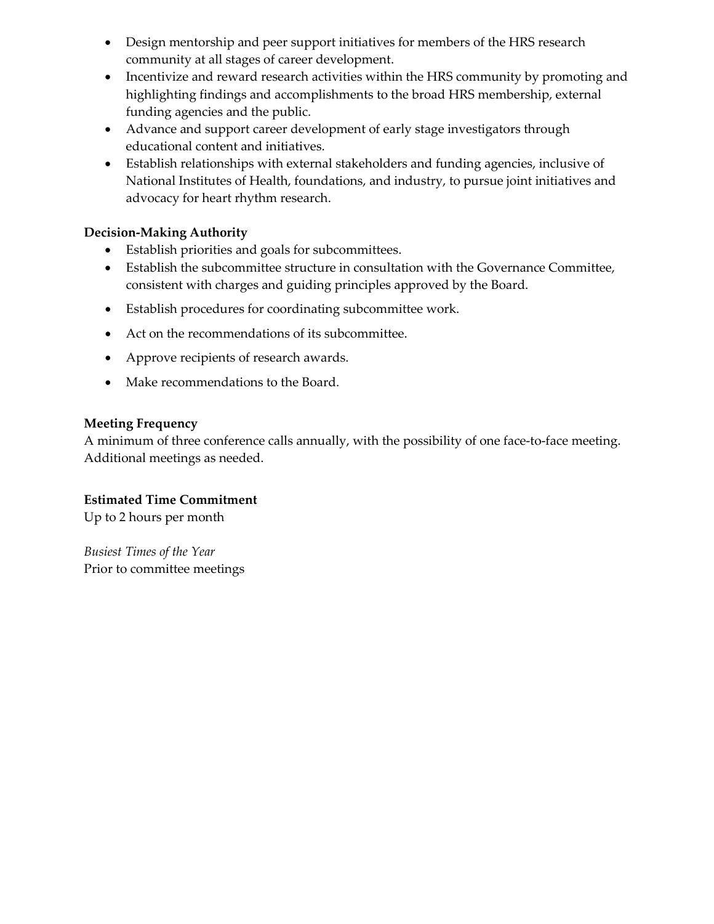- Design mentorship and peer support initiatives for members of the HRS research community at all stages of career development.
- Incentivize and reward research activities within the HRS community by promoting and highlighting findings and accomplishments to the broad HRS membership, external funding agencies and the public.
- Advance and support career development of early stage investigators through educational content and initiatives.
- Establish relationships with external stakeholders and funding agencies, inclusive of National Institutes of Health, foundations, and industry, to pursue joint initiatives and advocacy for heart rhythm research.

- Establish priorities and goals for subcommittees.
- Establish the subcommittee structure in consultation with the Governance Committee, consistent with charges and guiding principles approved by the Board.
- Establish procedures for coordinating subcommittee work.
- Act on the recommendations of its subcommittee.
- Approve recipients of research awards.
- Make recommendations to the Board.

#### **Meeting Frequency**

A minimum of three conference calls annually, with the possibility of one face-to-face meeting. Additional meetings as needed.

#### **Estimated Time Commitment**

Up to 2 hours per month

*Busiest Times of the Year* Prior to committee meetings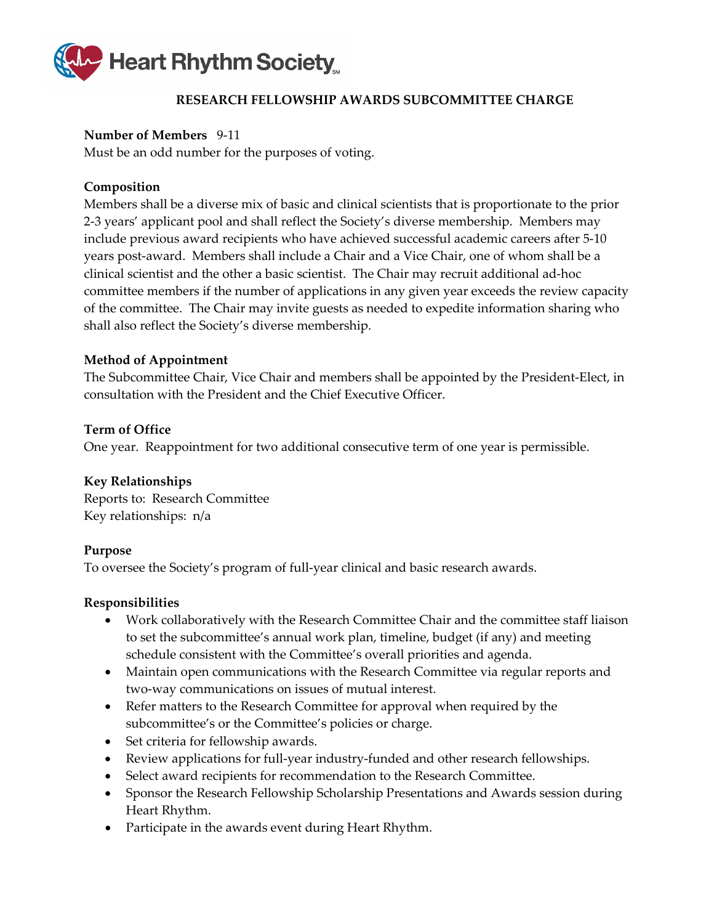

# **RESEARCH FELLOWSHIP AWARDS SUBCOMMITTEE CHARGE**

### <span id="page-55-0"></span>**Number of Members** 9-11

Must be an odd number for the purposes of voting.

# **Composition**

Members shall be a diverse mix of basic and clinical scientists that is proportionate to the prior 2-3 years' applicant pool and shall reflect the Society's diverse membership. Members may include previous award recipients who have achieved successful academic careers after 5-10 years post-award. Members shall include a Chair and a Vice Chair, one of whom shall be a clinical scientist and the other a basic scientist. The Chair may recruit additional ad-hoc committee members if the number of applications in any given year exceeds the review capacity of the committee. The Chair may invite guests as needed to expedite information sharing who shall also reflect the Society's diverse membership.

# **Method of Appointment**

The Subcommittee Chair, Vice Chair and members shall be appointed by the President-Elect, in consultation with the President and the Chief Executive Officer.

# **Term of Office**

One year. Reappointment for two additional consecutive term of one year is permissible.

#### **Key Relationships**

Reports to: Research Committee Key relationships: n/a

#### **Purpose**

To oversee the Society's program of full-year clinical and basic research awards.

- Work collaboratively with the Research Committee Chair and the committee staff liaison to set the subcommittee's annual work plan, timeline, budget (if any) and meeting schedule consistent with the Committee's overall priorities and agenda.
- Maintain open communications with the Research Committee via regular reports and two-way communications on issues of mutual interest.
- Refer matters to the Research Committee for approval when required by the subcommittee's or the Committee's policies or charge.
- Set criteria for fellowship awards.
- Review applications for full-year industry-funded and other research fellowships.
- Select award recipients for recommendation to the Research Committee.
- Sponsor the Research Fellowship Scholarship Presentations and Awards session during Heart Rhythm.
- Participate in the awards event during Heart Rhythm.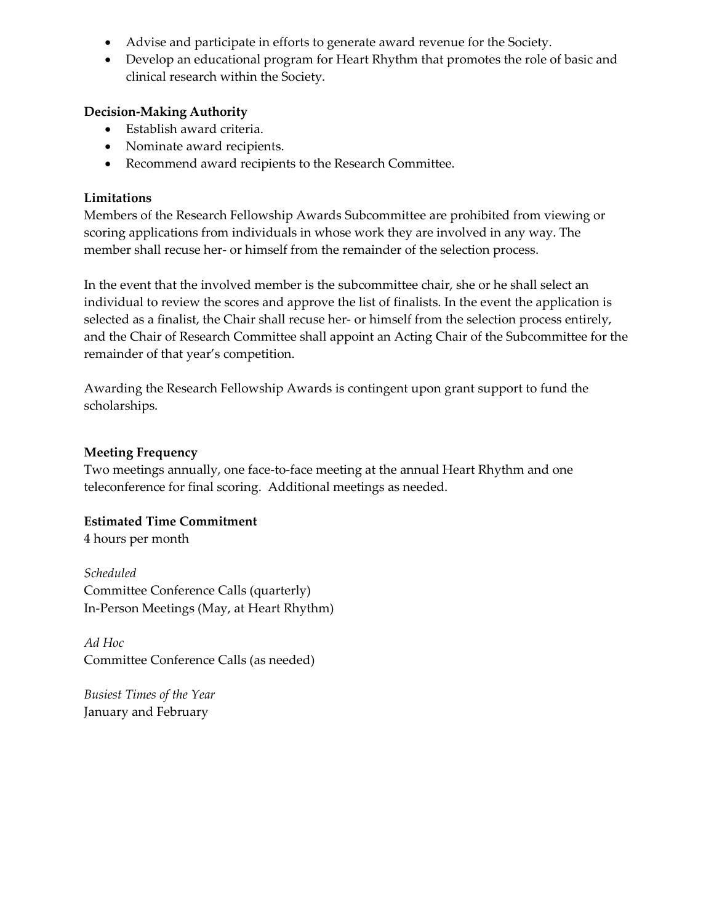- Advise and participate in efforts to generate award revenue for the Society.
- Develop an educational program for Heart Rhythm that promotes the role of basic and clinical research within the Society.

- Establish award criteria.
- Nominate award recipients.
- Recommend award recipients to the Research Committee.

# **Limitations**

Members of the Research Fellowship Awards Subcommittee are prohibited from viewing or scoring applications from individuals in whose work they are involved in any way. The member shall recuse her- or himself from the remainder of the selection process.

In the event that the involved member is the subcommittee chair, she or he shall select an individual to review the scores and approve the list of finalists. In the event the application is selected as a finalist, the Chair shall recuse her- or himself from the selection process entirely, and the Chair of Research Committee shall appoint an Acting Chair of the Subcommittee for the remainder of that year's competition.

Awarding the Research Fellowship Awards is contingent upon grant support to fund the scholarships.

# **Meeting Frequency**

Two meetings annually, one face-to-face meeting at the annual Heart Rhythm and one teleconference for final scoring. Additional meetings as needed.

# **Estimated Time Commitment**

4 hours per month

*Scheduled* Committee Conference Calls (quarterly) In-Person Meetings (May, at Heart Rhythm)

*Ad Hoc* Committee Conference Calls (as needed)

*Busiest Times of the Year* January and February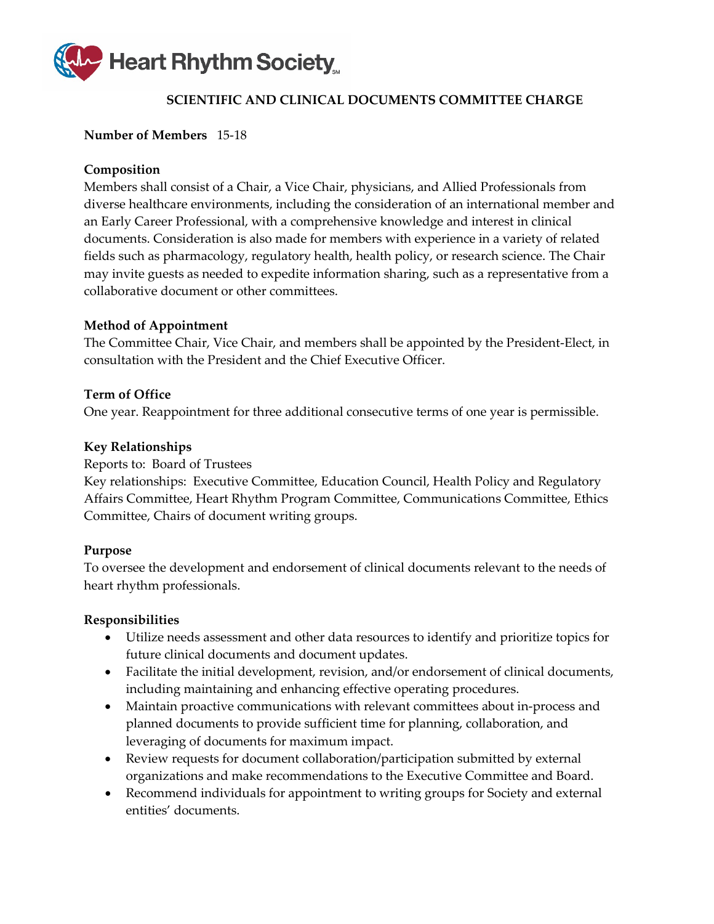

# **SCIENTIFIC AND CLINICAL DOCUMENTS COMMITTEE CHARGE**

#### <span id="page-57-0"></span>**Number of Members** 15-18

#### **Composition**

Members shall consist of a Chair, a Vice Chair, physicians, and Allied Professionals from diverse healthcare environments, including the consideration of an international member and an Early Career Professional, with a comprehensive knowledge and interest in clinical documents. Consideration is also made for members with experience in a variety of related fields such as pharmacology, regulatory health, health policy, or research science. The Chair may invite guests as needed to expedite information sharing, such as a representative from a collaborative document or other committees.

#### **Method of Appointment**

The Committee Chair, Vice Chair, and members shall be appointed by the President-Elect, in consultation with the President and the Chief Executive Officer.

#### **Term of Office**

One year. Reappointment for three additional consecutive terms of one year is permissible.

#### **Key Relationships**

Reports to: Board of Trustees

Key relationships: Executive Committee, Education Council, Health Policy and Regulatory Affairs Committee, Heart Rhythm Program Committee, Communications Committee, Ethics Committee, Chairs of document writing groups.

#### **Purpose**

To oversee the development and endorsement of clinical documents relevant to the needs of heart rhythm professionals.

- Utilize needs assessment and other data resources to identify and prioritize topics for future clinical documents and document updates.
- Facilitate the initial development, revision, and/or endorsement of clinical documents, including maintaining and enhancing effective operating procedures.
- Maintain proactive communications with relevant committees about in-process and planned documents to provide sufficient time for planning, collaboration, and leveraging of documents for maximum impact.
- Review requests for document collaboration/participation submitted by external organizations and make recommendations to the Executive Committee and Board.
- Recommend individuals for appointment to writing groups for Society and external entities' documents.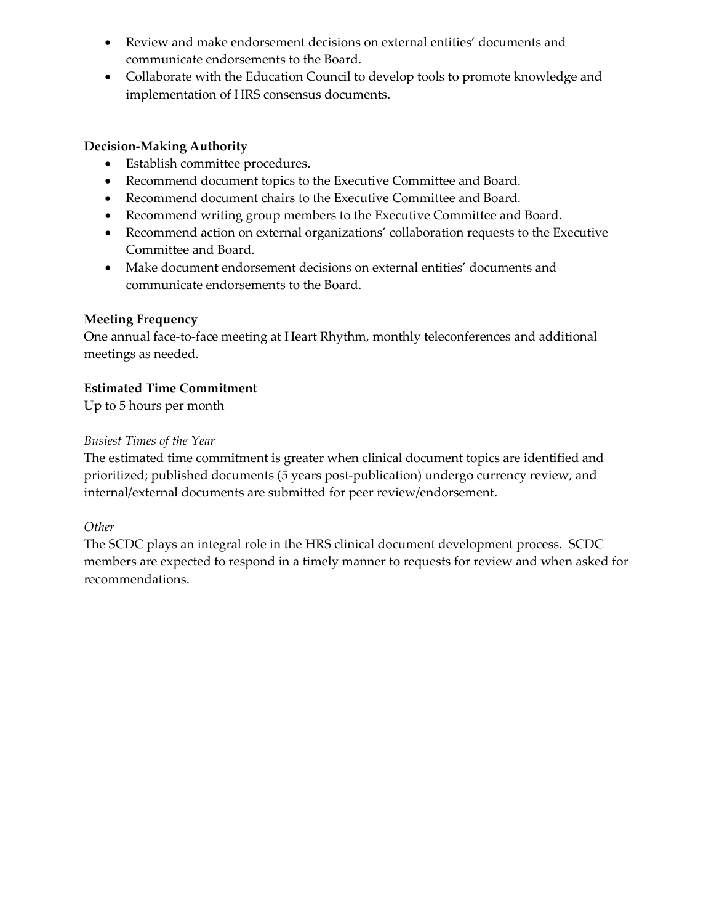- Review and make endorsement decisions on external entities' documents and communicate endorsements to the Board.
- Collaborate with the Education Council to develop tools to promote knowledge and implementation of HRS consensus documents.

- Establish committee procedures.
- Recommend document topics to the Executive Committee and Board.
- Recommend document chairs to the Executive Committee and Board.
- Recommend writing group members to the Executive Committee and Board.
- Recommend action on external organizations' collaboration requests to the Executive Committee and Board.
- Make document endorsement decisions on external entities' documents and communicate endorsements to the Board.

# **Meeting Frequency**

One annual face-to-face meeting at Heart Rhythm, monthly teleconferences and additional meetings as needed.

# **Estimated Time Commitment**

Up to 5 hours per month

# *Busiest Times of the Year*

The estimated time commitment is greater when clinical document topics are identified and prioritized; published documents (5 years post-publication) undergo currency review, and internal/external documents are submitted for peer review/endorsement.

# *Other*

The SCDC plays an integral role in the HRS clinical document development process. SCDC members are expected to respond in a timely manner to requests for review and when asked for recommendations.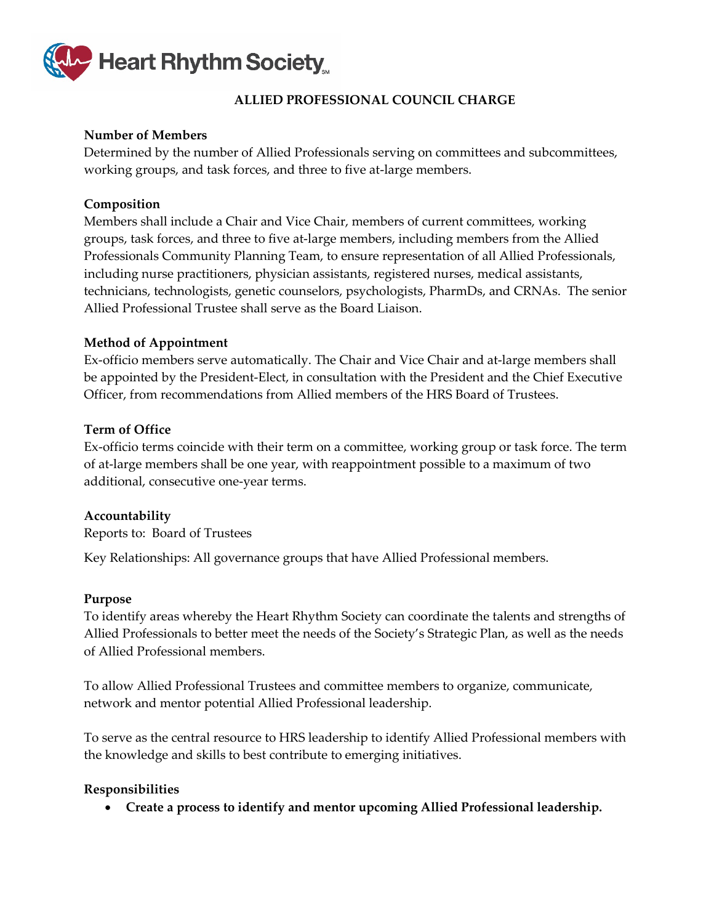

# **ALLIED PROFESSIONAL COUNCIL CHARGE**

# <span id="page-59-0"></span>**Number of Members**

Determined by the number of Allied Professionals serving on committees and subcommittees, working groups, and task forces, and three to five at-large members.

# **Composition**

Members shall include a Chair and Vice Chair, members of current committees, working groups, task forces, and three to five at-large members, including members from the Allied Professionals Community Planning Team, to ensure representation of all Allied Professionals, including nurse practitioners, physician assistants, registered nurses, medical assistants, technicians, technologists, genetic counselors, psychologists, PharmDs, and CRNAs. The senior Allied Professional Trustee shall serve as the Board Liaison.

# **Method of Appointment**

Ex-officio members serve automatically. The Chair and Vice Chair and at-large members shall be appointed by the President-Elect, in consultation with the President and the Chief Executive Officer, from recommendations from Allied members of the HRS Board of Trustees.

#### **Term of Office**

Ex-officio terms coincide with their term on a committee, working group or task force. The term of at-large members shall be one year, with reappointment possible to a maximum of two additional, consecutive one-year terms.

# **Accountability**

Reports to: Board of Trustees

Key Relationships: All governance groups that have Allied Professional members.

#### **Purpose**

To identify areas whereby the Heart Rhythm Society can coordinate the talents and strengths of Allied Professionals to better meet the needs of the Society's Strategic Plan, as well as the needs of Allied Professional members.

To allow Allied Professional Trustees and committee members to organize, communicate, network and mentor potential Allied Professional leadership.

To serve as the central resource to HRS leadership to identify Allied Professional members with the knowledge and skills to best contribute to emerging initiatives.

#### **Responsibilities**

• **Create a process to identify and mentor upcoming Allied Professional leadership.**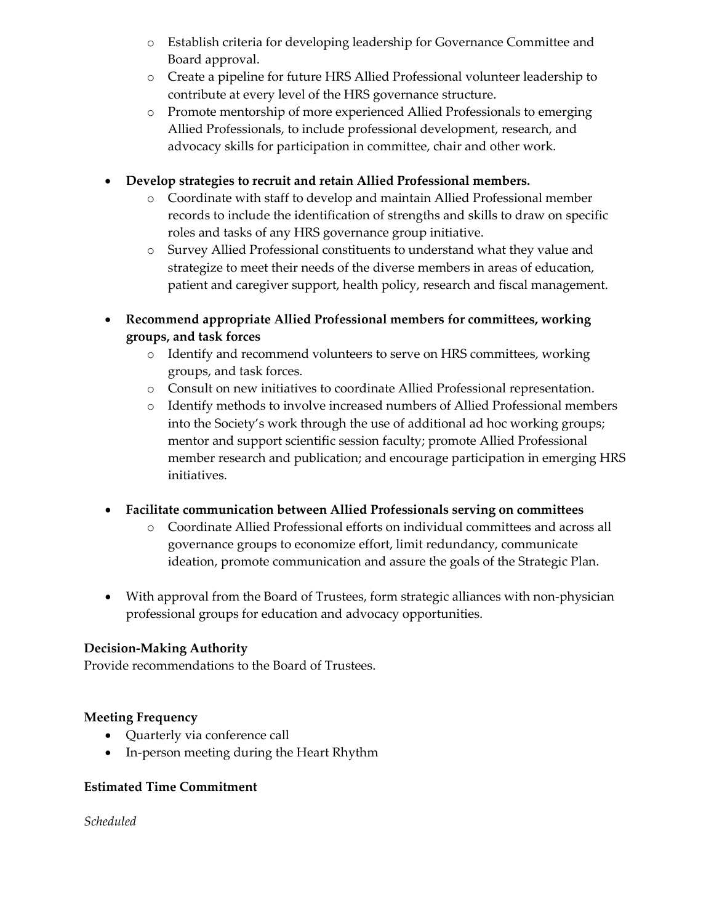- o Establish criteria for developing leadership for Governance Committee and Board approval.
- o Create a pipeline for future HRS Allied Professional volunteer leadership to contribute at every level of the HRS governance structure.
- o Promote mentorship of more experienced Allied Professionals to emerging Allied Professionals, to include professional development, research, and advocacy skills for participation in committee, chair and other work.

# • **Develop strategies to recruit and retain Allied Professional members.**

- o Coordinate with staff to develop and maintain Allied Professional member records to include the identification of strengths and skills to draw on specific roles and tasks of any HRS governance group initiative.
- o Survey Allied Professional constituents to understand what they value and strategize to meet their needs of the diverse members in areas of education, patient and caregiver support, health policy, research and fiscal management.
- **Recommend appropriate Allied Professional members for committees, working groups, and task forces**
	- o Identify and recommend volunteers to serve on HRS committees, working groups, and task forces.
	- o Consult on new initiatives to coordinate Allied Professional representation.
	- o Identify methods to involve increased numbers of Allied Professional members into the Society's work through the use of additional ad hoc working groups; mentor and support scientific session faculty; promote Allied Professional member research and publication; and encourage participation in emerging HRS initiatives.

# • **Facilitate communication between Allied Professionals serving on committees**

- o Coordinate Allied Professional efforts on individual committees and across all governance groups to economize effort, limit redundancy, communicate ideation, promote communication and assure the goals of the Strategic Plan.
- With approval from the Board of Trustees, form strategic alliances with non-physician professional groups for education and advocacy opportunities.

# **Decision-Making Authority**

Provide recommendations to the Board of Trustees.

# **Meeting Frequency**

- Quarterly via conference call
- In-person meeting during the Heart Rhythm

# **Estimated Time Commitment**

*Scheduled*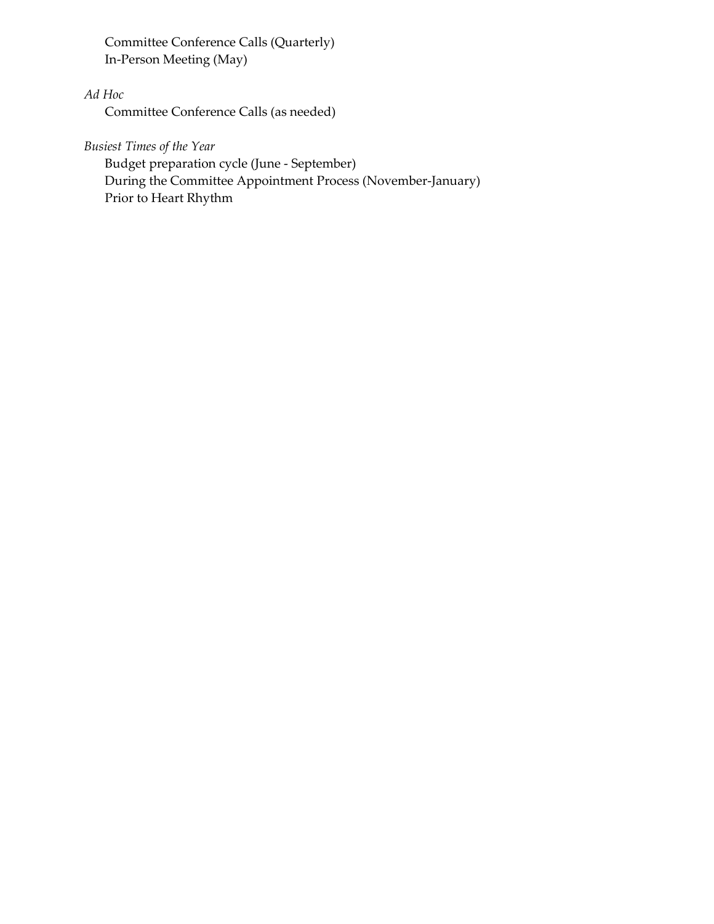Committee Conference Calls (Quarterly) In-Person Meeting (May)

# *Ad Hoc*

Committee Conference Calls (as needed)

*Busiest Times of the Year*

Budget preparation cycle (June - September) During the Committee Appointment Process (November-January) Prior to Heart Rhythm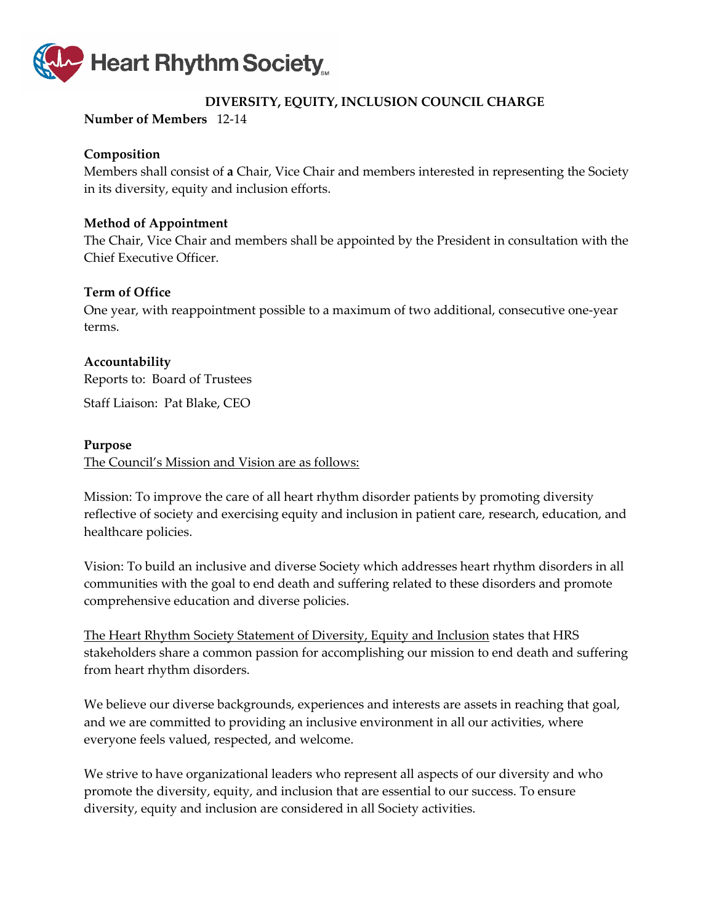

# **DIVERSITY, EQUITY, INCLUSION COUNCIL CHARGE**

# <span id="page-62-0"></span>**Number of Members** 12-14

### **Composition**

Members shall consist of **a** Chair, Vice Chair and members interested in representing the Society in its diversity, equity and inclusion efforts.

#### **Method of Appointment**

The Chair, Vice Chair and members shall be appointed by the President in consultation with the Chief Executive Officer.

# **Term of Office**

One year, with reappointment possible to a maximum of two additional, consecutive one-year terms.

# **Accountability**

Reports to: Board of Trustees

Staff Liaison: Pat Blake, CEO

#### **Purpose**

The Council's Mission and Vision are as follows:

Mission: To improve the care of all heart rhythm disorder patients by promoting diversity reflective of society and exercising equity and inclusion in patient care, research, education, and healthcare policies.

Vision: To build an inclusive and diverse Society which addresses heart rhythm disorders in all communities with the goal to end death and suffering related to these disorders and promote comprehensive education and diverse policies.

The Heart Rhythm Society Statement of Diversity, Equity and Inclusion states that HRS stakeholders share a common passion for accomplishing our mission to end death and suffering from heart rhythm disorders.

We believe our diverse backgrounds, experiences and interests are assets in reaching that goal, and we are committed to providing an inclusive environment in all our activities, where everyone feels valued, respected, and welcome.

We strive to have organizational leaders who represent all aspects of our diversity and who promote the diversity, equity, and inclusion that are essential to our success. To ensure diversity, equity and inclusion are considered in all Society activities.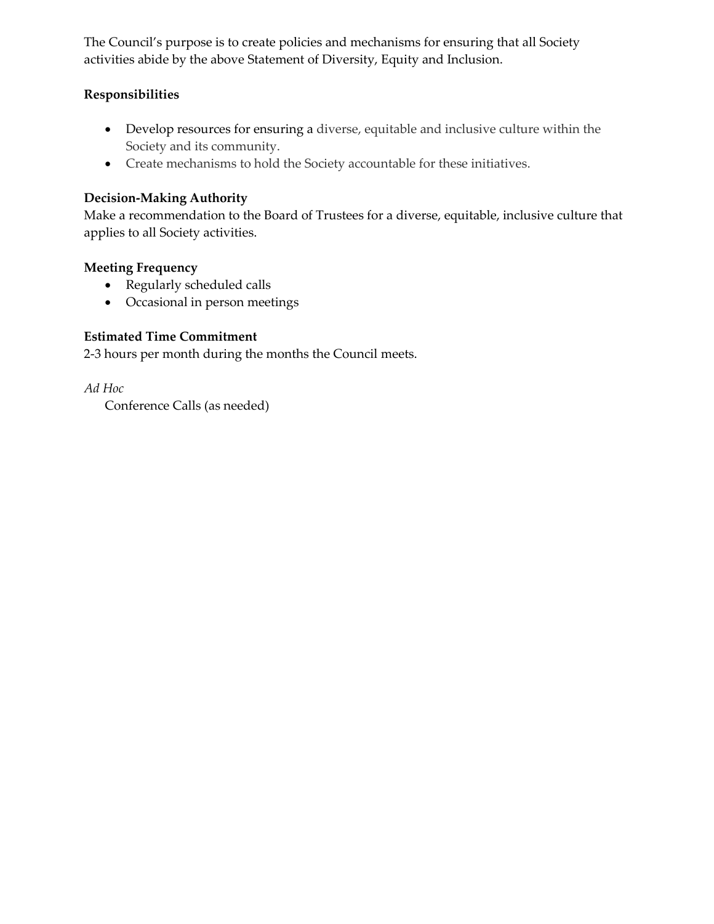The Council's purpose is to create policies and mechanisms for ensuring that all Society activities abide by the above Statement of Diversity, Equity and Inclusion.

# **Responsibilities**

- Develop resources for ensuring a diverse, equitable and inclusive culture within the Society and its community.
- Create mechanisms to hold the Society accountable for these initiatives.

# **Decision-Making Authority**

Make a recommendation to the Board of Trustees for a diverse, equitable, inclusive culture that applies to all Society activities.

# **Meeting Frequency**

- Regularly scheduled calls
- Occasional in person meetings

# **Estimated Time Commitment**

2-3 hours per month during the months the Council meets.

*Ad Hoc*

Conference Calls (as needed)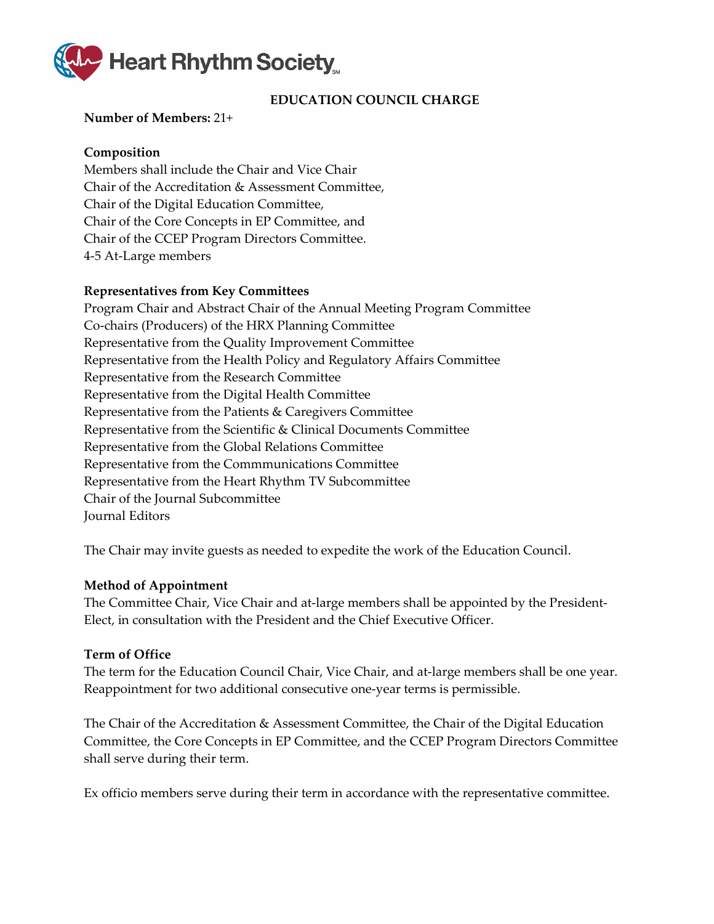

# **EDUCATION COUNCIL CHARGE**

#### <span id="page-64-0"></span>**Number of Members:** 21+

#### **Composition**

Members shall include the Chair and Vice Chair Chair of the Accreditation & Assessment Committee, Chair of the Digital Education Committee, Chair of the Core Concepts in EP Committee, and Chair of the CCEP Program Directors Committee. 4-5 At-Large members

#### **Representatives from Key Committees**

Program Chair and Abstract Chair of the Annual Meeting Program Committee Co-chairs (Producers) of the HRX Planning Committee Representative from the Quality Improvement Committee Representative from the Health Policy and Regulatory Affairs Committee Representative from the Research Committee Representative from the Digital Health Committee Representative from the Patients & Caregivers Committee Representative from the Scientific & Clinical Documents Committee Representative from the Global Relations Committee Representative from the Commmunications Committee Representative from the Heart Rhythm TV Subcommittee Chair of the Journal Subcommittee Journal Editors

The Chair may invite guests as needed to expedite the work of the Education Council.

#### **Method of Appointment**

The Committee Chair, Vice Chair and at-large members shall be appointed by the President-Elect, in consultation with the President and the Chief Executive Officer.

#### **Term of Office**

The term for the Education Council Chair, Vice Chair, and at-large members shall be one year. Reappointment for two additional consecutive one-year terms is permissible.

The Chair of the Accreditation & Assessment Committee, the Chair of the Digital Education Committee, the Core Concepts in EP Committee, and the CCEP Program Directors Committee shall serve during their term.

Ex officio members serve during their term in accordance with the representative committee.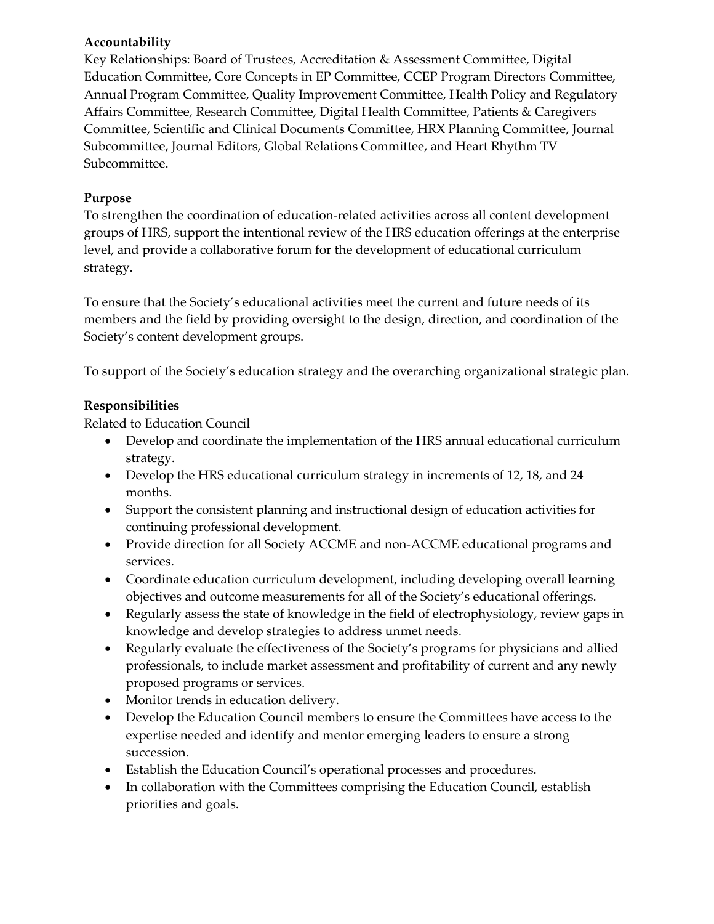# **Accountability**

Key Relationships: Board of Trustees, Accreditation & Assessment Committee, Digital Education Committee, Core Concepts in EP Committee, CCEP Program Directors Committee, Annual Program Committee, Quality Improvement Committee, Health Policy and Regulatory Affairs Committee, Research Committee, Digital Health Committee, Patients & Caregivers Committee, Scientific and Clinical Documents Committee, HRX Planning Committee, Journal Subcommittee, Journal Editors, Global Relations Committee, and Heart Rhythm TV Subcommittee.

# **Purpose**

To strengthen the coordination of education-related activities across all content development groups of HRS, support the intentional review of the HRS education offerings at the enterprise level, and provide a collaborative forum for the development of educational curriculum strategy.

To ensure that the Society's educational activities meet the current and future needs of its members and the field by providing oversight to the design, direction, and coordination of the Society's content development groups.

To support of the Society's education strategy and the overarching organizational strategic plan.

# **Responsibilities**

Related to Education Council

- Develop and coordinate the implementation of the HRS annual educational curriculum strategy.
- Develop the HRS educational curriculum strategy in increments of 12, 18, and 24 months.
- Support the consistent planning and instructional design of education activities for continuing professional development.
- Provide direction for all Society ACCME and non-ACCME educational programs and services.
- Coordinate education curriculum development, including developing overall learning objectives and outcome measurements for all of the Society's educational offerings.
- Regularly assess the state of knowledge in the field of electrophysiology, review gaps in knowledge and develop strategies to address unmet needs.
- Regularly evaluate the effectiveness of the Society's programs for physicians and allied professionals, to include market assessment and profitability of current and any newly proposed programs or services.
- Monitor trends in education delivery.
- Develop the Education Council members to ensure the Committees have access to the expertise needed and identify and mentor emerging leaders to ensure a strong succession.
- Establish the Education Council's operational processes and procedures.
- In collaboration with the Committees comprising the Education Council, establish priorities and goals.